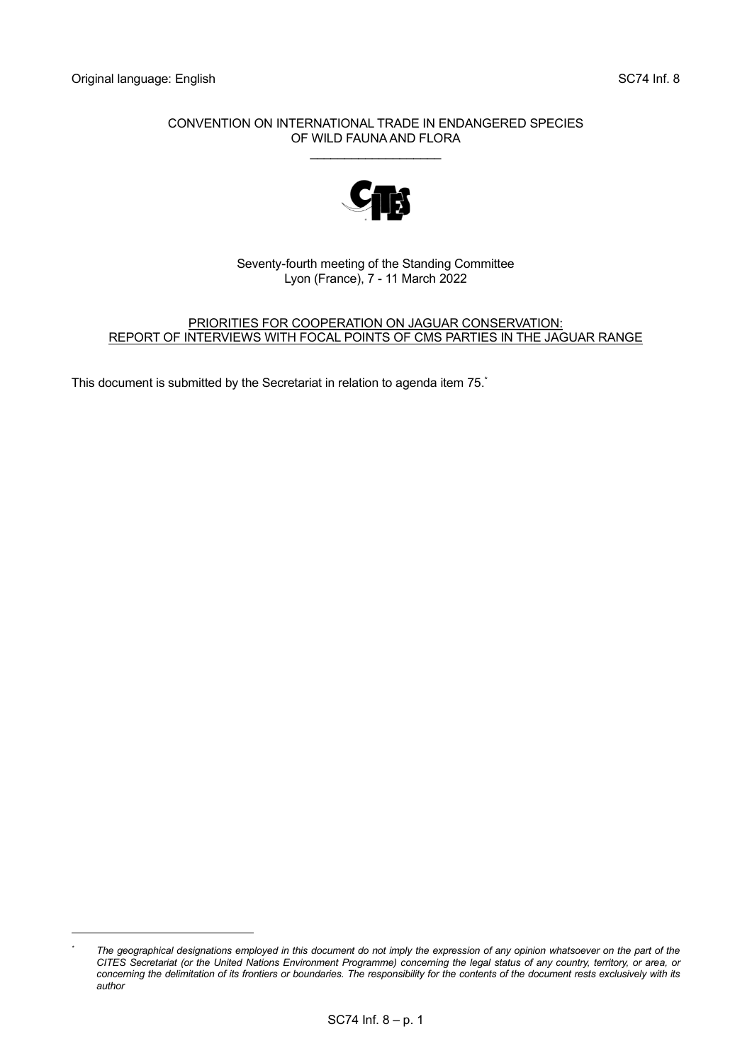# CONVENTION ON INTERNATIONAL TRADE IN ENDANGERED SPECIES OF WILD FAUNA AND FLORA

\_\_\_\_\_\_\_\_\_\_\_\_\_\_\_\_\_\_\_



# Seventy-fourth meeting of the Standing Committee Lyon (France), 7 - 11 March 2022

# PRIORITIES FOR COOPERATION ON JAGUAR CONSERVATION: REPORT OF INTERVIEWS WITH FOCAL POINTS OF CMS PARTIES IN THE JAGUAR RANGE

This document is submitted by the Secretariat in relation to agenda item 75. \*

*<sup>\*</sup> The geographical designations employed in this document do not imply the expression of any opinion whatsoever on the part of the CITES Secretariat (or the United Nations Environment Programme) concerning the legal status of any country, territory, or area, or concerning the delimitation of its frontiers or boundaries. The responsibility for the contents of the document rests exclusively with its author*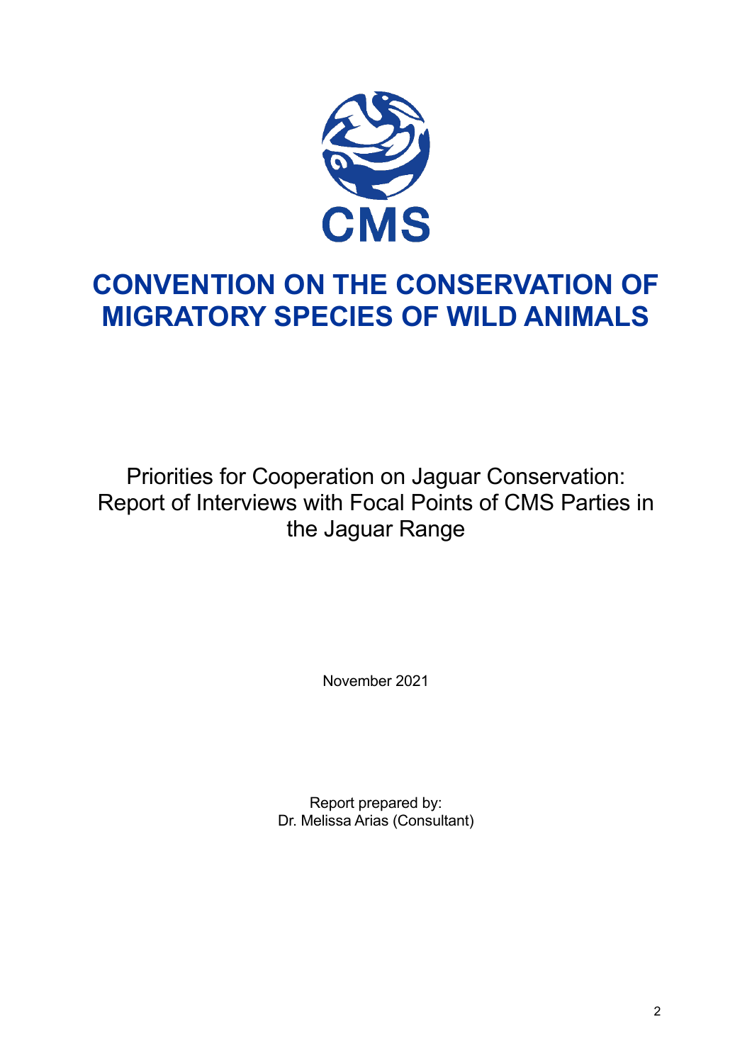

# **CONVENTION ON THE CONSERVATION OF MIGRATORY SPECIES OF WILD ANIMALS**

Priorities for Cooperation on Jaguar Conservation: Report of Interviews with Focal Points of CMS Parties in the Jaguar Range

November 2021

Report prepared by: Dr. Melissa Arias (Consultant)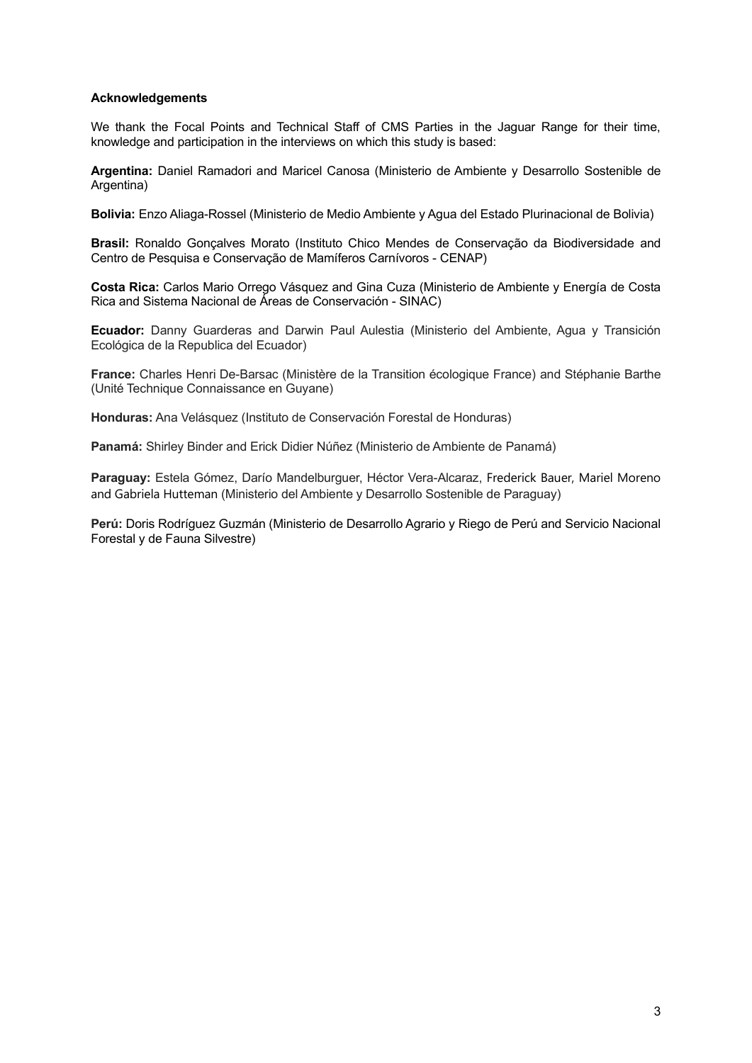# <span id="page-2-0"></span>**Acknowledgements**

We thank the Focal Points and Technical Staff of CMS Parties in the Jaguar Range for their time, knowledge and participation in the interviews on which this study is based:

**Argentina:** Daniel Ramadori and Maricel Canosa (Ministerio de Ambiente y Desarrollo Sostenible de Argentina)

**Bolivia:** Enzo Aliaga-Rossel (Ministerio de Medio Ambiente y Agua del Estado Plurinacional de Bolivia)

**Brasil:** Ronaldo Gonçalves Morato (Instituto Chico Mendes de Conservação da Biodiversidade and Centro de Pesquisa e Conservação de Mamíferos Carnívoros - CENAP)

**Costa Rica:** Carlos Mario Orrego Vásquez and Gina Cuza (Ministerio de Ambiente y Energía de Costa Rica and Sistema Nacional de Áreas de Conservación - SINAC)

**Ecuador:** Danny Guarderas and Darwin Paul Aulestia (Ministerio del Ambiente, Agua y Transición Ecológica de la Republica del Ecuador)

**France:** Charles Henri De-Barsac (Ministère de la Transition écologique France) and Stéphanie Barthe (Unité Technique Connaissance en Guyane)

**Honduras:** Ana Velásquez (Instituto de Conservación Forestal de Honduras)

**Panamá:** Shirley Binder and Erick Didier Núñez (Ministerio de Ambiente de Panamá)

**Paraguay:** Estela Gómez, Darío Mandelburguer, Héctor Vera-Alcaraz, Frederick Bauer, Mariel Moreno and Gabriela Hutteman (Ministerio del Ambiente y Desarrollo Sostenible de Paraguay)

**Perú:** Doris Rodríguez Guzmán (Ministerio de Desarrollo Agrario y Riego de Perú and Servicio Nacional Forestal y de Fauna Silvestre)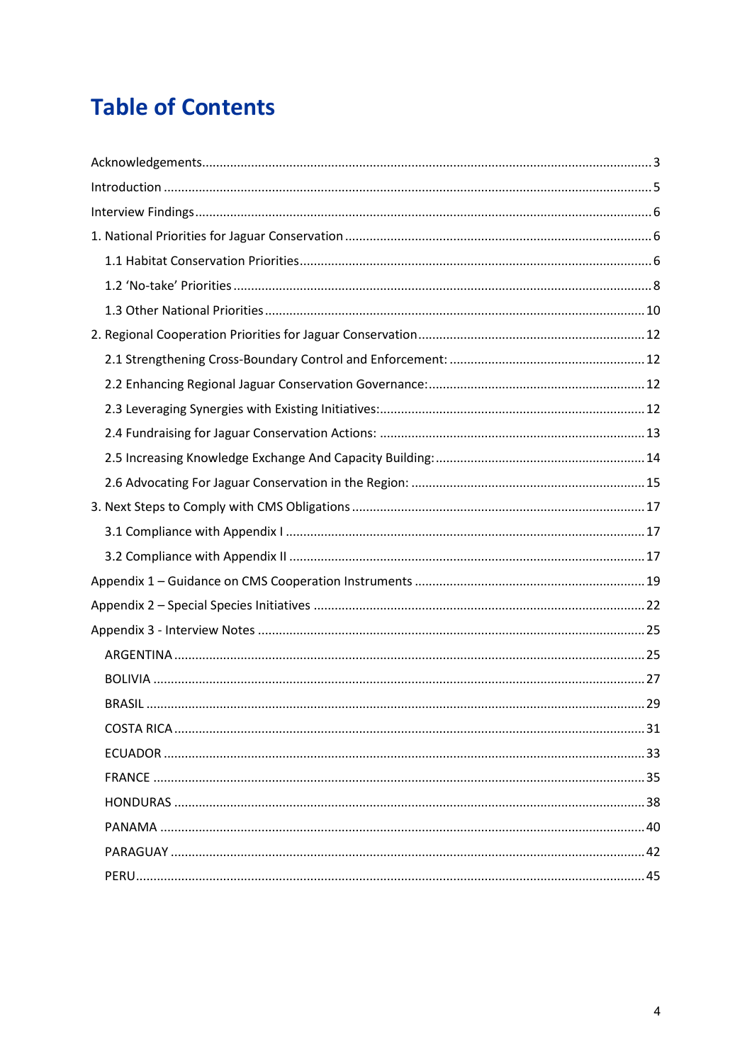# **Table of Contents**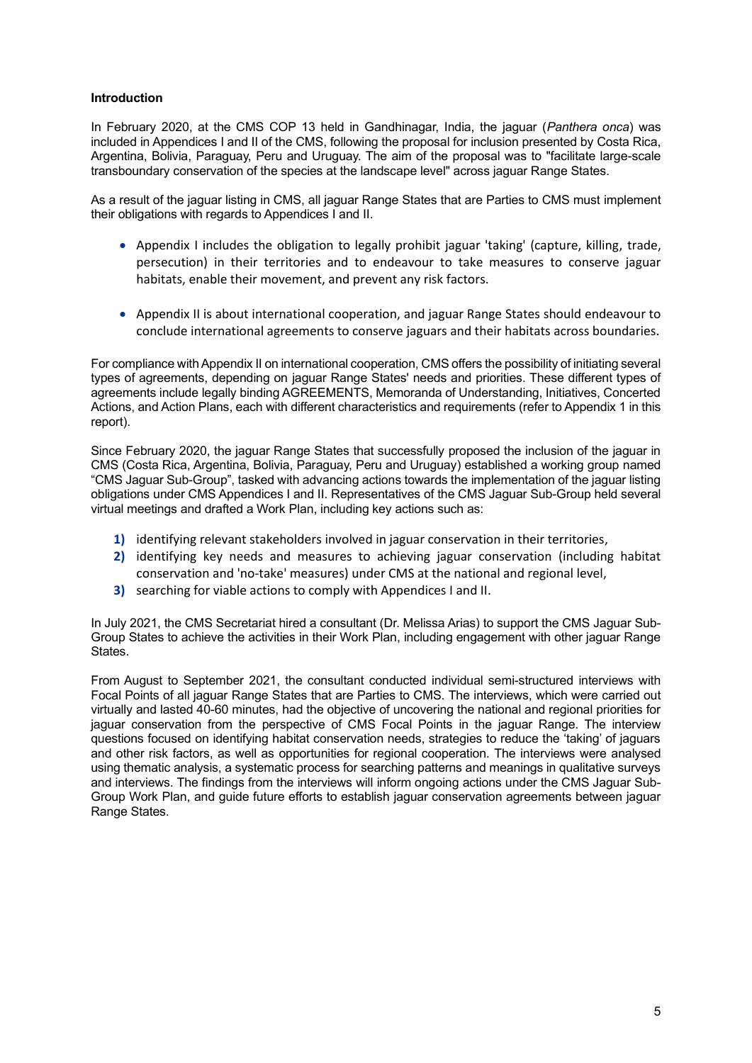# <span id="page-4-0"></span>**Introduction**

In February 2020, at the CMS COP 13 held in Gandhinagar, India, the jaguar (*Panthera onca*) was included in Appendices I and II of the CMS, following the proposal for inclusion presented by Costa Rica, Argentina, Bolivia, Paraguay, Peru and Uruguay. The aim of the proposal was to "facilitate large-scale transboundary conservation of the species at the landscape level" across jaguar Range States.

As a result of the jaguar listing in CMS, all jaguar Range States that are Parties to CMS must implement their obligations with regards to Appendices I and II.

- Appendix I includes the obligation to legally prohibit jaguar 'taking' (capture, killing, trade, persecution) in their territories and to endeavour to take measures to conserve jaguar habitats, enable their movement, and prevent any risk factors.
- Appendix II is about international cooperation, and jaguar Range States should endeavour to conclude international agreements to conserve jaguars and their habitats across boundaries.

For compliance with Appendix II on international cooperation, CMS offers the possibility of initiating several types of agreements, depending on jaguar Range States' needs and priorities. These different types of agreements include legally binding AGREEMENTS, Memoranda of Understanding, Initiatives, Concerted Actions, and Action Plans, each with different characteristics and requirements (refer to Appendix 1 in this report).

Since February 2020, the jaguar Range States that successfully proposed the inclusion of the jaguar in CMS (Costa Rica, Argentina, Bolivia, Paraguay, Peru and Uruguay) established a working group named "CMS Jaguar Sub-Group", tasked with advancing actions towards the implementation of the jaguar listing obligations under CMS Appendices I and II. Representatives of the CMS Jaguar Sub-Group held several virtual meetings and drafted a Work Plan, including key actions such as:

- **1)** identifying relevant stakeholders involved in jaguar conservation in their territories,
- **2)** identifying key needs and measures to achieving jaguar conservation (including habitat conservation and 'no-take' measures) under CMS at the national and regional level,
- **3)** searching for viable actions to comply with Appendices I and II.

In July 2021, the CMS Secretariat hired a consultant (Dr. Melissa Arias) to support the CMS Jaguar Sub-Group States to achieve the activities in their Work Plan, including engagement with other jaguar Range States.

From August to September 2021, the consultant conducted individual semi-structured interviews with Focal Points of all jaguar Range States that are Parties to CMS. The interviews, which were carried out virtually and lasted 40-60 minutes, had the objective of uncovering the national and regional priorities for jaguar conservation from the perspective of CMS Focal Points in the jaguar Range. The interview questions focused on identifying habitat conservation needs, strategies to reduce the 'taking' of jaguars and other risk factors, as well as opportunities for regional cooperation. The interviews were analysed using thematic analysis, a systematic process for searching patterns and meanings in qualitative surveys and interviews. The findings from the interviews will inform ongoing actions under the CMS Jaguar Sub-Group Work Plan, and guide future efforts to establish jaguar conservation agreements between jaguar Range States.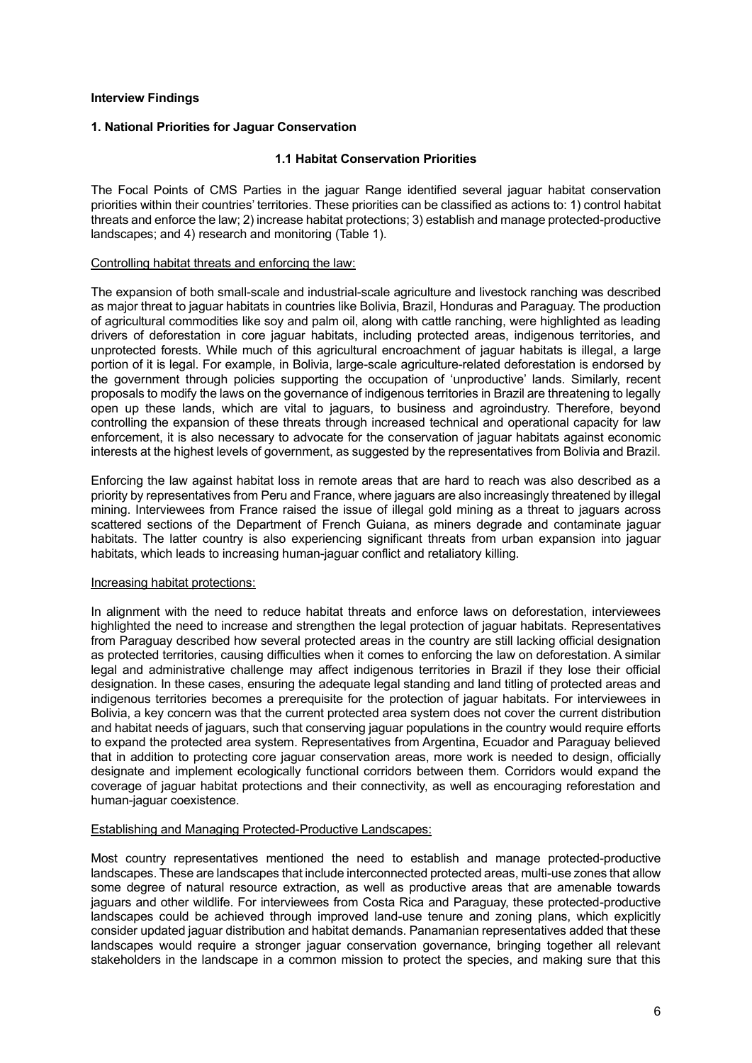#### <span id="page-5-0"></span>**Interview Findings**

## <span id="page-5-2"></span><span id="page-5-1"></span>**1. National Priorities for Jaguar Conservation**

#### **1.1 Habitat Conservation Priorities**

The Focal Points of CMS Parties in the jaguar Range identified several jaguar habitat conservation priorities within their countries' territories. These priorities can be classified as actions to: 1) control habitat threats and enforce the law; 2) increase habitat protections; 3) establish and manage protected-productive landscapes; and 4) research and monitoring (Table 1).

#### Controlling habitat threats and enforcing the law:

The expansion of both small-scale and industrial-scale agriculture and livestock ranching was described as major threat to jaguar habitats in countries like Bolivia, Brazil, Honduras and Paraguay. The production of agricultural commodities like soy and palm oil, along with cattle ranching, were highlighted as leading drivers of deforestation in core jaguar habitats, including protected areas, indigenous territories, and unprotected forests. While much of this agricultural encroachment of jaguar habitats is illegal, a large portion of it is legal. For example, in Bolivia, large-scale agriculture-related deforestation is endorsed by the government through policies supporting the occupation of 'unproductive' lands. Similarly, recent proposals to modify the laws on the governance of indigenous territories in Brazil are threatening to legally open up these lands, which are vital to jaguars, to business and agroindustry. Therefore, beyond controlling the expansion of these threats through increased technical and operational capacity for law enforcement, it is also necessary to advocate for the conservation of jaguar habitats against economic interests at the highest levels of government, as suggested by the representatives from Bolivia and Brazil.

Enforcing the law against habitat loss in remote areas that are hard to reach was also described as a priority by representatives from Peru and France, where jaguars are also increasingly threatened by illegal mining. Interviewees from France raised the issue of illegal gold mining as a threat to jaguars across scattered sections of the Department of French Guiana, as miners degrade and contaminate jaguar habitats. The latter country is also experiencing significant threats from urban expansion into jaguar habitats, which leads to increasing human-jaguar conflict and retaliatory killing.

#### Increasing habitat protections:

In alignment with the need to reduce habitat threats and enforce laws on deforestation, interviewees highlighted the need to increase and strengthen the legal protection of jaguar habitats. Representatives from Paraguay described how several protected areas in the country are still lacking official designation as protected territories, causing difficulties when it comes to enforcing the law on deforestation. A similar legal and administrative challenge may affect indigenous territories in Brazil if they lose their official designation. In these cases, ensuring the adequate legal standing and land titling of protected areas and indigenous territories becomes a prerequisite for the protection of jaguar habitats. For interviewees in Bolivia, a key concern was that the current protected area system does not cover the current distribution and habitat needs of jaguars, such that conserving jaguar populations in the country would require efforts to expand the protected area system. Representatives from Argentina, Ecuador and Paraguay believed that in addition to protecting core jaguar conservation areas, more work is needed to design, officially designate and implement ecologically functional corridors between them. Corridors would expand the coverage of jaguar habitat protections and their connectivity, as well as encouraging reforestation and human-jaguar coexistence.

#### Establishing and Managing Protected-Productive Landscapes:

Most country representatives mentioned the need to establish and manage protected-productive landscapes. These are landscapes that include interconnected protected areas, multi-use zones that allow some degree of natural resource extraction, as well as productive areas that are amenable towards jaguars and other wildlife. For interviewees from Costa Rica and Paraguay, these protected-productive landscapes could be achieved through improved land-use tenure and zoning plans, which explicitly consider updated jaguar distribution and habitat demands. Panamanian representatives added that these landscapes would require a stronger jaguar conservation governance, bringing together all relevant stakeholders in the landscape in a common mission to protect the species, and making sure that this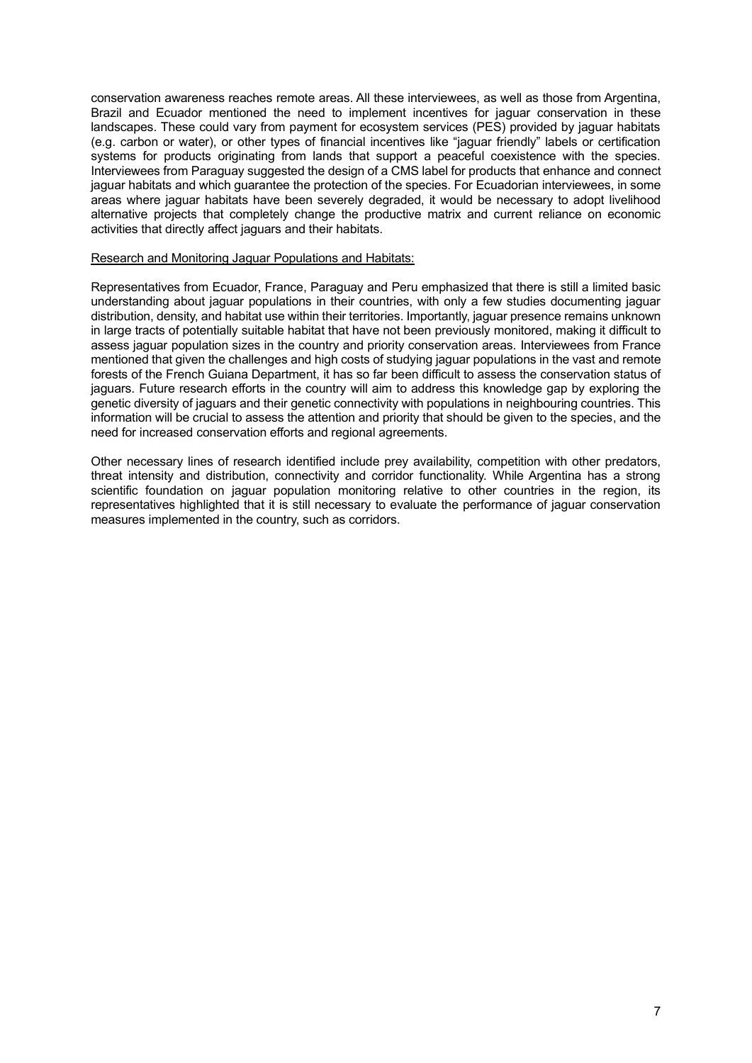conservation awareness reaches remote areas. All these interviewees, as well as those from Argentina, Brazil and Ecuador mentioned the need to implement incentives for jaguar conservation in these landscapes. These could vary from payment for ecosystem services (PES) provided by jaguar habitats (e.g. carbon or water), or other types of financial incentives like "jaguar friendly" labels or certification systems for products originating from lands that support a peaceful coexistence with the species. Interviewees from Paraguay suggested the design of a CMS label for products that enhance and connect jaguar habitats and which guarantee the protection of the species. For Ecuadorian interviewees, in some areas where jaguar habitats have been severely degraded, it would be necessary to adopt livelihood alternative projects that completely change the productive matrix and current reliance on economic activities that directly affect jaguars and their habitats.

#### Research and Monitoring Jaguar Populations and Habitats:

Representatives from Ecuador, France, Paraguay and Peru emphasized that there is still a limited basic understanding about jaguar populations in their countries, with only a few studies documenting jaguar distribution, density, and habitat use within their territories. Importantly, jaguar presence remains unknown in large tracts of potentially suitable habitat that have not been previously monitored, making it difficult to assess jaguar population sizes in the country and priority conservation areas. Interviewees from France mentioned that given the challenges and high costs of studying jaguar populations in the vast and remote forests of the French Guiana Department, it has so far been difficult to assess the conservation status of jaguars. Future research efforts in the country will aim to address this knowledge gap by exploring the genetic diversity of jaguars and their genetic connectivity with populations in neighbouring countries. This information will be crucial to assess the attention and priority that should be given to the species, and the need for increased conservation efforts and regional agreements.

Other necessary lines of research identified include prey availability, competition with other predators, threat intensity and distribution, connectivity and corridor functionality. While Argentina has a strong scientific foundation on jaguar population monitoring relative to other countries in the region, its representatives highlighted that it is still necessary to evaluate the performance of jaguar conservation measures implemented in the country, such as corridors.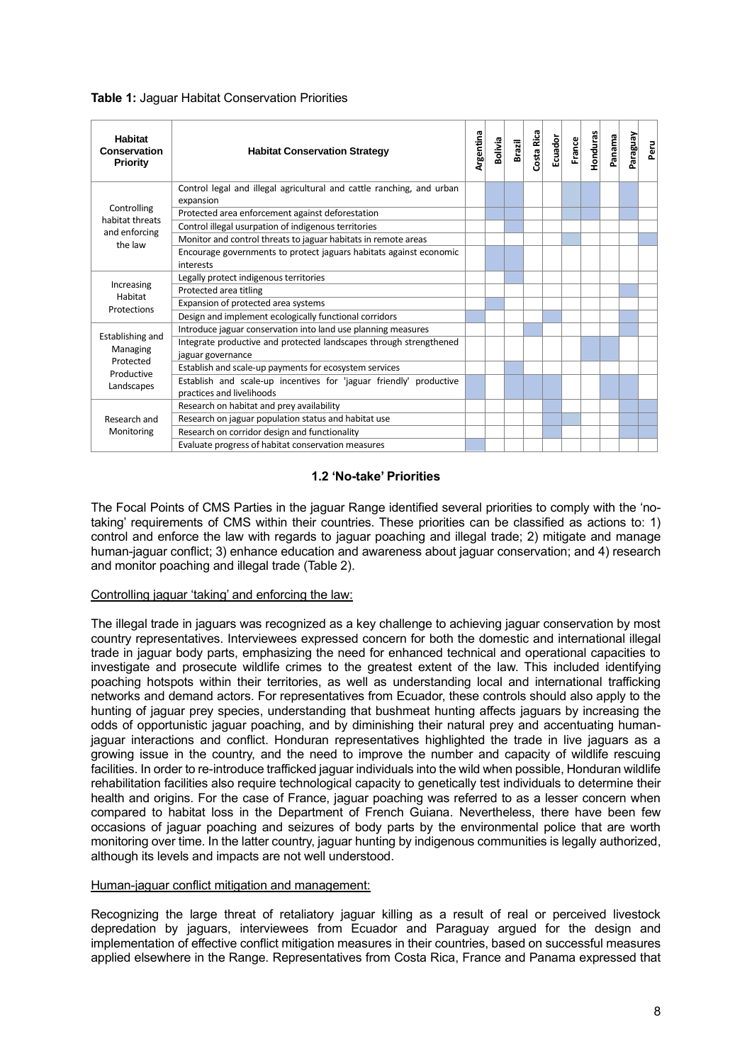| <b>Habitat</b><br><b>Conservation</b><br>Priority | <b>Habitat Conservation Strategy</b>                                                            |  |  |  |  |  | <b>Ecuador</b><br>France | <b>Honduras</b> | Panama | Aensteue | Peru |
|---------------------------------------------------|-------------------------------------------------------------------------------------------------|--|--|--|--|--|--------------------------|-----------------|--------|----------|------|
|                                                   | Control legal and illegal agricultural and cattle ranching, and urban                           |  |  |  |  |  |                          |                 |        |          |      |
| Controlling                                       | expansion                                                                                       |  |  |  |  |  |                          |                 |        |          |      |
| habitat threats                                   | Protected area enforcement against deforestation                                                |  |  |  |  |  |                          |                 |        |          |      |
| and enforcing                                     | Control illegal usurpation of indigenous territories                                            |  |  |  |  |  |                          |                 |        |          |      |
| the law                                           | Monitor and control threats to jaguar habitats in remote areas                                  |  |  |  |  |  |                          |                 |        |          |      |
|                                                   | Encourage governments to protect jaguars habitats against economic<br>interests                 |  |  |  |  |  |                          |                 |        |          |      |
|                                                   | Legally protect indigenous territories                                                          |  |  |  |  |  |                          |                 |        |          |      |
| Increasing                                        | Protected area titling                                                                          |  |  |  |  |  |                          |                 |        |          |      |
| Habitat<br>Protections                            | Expansion of protected area systems                                                             |  |  |  |  |  |                          |                 |        |          |      |
|                                                   | Design and implement ecologically functional corridors                                          |  |  |  |  |  |                          |                 |        |          |      |
|                                                   | Introduce jaguar conservation into land use planning measures                                   |  |  |  |  |  |                          |                 |        |          |      |
| Establishing and<br>Managing                      | Integrate productive and protected landscapes through strengthened<br>jaguar governance         |  |  |  |  |  |                          |                 |        |          |      |
| Protected                                         | Establish and scale-up payments for ecosystem services                                          |  |  |  |  |  |                          |                 |        |          |      |
| Productive<br>Landscapes                          | Establish and scale-up incentives for 'jaguar friendly' productive<br>practices and livelihoods |  |  |  |  |  |                          |                 |        |          |      |
|                                                   | Research on habitat and prey availability                                                       |  |  |  |  |  |                          |                 |        |          |      |
| Research and                                      | Research on jaguar population status and habitat use                                            |  |  |  |  |  |                          |                 |        |          |      |
| Monitoring                                        | Research on corridor design and functionality                                                   |  |  |  |  |  |                          |                 |        |          |      |
|                                                   | Evaluate progress of habitat conservation measures                                              |  |  |  |  |  |                          |                 |        |          |      |

# **Table 1:** Jaguar Habitat Conservation Priorities

## **1.2 'No-take' Priorities**

<span id="page-7-0"></span>The Focal Points of CMS Parties in the jaguar Range identified several priorities to comply with the 'notaking' requirements of CMS within their countries. These priorities can be classified as actions to: 1) control and enforce the law with regards to jaguar poaching and illegal trade; 2) mitigate and manage human-jaguar conflict; 3) enhance education and awareness about jaguar conservation; and 4) research and monitor poaching and illegal trade (Table 2).

#### Controlling jaguar 'taking' and enforcing the law:

The illegal trade in jaguars was recognized as a key challenge to achieving jaguar conservation by most country representatives. Interviewees expressed concern for both the domestic and international illegal trade in jaguar body parts, emphasizing the need for enhanced technical and operational capacities to investigate and prosecute wildlife crimes to the greatest extent of the law. This included identifying poaching hotspots within their territories, as well as understanding local and international trafficking networks and demand actors. For representatives from Ecuador, these controls should also apply to the hunting of jaguar prey species, understanding that bushmeat hunting affects jaguars by increasing the odds of opportunistic jaguar poaching, and by diminishing their natural prey and accentuating humanjaguar interactions and conflict. Honduran representatives highlighted the trade in live jaguars as a growing issue in the country, and the need to improve the number and capacity of wildlife rescuing facilities. In order to re-introduce trafficked jaguar individuals into the wild when possible, Honduran wildlife rehabilitation facilities also require technological capacity to genetically test individuals to determine their health and origins. For the case of France, jaguar poaching was referred to as a lesser concern when compared to habitat loss in the Department of French Guiana. Nevertheless, there have been few occasions of jaguar poaching and seizures of body parts by the environmental police that are worth monitoring over time. In the latter country, jaguar hunting by indigenous communities is legally authorized, although its levels and impacts are not well understood.

#### Human-jaguar conflict mitigation and management:

Recognizing the large threat of retaliatory jaguar killing as a result of real or perceived livestock depredation by jaguars, interviewees from Ecuador and Paraguay argued for the design and implementation of effective conflict mitigation measures in their countries, based on successful measures applied elsewhere in the Range. Representatives from Costa Rica, France and Panama expressed that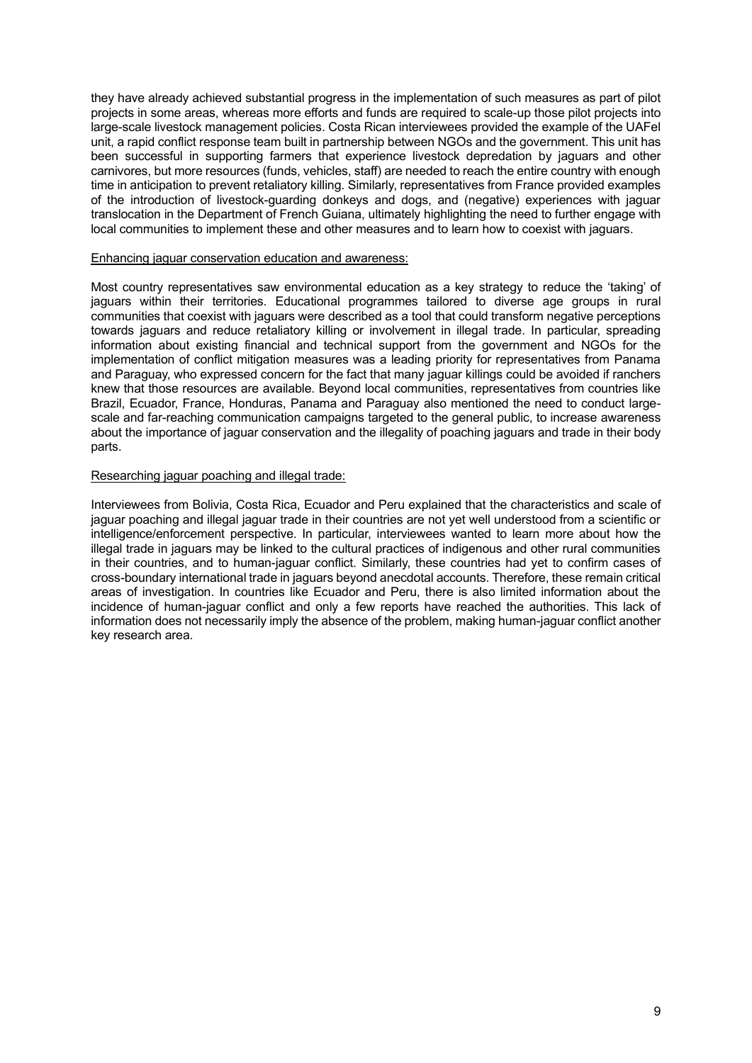they have already achieved substantial progress in the implementation of such measures as part of pilot projects in some areas, whereas more efforts and funds are required to scale-up those pilot projects into large-scale livestock management policies. Costa Rican interviewees provided the example of the UAFel unit, a rapid conflict response team built in partnership between NGOs and the government. This unit has been successful in supporting farmers that experience livestock depredation by jaguars and other carnivores, but more resources (funds, vehicles, staff) are needed to reach the entire country with enough time in anticipation to prevent retaliatory killing. Similarly, representatives from France provided examples of the introduction of livestock-guarding donkeys and dogs, and (negative) experiences with jaguar translocation in the Department of French Guiana, ultimately highlighting the need to further engage with local communities to implement these and other measures and to learn how to coexist with jaguars.

#### Enhancing jaguar conservation education and awareness:

Most country representatives saw environmental education as a key strategy to reduce the 'taking' of jaguars within their territories. Educational programmes tailored to diverse age groups in rural communities that coexist with jaguars were described as a tool that could transform negative perceptions towards jaguars and reduce retaliatory killing or involvement in illegal trade. In particular, spreading information about existing financial and technical support from the government and NGOs for the implementation of conflict mitigation measures was a leading priority for representatives from Panama and Paraguay, who expressed concern for the fact that many jaguar killings could be avoided if ranchers knew that those resources are available. Beyond local communities, representatives from countries like Brazil, Ecuador, France, Honduras, Panama and Paraguay also mentioned the need to conduct largescale and far-reaching communication campaigns targeted to the general public, to increase awareness about the importance of jaguar conservation and the illegality of poaching jaguars and trade in their body parts.

## Researching jaguar poaching and illegal trade:

Interviewees from Bolivia, Costa Rica, Ecuador and Peru explained that the characteristics and scale of jaguar poaching and illegal jaguar trade in their countries are not yet well understood from a scientific or intelligence/enforcement perspective. In particular, interviewees wanted to learn more about how the illegal trade in jaguars may be linked to the cultural practices of indigenous and other rural communities in their countries, and to human-jaguar conflict. Similarly, these countries had yet to confirm cases of cross-boundary international trade in jaguars beyond anecdotal accounts. Therefore, these remain critical areas of investigation. In countries like Ecuador and Peru, there is also limited information about the incidence of human-jaguar conflict and only a few reports have reached the authorities. This lack of information does not necessarily imply the absence of the problem, making human-jaguar conflict another key research area.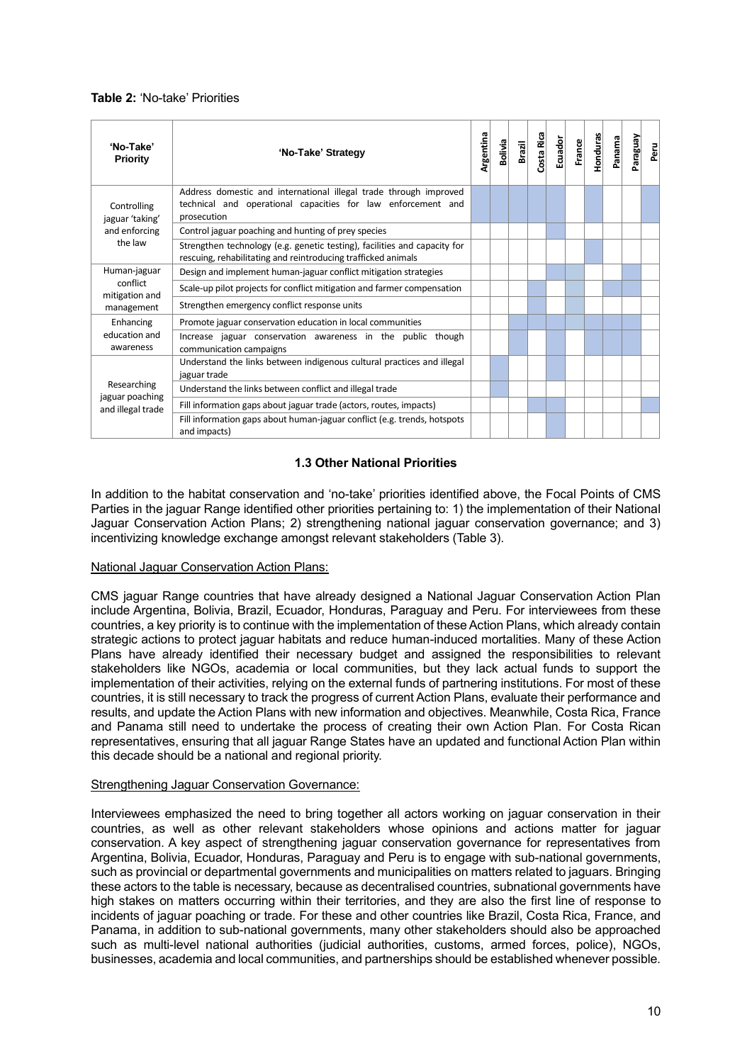# **Table 2:** 'No-take' Priorities

| 'No-Take'<br>Priority                | 'No-Take' Strategy                                                                                                                               | Argentina | <b>Bolivia</b> | Brazil | Costa Rica | Ecuador | France | Honduras | Panama | <b>Paraguay</b> | Peru |
|--------------------------------------|--------------------------------------------------------------------------------------------------------------------------------------------------|-----------|----------------|--------|------------|---------|--------|----------|--------|-----------------|------|
| Controlling<br>jaguar 'taking'       | Address domestic and international illegal trade through improved<br>technical and operational capacities for law enforcement and<br>prosecution |           |                |        |            |         |        |          |        |                 |      |
| and enforcing                        | Control jaguar poaching and hunting of prey species                                                                                              |           |                |        |            |         |        |          |        |                 |      |
| the law                              | Strengthen technology (e.g. genetic testing), facilities and capacity for<br>rescuing, rehabilitating and reintroducing trafficked animals       |           |                |        |            |         |        |          |        |                 |      |
| Human-jaguar                         | Design and implement human-jaguar conflict mitigation strategies                                                                                 |           |                |        |            |         |        |          |        |                 |      |
| conflict<br>mitigation and           | Scale-up pilot projects for conflict mitigation and farmer compensation                                                                          |           |                |        |            |         |        |          |        |                 |      |
| management                           | Strengthen emergency conflict response units                                                                                                     |           |                |        |            |         |        |          |        |                 |      |
| Enhancing                            | Promote jaguar conservation education in local communities                                                                                       |           |                |        |            |         |        |          |        |                 |      |
| education and<br>awareness           | Increase jaguar conservation awareness in the public though<br>communication campaigns                                                           |           |                |        |            |         |        |          |        |                 |      |
|                                      | Understand the links between indigenous cultural practices and illegal<br>jaguar trade                                                           |           |                |        |            |         |        |          |        |                 |      |
| Researching                          | Understand the links between conflict and illegal trade                                                                                          |           |                |        |            |         |        |          |        |                 |      |
| jaguar poaching<br>and illegal trade | Fill information gaps about jaguar trade (actors, routes, impacts)                                                                               |           |                |        |            |         |        |          |        |                 |      |
|                                      | Fill information gaps about human-jaguar conflict (e.g. trends, hotspots<br>and impacts)                                                         |           |                |        |            |         |        |          |        |                 |      |

# **1.3 Other National Priorities**

<span id="page-9-0"></span>In addition to the habitat conservation and 'no-take' priorities identified above, the Focal Points of CMS Parties in the jaguar Range identified other priorities pertaining to: 1) the implementation of their National Jaguar Conservation Action Plans; 2) strengthening national jaguar conservation governance; and 3) incentivizing knowledge exchange amongst relevant stakeholders (Table 3).

#### National Jaguar Conservation Action Plans:

CMS jaguar Range countries that have already designed a National Jaguar Conservation Action Plan include Argentina, Bolivia, Brazil, Ecuador, Honduras, Paraguay and Peru. For interviewees from these countries, a key priority is to continue with the implementation of these Action Plans, which already contain strategic actions to protect jaguar habitats and reduce human-induced mortalities. Many of these Action Plans have already identified their necessary budget and assigned the responsibilities to relevant stakeholders like NGOs, academia or local communities, but they lack actual funds to support the implementation of their activities, relying on the external funds of partnering institutions. For most of these countries, it is still necessary to track the progress of current Action Plans, evaluate their performance and results, and update the Action Plans with new information and objectives. Meanwhile, Costa Rica, France and Panama still need to undertake the process of creating their own Action Plan. For Costa Rican representatives, ensuring that all jaguar Range States have an updated and functional Action Plan within this decade should be a national and regional priority.

#### Strengthening Jaguar Conservation Governance:

Interviewees emphasized the need to bring together all actors working on jaguar conservation in their countries, as well as other relevant stakeholders whose opinions and actions matter for jaguar conservation. A key aspect of strengthening jaguar conservation governance for representatives from Argentina, Bolivia, Ecuador, Honduras, Paraguay and Peru is to engage with sub-national governments, such as provincial or departmental governments and municipalities on matters related to jaguars. Bringing these actors to the table is necessary, because as decentralised countries, subnational governments have high stakes on matters occurring within their territories, and they are also the first line of response to incidents of jaguar poaching or trade. For these and other countries like Brazil, Costa Rica, France, and Panama, in addition to sub-national governments, many other stakeholders should also be approached such as multi-level national authorities (judicial authorities, customs, armed forces, police), NGOs, businesses, academia and local communities, and partnerships should be established whenever possible.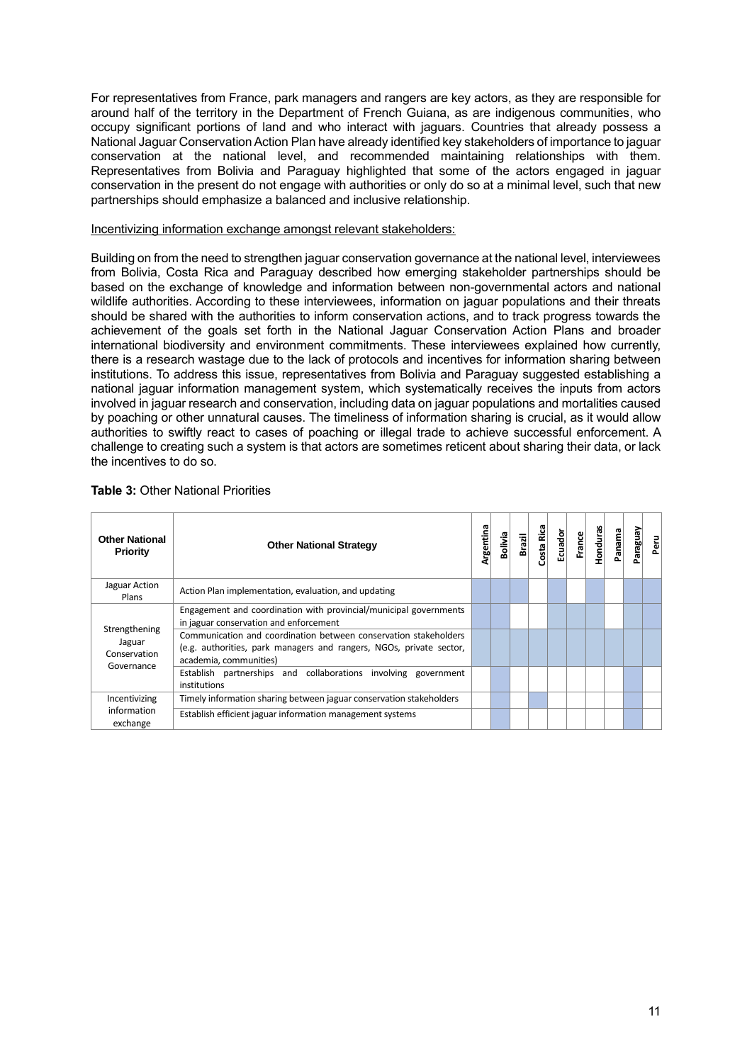For representatives from France, park managers and rangers are key actors, as they are responsible for around half of the territory in the Department of French Guiana, as are indigenous communities, who occupy significant portions of land and who interact with jaguars. Countries that already possess a National Jaguar Conservation Action Plan have already identified key stakeholders of importance to jaguar conservation at the national level, and recommended maintaining relationships with them. Representatives from Bolivia and Paraguay highlighted that some of the actors engaged in jaguar conservation in the present do not engage with authorities or only do so at a minimal level, such that new partnerships should emphasize a balanced and inclusive relationship.

#### Incentivizing information exchange amongst relevant stakeholders:

Building on from the need to strengthen jaguar conservation governance at the national level, interviewees from Bolivia, Costa Rica and Paraguay described how emerging stakeholder partnerships should be based on the exchange of knowledge and information between non-governmental actors and national wildlife authorities. According to these interviewees, information on jaguar populations and their threats should be shared with the authorities to inform conservation actions, and to track progress towards the achievement of the goals set forth in the National Jaguar Conservation Action Plans and broader international biodiversity and environment commitments. These interviewees explained how currently, there is a research wastage due to the lack of protocols and incentives for information sharing between institutions. To address this issue, representatives from Bolivia and Paraguay suggested establishing a national jaguar information management system, which systematically receives the inputs from actors involved in jaguar research and conservation, including data on jaguar populations and mortalities caused by poaching or other unnatural causes. The timeliness of information sharing is crucial, as it would allow authorities to swiftly react to cases of poaching or illegal trade to achieve successful enforcement. A challenge to creating such a system is that actors are sometimes reticent about sharing their data, or lack the incentives to do so.

| <b>Other National</b><br>Priority                     | <b>Other National Strategy</b>                                                                                                                                    | Argentina | <b>Bolivia</b> | <b>Brazil</b> | Costa Rica | <b>Ecuador</b> | France | <b>Honduras</b> | Panama | VenBeJe | Peru |
|-------------------------------------------------------|-------------------------------------------------------------------------------------------------------------------------------------------------------------------|-----------|----------------|---------------|------------|----------------|--------|-----------------|--------|---------|------|
| Jaguar Action<br>Plans                                | Action Plan implementation, evaluation, and updating                                                                                                              |           |                |               |            |                |        |                 |        |         |      |
| Strengthening<br>Jaguar<br>Conservation<br>Governance | Engagement and coordination with provincial/municipal governments<br>in jaguar conservation and enforcement                                                       |           |                |               |            |                |        |                 |        |         |      |
|                                                       | Communication and coordination between conservation stakeholders<br>(e.g. authorities, park managers and rangers, NGOs, private sector,<br>academia, communities) |           |                |               |            |                |        |                 |        |         |      |
|                                                       | Establish partnerships and collaborations involving government<br>institutions                                                                                    |           |                |               |            |                |        |                 |        |         |      |
| Incentivizing                                         | Timely information sharing between jaguar conservation stakeholders                                                                                               |           |                |               |            |                |        |                 |        |         |      |
| information<br>exchange                               | Establish efficient jaguar information management systems                                                                                                         |           |                |               |            |                |        |                 |        |         |      |

#### **Table 3:** Other National Priorities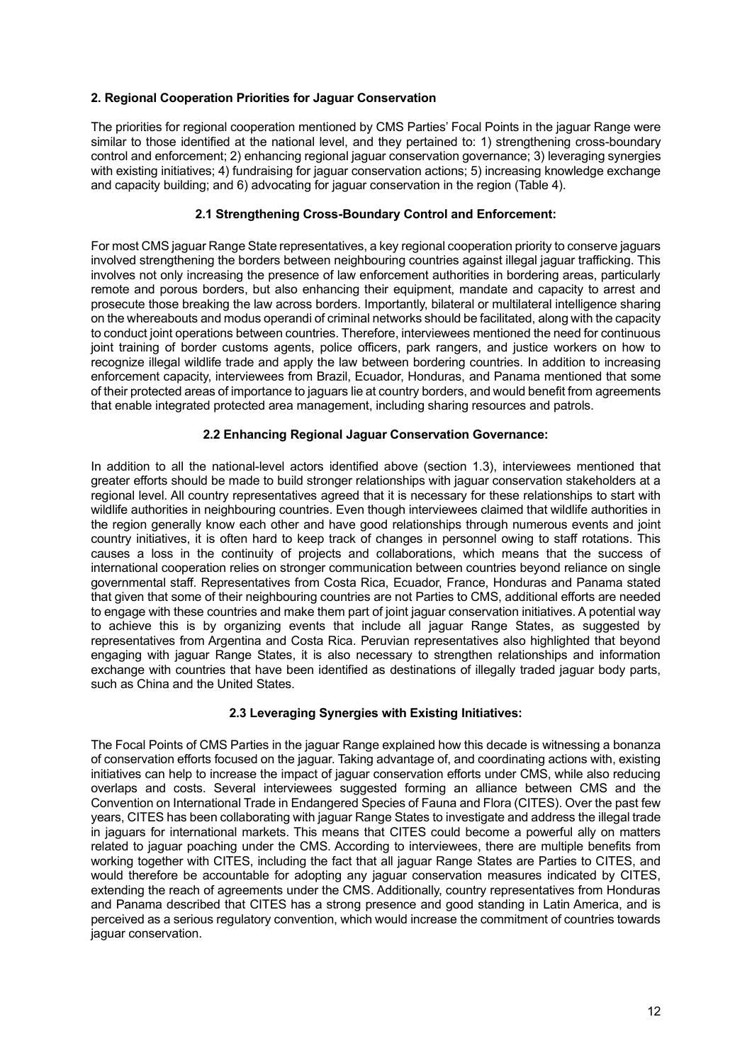# <span id="page-11-0"></span>**2. Regional Cooperation Priorities for Jaguar Conservation**

The priorities for regional cooperation mentioned by CMS Parties' Focal Points in the jaguar Range were similar to those identified at the national level, and they pertained to: 1) strengthening cross-boundary control and enforcement; 2) enhancing regional jaguar conservation governance; 3) leveraging synergies with existing initiatives; 4) fundraising for jaguar conservation actions; 5) increasing knowledge exchange and capacity building; and 6) advocating for jaguar conservation in the region (Table 4).

# **2.1 Strengthening Cross-Boundary Control and Enforcement:**

<span id="page-11-1"></span>For most CMS jaguar Range State representatives, a key regional cooperation priority to conserve jaguars involved strengthening the borders between neighbouring countries against illegal jaguar trafficking. This involves not only increasing the presence of law enforcement authorities in bordering areas, particularly remote and porous borders, but also enhancing their equipment, mandate and capacity to arrest and prosecute those breaking the law across borders. Importantly, bilateral or multilateral intelligence sharing on the whereabouts and modus operandi of criminal networks should be facilitated, along with the capacity to conduct joint operations between countries. Therefore, interviewees mentioned the need for continuous joint training of border customs agents, police officers, park rangers, and justice workers on how to recognize illegal wildlife trade and apply the law between bordering countries. In addition to increasing enforcement capacity, interviewees from Brazil, Ecuador, Honduras, and Panama mentioned that some of their protected areas of importance to jaguars lie at country borders, and would benefit from agreements that enable integrated protected area management, including sharing resources and patrols.

# **2.2 Enhancing Regional Jaguar Conservation Governance:**

<span id="page-11-2"></span>In addition to all the national-level actors identified above (section 1.3), interviewees mentioned that greater efforts should be made to build stronger relationships with jaguar conservation stakeholders at a regional level. All country representatives agreed that it is necessary for these relationships to start with wildlife authorities in neighbouring countries. Even though interviewees claimed that wildlife authorities in the region generally know each other and have good relationships through numerous events and joint country initiatives, it is often hard to keep track of changes in personnel owing to staff rotations. This causes a loss in the continuity of projects and collaborations, which means that the success of international cooperation relies on stronger communication between countries beyond reliance on single governmental staff. Representatives from Costa Rica, Ecuador, France, Honduras and Panama stated that given that some of their neighbouring countries are not Parties to CMS, additional efforts are needed to engage with these countries and make them part of joint jaguar conservation initiatives. A potential way to achieve this is by organizing events that include all jaguar Range States, as suggested by representatives from Argentina and Costa Rica. Peruvian representatives also highlighted that beyond engaging with jaguar Range States, it is also necessary to strengthen relationships and information exchange with countries that have been identified as destinations of illegally traded jaguar body parts, such as China and the United States.

# **2.3 Leveraging Synergies with Existing Initiatives:**

<span id="page-11-3"></span>The Focal Points of CMS Parties in the jaguar Range explained how this decade is witnessing a bonanza of conservation efforts focused on the jaguar. Taking advantage of, and coordinating actions with, existing initiatives can help to increase the impact of jaguar conservation efforts under CMS, while also reducing overlaps and costs. Several interviewees suggested forming an alliance between CMS and the Convention on International Trade in Endangered Species of Fauna and Flora (CITES). Over the past few years, CITES has been collaborating with jaguar Range States to investigate and address the illegal trade in jaguars for international markets. This means that CITES could become a powerful ally on matters related to jaguar poaching under the CMS. According to interviewees, there are multiple benefits from working together with CITES, including the fact that all jaguar Range States are Parties to CITES, and would therefore be accountable for adopting any jaguar conservation measures indicated by CITES, extending the reach of agreements under the CMS. Additionally, country representatives from Honduras and Panama described that CITES has a strong presence and good standing in Latin America, and is perceived as a serious regulatory convention, which would increase the commitment of countries towards jaguar conservation.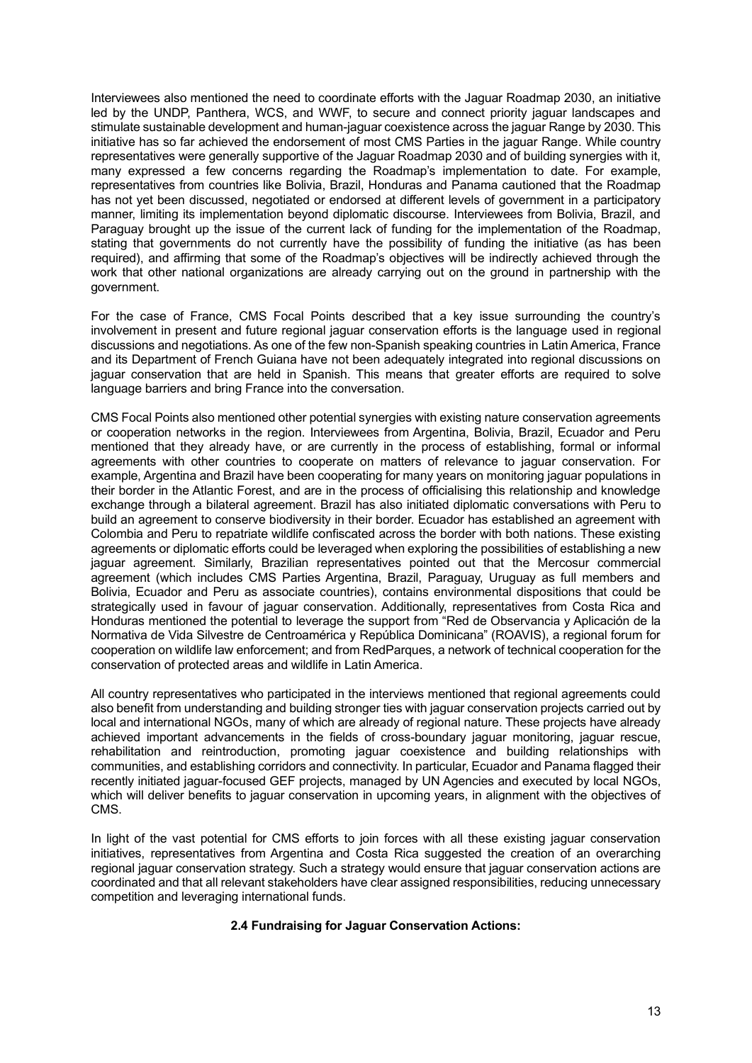Interviewees also mentioned the need to coordinate efforts with the Jaguar Roadmap 2030, an initiative led by the UNDP, Panthera, WCS, and WWF, to secure and connect priority jaguar landscapes and stimulate sustainable development and human-jaguar coexistence across the jaguar Range by 2030. This initiative has so far achieved the endorsement of most CMS Parties in the jaguar Range. While country representatives were generally supportive of the Jaguar Roadmap 2030 and of building synergies with it, many expressed a few concerns regarding the Roadmap's implementation to date. For example, representatives from countries like Bolivia, Brazil, Honduras and Panama cautioned that the Roadmap has not yet been discussed, negotiated or endorsed at different levels of government in a participatory manner, limiting its implementation beyond diplomatic discourse. Interviewees from Bolivia, Brazil, and Paraguay brought up the issue of the current lack of funding for the implementation of the Roadmap, stating that governments do not currently have the possibility of funding the initiative (as has been required), and affirming that some of the Roadmap's objectives will be indirectly achieved through the work that other national organizations are already carrying out on the ground in partnership with the government.

For the case of France, CMS Focal Points described that a key issue surrounding the country's involvement in present and future regional jaguar conservation efforts is the language used in regional discussions and negotiations. As one of the few non-Spanish speaking countries in Latin America, France and its Department of French Guiana have not been adequately integrated into regional discussions on jaguar conservation that are held in Spanish. This means that greater efforts are required to solve language barriers and bring France into the conversation.

CMS Focal Points also mentioned other potential synergies with existing nature conservation agreements or cooperation networks in the region. Interviewees from Argentina, Bolivia, Brazil, Ecuador and Peru mentioned that they already have, or are currently in the process of establishing, formal or informal agreements with other countries to cooperate on matters of relevance to jaguar conservation. For example, Argentina and Brazil have been cooperating for many years on monitoring jaguar populations in their border in the Atlantic Forest, and are in the process of officialising this relationship and knowledge exchange through a bilateral agreement. Brazil has also initiated diplomatic conversations with Peru to build an agreement to conserve biodiversity in their border. Ecuador has established an agreement with Colombia and Peru to repatriate wildlife confiscated across the border with both nations. These existing agreements or diplomatic efforts could be leveraged when exploring the possibilities of establishing a new jaguar agreement. Similarly, Brazilian representatives pointed out that the Mercosur commercial agreement (which includes CMS Parties Argentina, Brazil, Paraguay, Uruguay as full members and Bolivia, Ecuador and Peru as associate countries), contains environmental dispositions that could be strategically used in favour of jaguar conservation. Additionally, representatives from Costa Rica and Honduras mentioned the potential to leverage the support from "Red de Observancia y Aplicación de la Normativa de Vida Silvestre de Centroamérica y República Dominicana" (ROAVIS), a regional forum for cooperation on wildlife law enforcement; and from RedParques, a network of technical cooperation for the conservation of protected areas and wildlife in Latin America.

All country representatives who participated in the interviews mentioned that regional agreements could also benefit from understanding and building stronger ties with jaguar conservation projects carried out by local and international NGOs, many of which are already of regional nature. These projects have already achieved important advancements in the fields of cross-boundary jaguar monitoring, jaguar rescue, rehabilitation and reintroduction, promoting jaguar coexistence and building relationships with communities, and establishing corridors and connectivity. In particular, Ecuador and Panama flagged their recently initiated jaguar-focused GEF projects, managed by UN Agencies and executed by local NGOs, which will deliver benefits to jaguar conservation in upcoming years, in alignment with the objectives of CMS.

<span id="page-12-0"></span>In light of the vast potential for CMS efforts to join forces with all these existing jaguar conservation initiatives, representatives from Argentina and Costa Rica suggested the creation of an overarching regional jaguar conservation strategy. Such a strategy would ensure that jaguar conservation actions are coordinated and that all relevant stakeholders have clear assigned responsibilities, reducing unnecessary competition and leveraging international funds.

# **2.4 Fundraising for Jaguar Conservation Actions:**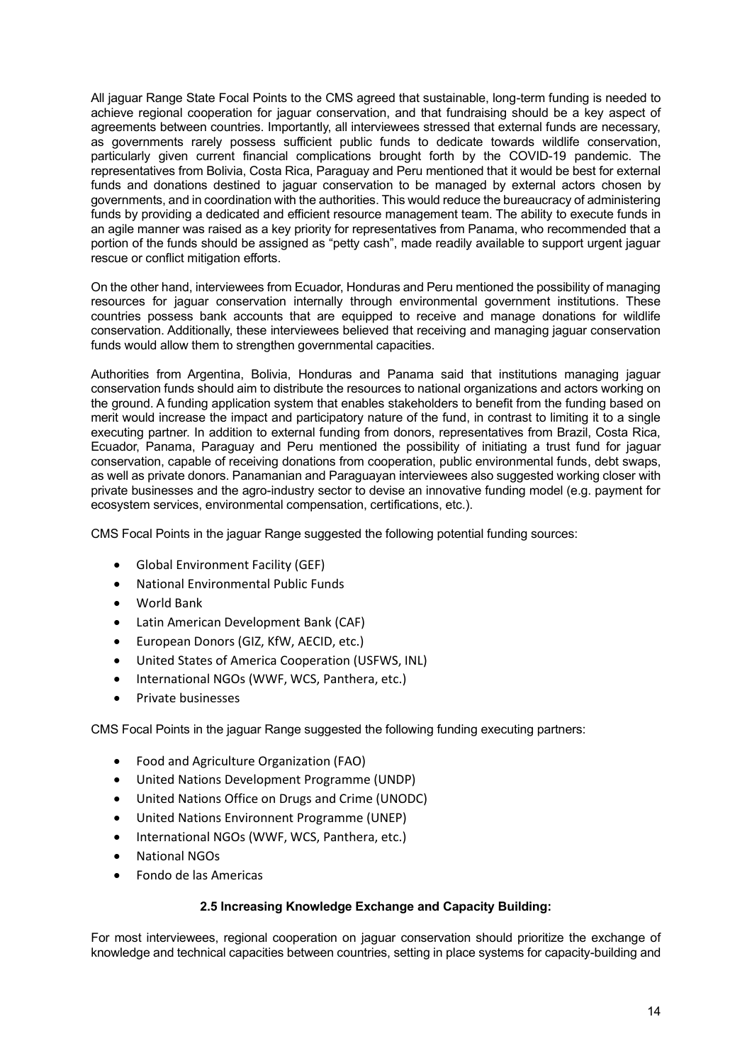All jaguar Range State Focal Points to the CMS agreed that sustainable, long-term funding is needed to achieve regional cooperation for jaguar conservation, and that fundraising should be a key aspect of agreements between countries. Importantly, all interviewees stressed that external funds are necessary, as governments rarely possess sufficient public funds to dedicate towards wildlife conservation, particularly given current financial complications brought forth by the COVID-19 pandemic. The representatives from Bolivia, Costa Rica, Paraguay and Peru mentioned that it would be best for external funds and donations destined to jaguar conservation to be managed by external actors chosen by governments, and in coordination with the authorities. This would reduce the bureaucracy of administering funds by providing a dedicated and efficient resource management team. The ability to execute funds in an agile manner was raised as a key priority for representatives from Panama, who recommended that a portion of the funds should be assigned as "petty cash", made readily available to support urgent jaguar rescue or conflict mitigation efforts.

On the other hand, interviewees from Ecuador, Honduras and Peru mentioned the possibility of managing resources for jaguar conservation internally through environmental government institutions. These countries possess bank accounts that are equipped to receive and manage donations for wildlife conservation. Additionally, these interviewees believed that receiving and managing jaguar conservation funds would allow them to strengthen governmental capacities.

Authorities from Argentina, Bolivia, Honduras and Panama said that institutions managing jaguar conservation funds should aim to distribute the resources to national organizations and actors working on the ground. A funding application system that enables stakeholders to benefit from the funding based on merit would increase the impact and participatory nature of the fund, in contrast to limiting it to a single executing partner. In addition to external funding from donors, representatives from Brazil, Costa Rica, Ecuador, Panama, Paraguay and Peru mentioned the possibility of initiating a trust fund for jaguar conservation, capable of receiving donations from cooperation, public environmental funds, debt swaps, as well as private donors. Panamanian and Paraguayan interviewees also suggested working closer with private businesses and the agro-industry sector to devise an innovative funding model (e.g. payment for ecosystem services, environmental compensation, certifications, etc.).

CMS Focal Points in the jaguar Range suggested the following potential funding sources:

- Global Environment Facility (GEF)
- National Environmental Public Funds
- World Bank
- Latin American Development Bank (CAF)
- European Donors (GIZ, KfW, AECID, etc.)
- United States of America Cooperation (USFWS, INL)
- International NGOs (WWF, WCS, Panthera, etc.)
- Private businesses

CMS Focal Points in the jaguar Range suggested the following funding executing partners:

- Food and Agriculture Organization (FAO)
- United Nations Development Programme (UNDP)
- United Nations Office on Drugs and Crime (UNODC)
- United Nations Environnent Programme (UNEP)
- International NGOs (WWF, WCS, Panthera, etc.)
- National NGOs
- Fondo de las Americas

#### **2.5 Increasing Knowledge Exchange and Capacity Building:**

<span id="page-13-0"></span>For most interviewees, regional cooperation on jaguar conservation should prioritize the exchange of knowledge and technical capacities between countries, setting in place systems for capacity-building and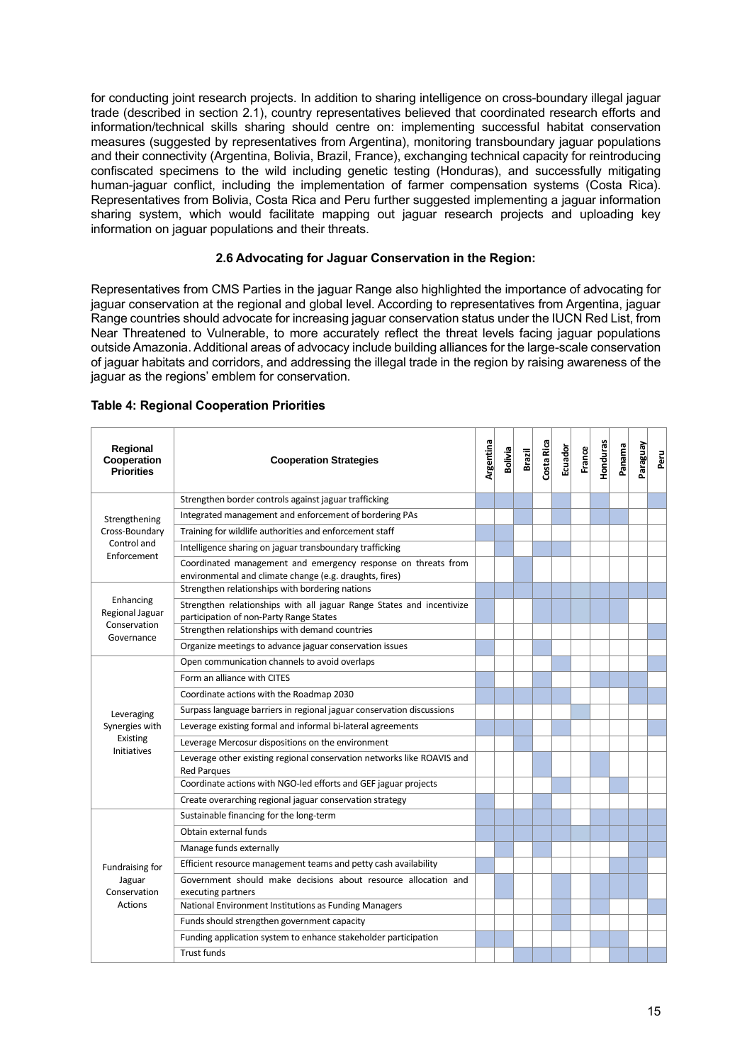for conducting joint research projects. In addition to sharing intelligence on cross-boundary illegal jaguar trade (described in section 2.1), country representatives believed that coordinated research efforts and information/technical skills sharing should centre on: implementing successful habitat conservation measures (suggested by representatives from Argentina), monitoring transboundary jaguar populations and their connectivity (Argentina, Bolivia, Brazil, France), exchanging technical capacity for reintroducing confiscated specimens to the wild including genetic testing (Honduras), and successfully mitigating human-jaguar conflict, including the implementation of farmer compensation systems (Costa Rica). Representatives from Bolivia, Costa Rica and Peru further suggested implementing a jaguar information sharing system, which would facilitate mapping out jaguar research projects and uploading key information on jaguar populations and their threats.

# **2.6 Advocating for Jaguar Conservation in the Region:**

<span id="page-14-0"></span>Representatives from CMS Parties in the jaguar Range also highlighted the importance of advocating for jaguar conservation at the regional and global level. According to representatives from Argentina, jaguar Range countries should advocate for increasing jaguar conservation status under the IUCN Red List, from Near Threatened to Vulnerable, to more accurately reflect the threat levels facing jaguar populations outside Amazonia. Additional areas of advocacy include building alliances for the large-scale conservation of jaguar habitats and corridors, and addressing the illegal trade in the region by raising awareness of the jaguar as the regions' emblem for conservation.

| Regional<br>Cooperation<br><b>Priorities</b> | <b>Cooperation Strategies</b>                                                                                            | Argentina | <b>Bolivia</b> | Brazil | Costa Rica | Ecuador | France | Honduras | Panama | Paraguay | Peru |
|----------------------------------------------|--------------------------------------------------------------------------------------------------------------------------|-----------|----------------|--------|------------|---------|--------|----------|--------|----------|------|
|                                              | Strengthen border controls against jaguar trafficking                                                                    |           |                |        |            |         |        |          |        |          |      |
| Strengthening                                | Integrated management and enforcement of bordering PAs                                                                   |           |                |        |            |         |        |          |        |          |      |
| Cross-Boundary                               | Training for wildlife authorities and enforcement staff                                                                  |           |                |        |            |         |        |          |        |          |      |
| Control and                                  | Intelligence sharing on jaguar transboundary trafficking                                                                 |           |                |        |            |         |        |          |        |          |      |
| Enforcement                                  | Coordinated management and emergency response on threats from<br>environmental and climate change (e.g. draughts, fires) |           |                |        |            |         |        |          |        |          |      |
|                                              | Strengthen relationships with bordering nations                                                                          |           |                |        |            |         |        |          |        |          |      |
| Enhancing<br>Regional Jaguar                 | Strengthen relationships with all jaguar Range States and incentivize<br>participation of non-Party Range States         |           |                |        |            |         |        |          |        |          |      |
| Conservation<br>Governance                   | Strengthen relationships with demand countries                                                                           |           |                |        |            |         |        |          |        |          |      |
|                                              | Organize meetings to advance jaguar conservation issues                                                                  |           |                |        |            |         |        |          |        |          |      |
|                                              | Open communication channels to avoid overlaps                                                                            |           |                |        |            |         |        |          |        |          |      |
|                                              | Form an alliance with CITES                                                                                              |           |                |        |            |         |        |          |        |          |      |
|                                              | Coordinate actions with the Roadmap 2030                                                                                 |           |                |        |            |         |        |          |        |          |      |
| Leveraging                                   | Surpass language barriers in regional jaguar conservation discussions                                                    |           |                |        |            |         |        |          |        |          |      |
| Synergies with                               | Leverage existing formal and informal bi-lateral agreements                                                              |           |                |        |            |         |        |          |        |          |      |
| Existing<br><b>Initiatives</b>               | Leverage Mercosur dispositions on the environment                                                                        |           |                |        |            |         |        |          |        |          |      |
|                                              | Leverage other existing regional conservation networks like ROAVIS and<br><b>Red Parques</b>                             |           |                |        |            |         |        |          |        |          |      |
|                                              | Coordinate actions with NGO-led efforts and GEF jaguar projects                                                          |           |                |        |            |         |        |          |        |          |      |
|                                              | Create overarching regional jaguar conservation strategy                                                                 |           |                |        |            |         |        |          |        |          |      |
|                                              | Sustainable financing for the long-term                                                                                  |           |                |        |            |         |        |          |        |          |      |
|                                              | Obtain external funds                                                                                                    |           |                |        |            |         |        |          |        |          |      |
|                                              | Manage funds externally                                                                                                  |           |                |        |            |         |        |          |        |          |      |
| Fundraising for                              | Efficient resource management teams and petty cash availability                                                          |           |                |        |            |         |        |          |        |          |      |
| Jaguar<br>Conservation                       | Government should make decisions about resource allocation and<br>executing partners                                     |           |                |        |            |         |        |          |        |          |      |
| Actions                                      | National Environment Institutions as Funding Managers                                                                    |           |                |        |            |         |        |          |        |          |      |
|                                              | Funds should strengthen government capacity                                                                              |           |                |        |            |         |        |          |        |          |      |
|                                              | Funding application system to enhance stakeholder participation                                                          |           |                |        |            |         |        |          |        |          |      |
|                                              | <b>Trust funds</b>                                                                                                       |           |                |        |            |         |        |          |        |          |      |

#### **Table 4: Regional Cooperation Priorities**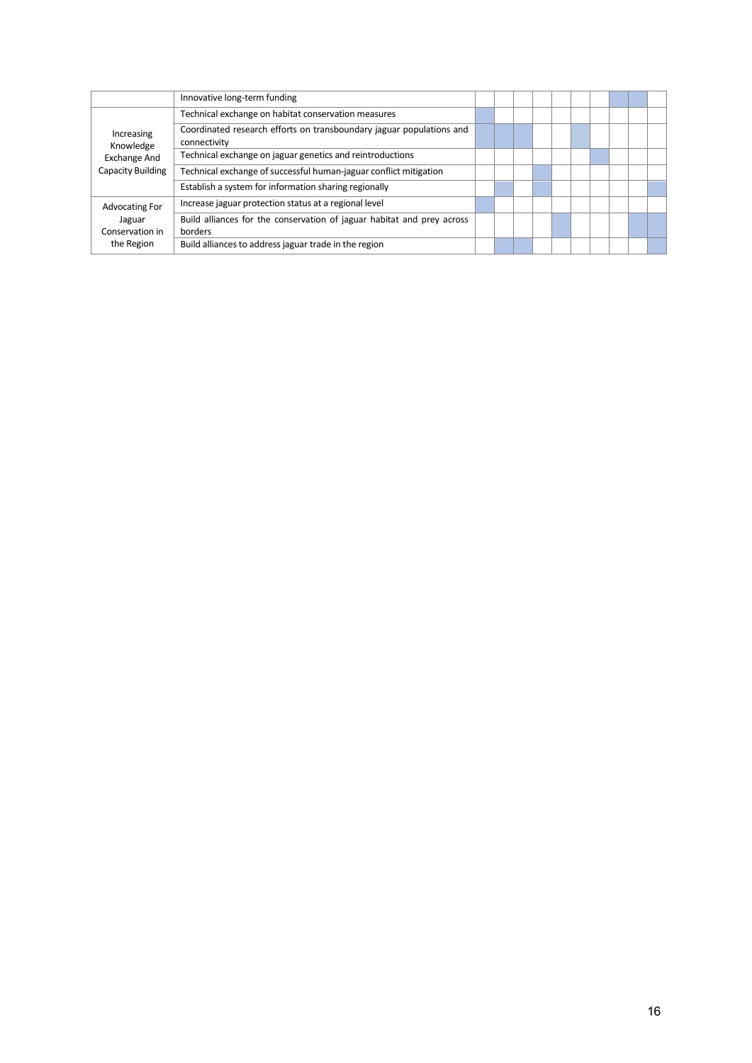|                                                                     | Innovative long-term funding                                                         |  |  |  |  |  |
|---------------------------------------------------------------------|--------------------------------------------------------------------------------------|--|--|--|--|--|
|                                                                     | Technical exchange on habitat conservation measures                                  |  |  |  |  |  |
| Increasing<br>Knowledge<br><b>Exchange And</b><br>Capacity Building | Coordinated research efforts on transboundary jaguar populations and<br>connectivity |  |  |  |  |  |
|                                                                     | Technical exchange on jaguar genetics and reintroductions                            |  |  |  |  |  |
|                                                                     | Technical exchange of successful human-jaguar conflict mitigation                    |  |  |  |  |  |
|                                                                     | Establish a system for information sharing regionally                                |  |  |  |  |  |
| Advocating For                                                      | Increase jaguar protection status at a regional level                                |  |  |  |  |  |
| Jaguar<br>Conservation in<br>the Region                             | Build alliances for the conservation of jaguar habitat and prey across<br>borders    |  |  |  |  |  |
|                                                                     | Build alliances to address jaguar trade in the region                                |  |  |  |  |  |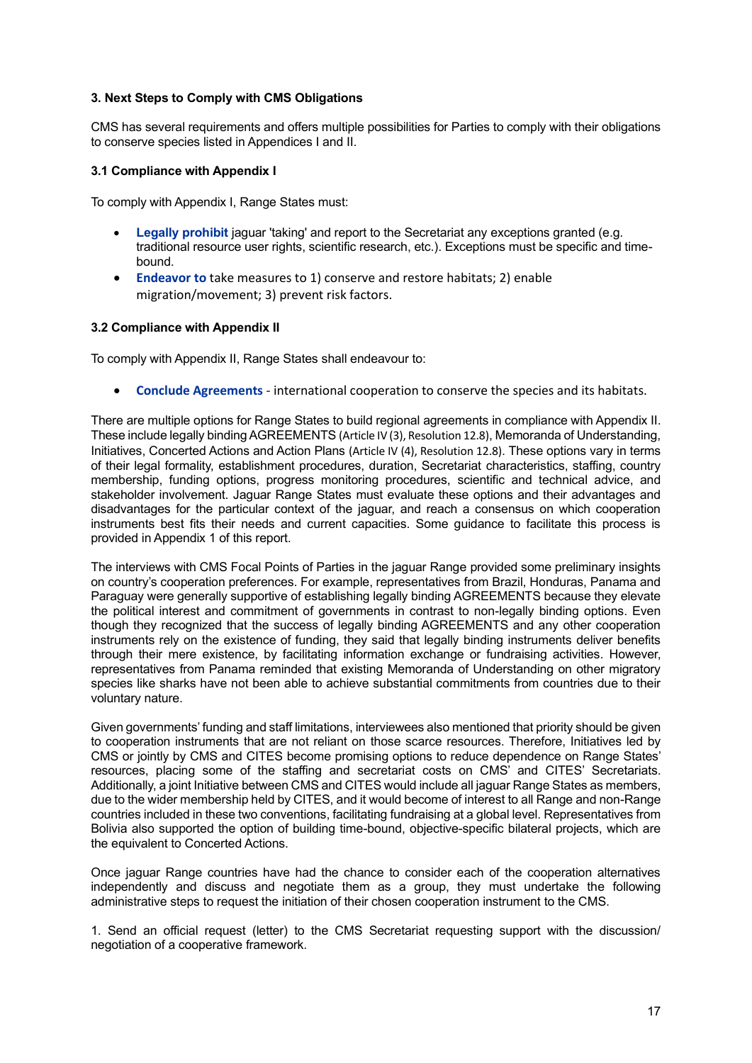# <span id="page-16-0"></span>**3. Next Steps to Comply with CMS Obligations**

CMS has several requirements and offers multiple possibilities for Parties to comply with their obligations to conserve species listed in Appendices I and II.

# <span id="page-16-1"></span>**3.1 Compliance with Appendix I**

To comply with Appendix I, Range States must:

- **Legally prohibit** jaguar 'taking' and report to the Secretariat any exceptions granted (e.g. traditional resource user rights, scientific research, etc.). Exceptions must be specific and timebound.
- **Endeavor to** take measures to 1) conserve and restore habitats; 2) enable migration/movement; 3) prevent risk factors.

## <span id="page-16-2"></span>**3.2 Compliance with Appendix II**

To comply with Appendix II, Range States shall endeavour to:

• **Conclude Agreements** - international cooperation to conserve the species and its habitats.

There are multiple options for Range States to build regional agreements in compliance with Appendix II. These include legally binding AGREEMENTS (Article IV (3), Resolution 12.8), Memoranda of Understanding, Initiatives, Concerted Actions and Action Plans (Article IV (4), Resolution 12.8). These options vary in terms of their legal formality, establishment procedures, duration, Secretariat characteristics, staffing, country membership, funding options, progress monitoring procedures, scientific and technical advice, and stakeholder involvement. Jaguar Range States must evaluate these options and their advantages and disadvantages for the particular context of the jaguar, and reach a consensus on which cooperation instruments best fits their needs and current capacities. Some guidance to facilitate this process is provided in Appendix 1 of this report.

The interviews with CMS Focal Points of Parties in the jaguar Range provided some preliminary insights on country's cooperation preferences. For example, representatives from Brazil, Honduras, Panama and Paraguay were generally supportive of establishing legally binding AGREEMENTS because they elevate the political interest and commitment of governments in contrast to non-legally binding options. Even though they recognized that the success of legally binding AGREEMENTS and any other cooperation instruments rely on the existence of funding, they said that legally binding instruments deliver benefits through their mere existence, by facilitating information exchange or fundraising activities. However, representatives from Panama reminded that existing Memoranda of Understanding on other migratory species like sharks have not been able to achieve substantial commitments from countries due to their voluntary nature.

Given governments' funding and staff limitations, interviewees also mentioned that priority should be given to cooperation instruments that are not reliant on those scarce resources. Therefore, Initiatives led by CMS or jointly by CMS and CITES become promising options to reduce dependence on Range States' resources, placing some of the staffing and secretariat costs on CMS' and CITES' Secretariats. Additionally, a joint Initiative between CMS and CITES would include all jaguar Range States as members, due to the wider membership held by CITES, and it would become of interest to all Range and non-Range countries included in these two conventions, facilitating fundraising at a global level. Representatives from Bolivia also supported the option of building time-bound, objective-specific bilateral projects, which are the equivalent to Concerted Actions.

Once jaguar Range countries have had the chance to consider each of the cooperation alternatives independently and discuss and negotiate them as a group, they must undertake the following administrative steps to request the initiation of their chosen cooperation instrument to the CMS.

1. Send an official request (letter) to the CMS Secretariat requesting support with the discussion/ negotiation of a cooperative framework.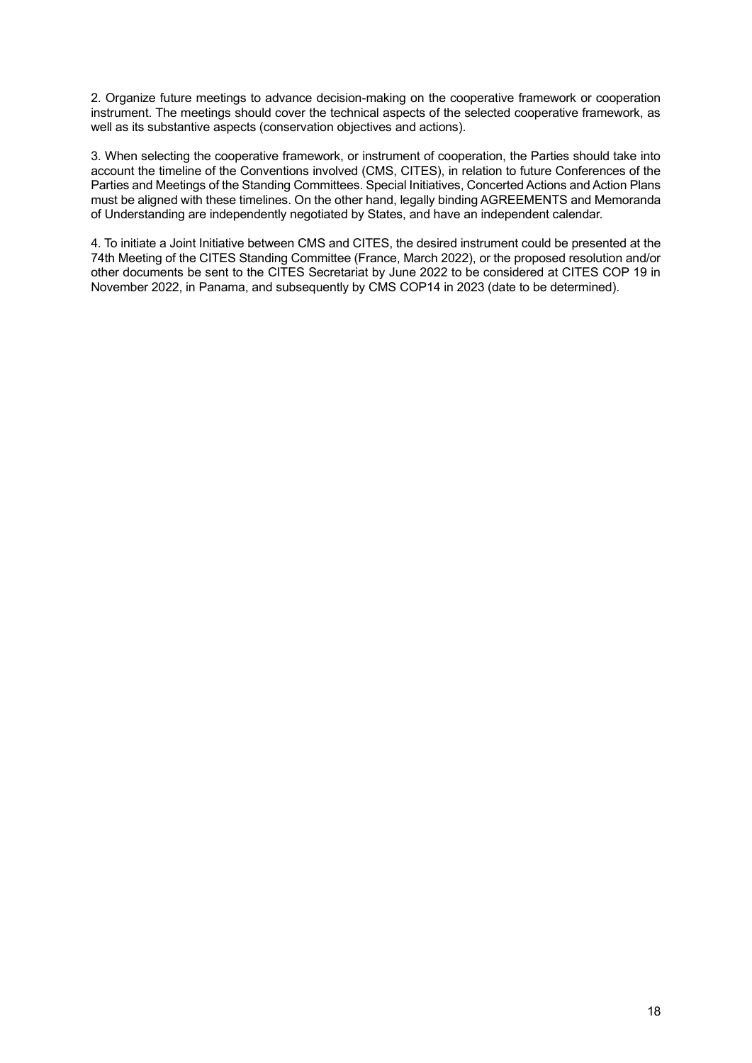2. Organize future meetings to advance decision-making on the cooperative framework or cooperation instrument. The meetings should cover the technical aspects of the selected cooperative framework, as well as its substantive aspects (conservation objectives and actions).

3. When selecting the cooperative framework, or instrument of cooperation, the Parties should take into account the timeline of the Conventions involved (CMS, CITES), in relation to future Conferences of the Parties and Meetings of the Standing Committees. Special Initiatives, Concerted Actions and Action Plans must be aligned with these timelines. On the other hand, legally binding AGREEMENTS and Memoranda of Understanding are independently negotiated by States, and have an independent calendar.

4. To initiate a Joint Initiative between CMS and CITES, the desired instrument could be presented at the 74th Meeting of the CITES Standing Committee (France, March 2022), or the proposed resolution and/or other documents be sent to the CITES Secretariat by June 2022 to be considered at CITES COP 19 in November 2022, in Panama, and subsequently by CMS COP14 in 2023 (date to be determined).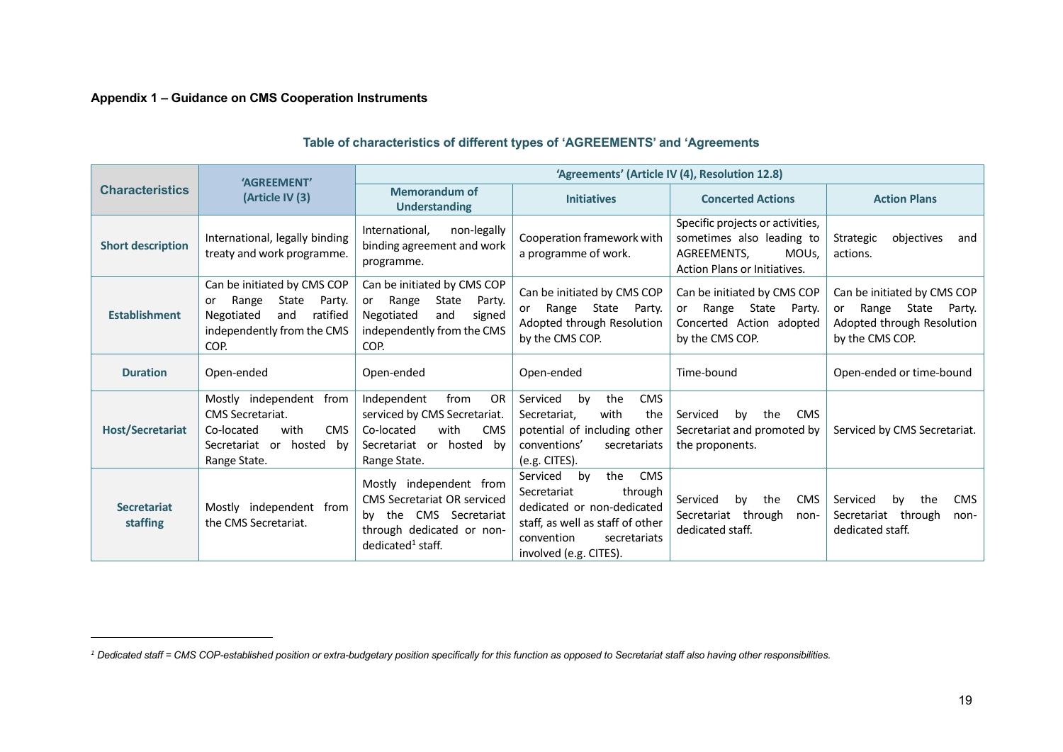# **Appendix 1 – Guidance on CMS Cooperation Instruments**

<span id="page-18-0"></span>

|                                | 'AGREEMENT'                                                                                                                          |                                                                                                                                                       |                                                                                                                                                                                         | 'Agreements' (Article IV (4), Resolution 12.8)                                                                                   |                                                                                                       |  |  |  |  |  |  |
|--------------------------------|--------------------------------------------------------------------------------------------------------------------------------------|-------------------------------------------------------------------------------------------------------------------------------------------------------|-----------------------------------------------------------------------------------------------------------------------------------------------------------------------------------------|----------------------------------------------------------------------------------------------------------------------------------|-------------------------------------------------------------------------------------------------------|--|--|--|--|--|--|
| <b>Characteristics</b>         | (Article IV (3)                                                                                                                      | <b>Memorandum of</b><br><b>Understanding</b>                                                                                                          | <b>Initiatives</b>                                                                                                                                                                      | <b>Concerted Actions</b>                                                                                                         | <b>Action Plans</b>                                                                                   |  |  |  |  |  |  |
| <b>Short description</b>       | International, legally binding<br>treaty and work programme.                                                                         | non-legally<br>International,<br>binding agreement and work<br>programme.                                                                             | Cooperation framework with<br>a programme of work.                                                                                                                                      | Specific projects or activities,<br>sometimes also leading to<br>MOU <sub>s</sub><br>AGREEMENTS,<br>Action Plans or Initiatives. | objectives<br>Strategic<br>and<br>actions.                                                            |  |  |  |  |  |  |
| <b>Establishment</b>           | Can be initiated by CMS COP<br>Range<br>State<br>Party.<br>or<br>ratified<br>Negotiated<br>and<br>independently from the CMS<br>COP. | Can be initiated by CMS COP<br>State<br>Range<br>Party.<br>or<br>Negotiated<br>and<br>signed<br>independently from the CMS<br>COP.                    | Can be initiated by CMS COP<br>Range State Party.<br>or<br>Adopted through Resolution<br>by the CMS COP.                                                                                | Can be initiated by CMS COP<br>Range State<br>Party.<br>or<br>Concerted Action adopted<br>by the CMS COP.                        | Can be initiated by CMS COP<br>or Range State Party.<br>Adopted through Resolution<br>by the CMS COP. |  |  |  |  |  |  |
| <b>Duration</b>                | Open-ended                                                                                                                           | Open-ended                                                                                                                                            | Open-ended                                                                                                                                                                              | Time-bound                                                                                                                       | Open-ended or time-bound                                                                              |  |  |  |  |  |  |
| <b>Host/Secretariat</b>        | Mostly independent from<br><b>CMS</b> Secretariat.<br>with<br><b>CMS</b><br>Co-located<br>Secretariat or hosted by<br>Range State.   | Independent<br>from<br><b>OR</b><br>serviced by CMS Secretariat.<br>with<br>Co-located<br><b>CMS</b><br>Secretariat or hosted by<br>Range State.      | Serviced<br>the<br><b>CMS</b><br>by<br>with<br>the<br>Secretariat,<br>potential of including other<br>conventions'<br>secretariats<br>(e.g. CITES).                                     | by<br>the<br><b>CMS</b><br>Serviced<br>Secretariat and promoted by<br>the proponents.                                            | Serviced by CMS Secretariat.                                                                          |  |  |  |  |  |  |
| <b>Secretariat</b><br>staffing | Mostly independent from<br>the CMS Secretariat.                                                                                      | Mostly independent from<br><b>CMS Secretariat OR serviced</b><br>by the CMS Secretariat<br>through dedicated or non-<br>dedicated <sup>1</sup> staff. | the<br><b>CMS</b><br>Serviced<br>by<br>Secretariat<br>through<br>dedicated or non-dedicated<br>staff, as well as staff of other<br>convention<br>secretariats<br>involved (e.g. CITES). | Serviced<br>the<br><b>CMS</b><br>by<br>Secretariat through<br>non-<br>dedicated staff.                                           | <b>CMS</b><br>Serviced<br>the<br>bv<br>Secretariat through<br>non-<br>dedicated staff.                |  |  |  |  |  |  |

# **Table of characteristics of different types of 'AGREEMENTS' and 'Agreements**

<sup>&</sup>lt;sup>1</sup> Dedicated staff = CMS COP-established position or extra-budgetary position specifically for this function as opposed to Secretariat staff also having other responsibilities.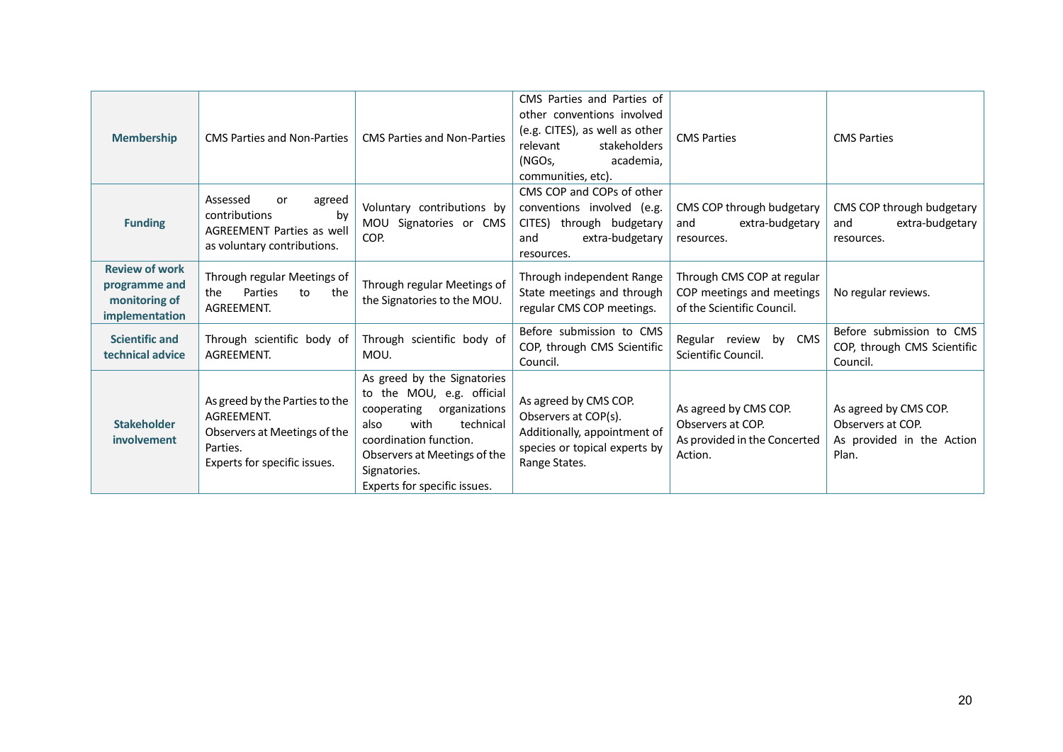| <b>Membership</b>                                                         | <b>CMS Parties and Non-Parties</b>                                                                                       | <b>CMS Parties and Non-Parties</b>                                                                                                                                                                                              | CMS Parties and Parties of<br>other conventions involved<br>(e.g. CITES), as well as other<br>stakeholders<br>relevant<br>(NGOs,<br>academia.<br>communities, etc). | <b>CMS Parties</b>                                                                    | <b>CMS Parties</b>                                                               |
|---------------------------------------------------------------------------|--------------------------------------------------------------------------------------------------------------------------|---------------------------------------------------------------------------------------------------------------------------------------------------------------------------------------------------------------------------------|---------------------------------------------------------------------------------------------------------------------------------------------------------------------|---------------------------------------------------------------------------------------|----------------------------------------------------------------------------------|
| <b>Funding</b>                                                            | Assessed<br>agreed<br>or<br>contributions<br>by<br><b>AGREEMENT Parties as well</b><br>as voluntary contributions.       | Voluntary contributions by<br>MOU Signatories or CMS<br>COP.                                                                                                                                                                    | CMS COP and COPs of other<br>conventions involved (e.g.<br>CITES) through budgetary<br>and<br>extra-budgetary<br>resources.                                         | CMS COP through budgetary<br>extra-budgetary<br>and<br>resources.                     | CMS COP through budgetary<br>extra-budgetary<br>and<br>resources.                |
| <b>Review of work</b><br>programme and<br>monitoring of<br>implementation | Through regular Meetings of<br>Parties<br>the<br>the<br>to<br>AGREEMENT.                                                 | Through regular Meetings of<br>the Signatories to the MOU.                                                                                                                                                                      | Through independent Range<br>State meetings and through<br>regular CMS COP meetings.                                                                                | Through CMS COP at regular<br>COP meetings and meetings<br>of the Scientific Council. | No regular reviews.                                                              |
| <b>Scientific and</b><br>technical advice                                 | Through scientific body of<br>AGREEMENT.                                                                                 | Through scientific body of<br>MOU.                                                                                                                                                                                              | Before submission to CMS<br>COP, through CMS Scientific<br>Council.                                                                                                 | Regular review by CMS<br>Scientific Council.                                          | Before submission to CMS<br>COP, through CMS Scientific<br>Council.              |
| <b>Stakeholder</b><br><i>involvement</i>                                  | As greed by the Parties to the<br>AGREEMENT.<br>Observers at Meetings of the<br>Parties.<br>Experts for specific issues. | As greed by the Signatories<br>to the MOU, e.g. official<br>organizations<br>cooperating<br>with<br>technical<br>also<br>coordination function.<br>Observers at Meetings of the<br>Signatories.<br>Experts for specific issues. | As agreed by CMS COP.<br>Observers at COP(s).<br>Additionally, appointment of<br>species or topical experts by<br>Range States.                                     | As agreed by CMS COP.<br>Observers at COP.<br>As provided in the Concerted<br>Action. | As agreed by CMS COP.<br>Observers at COP.<br>As provided in the Action<br>Plan. |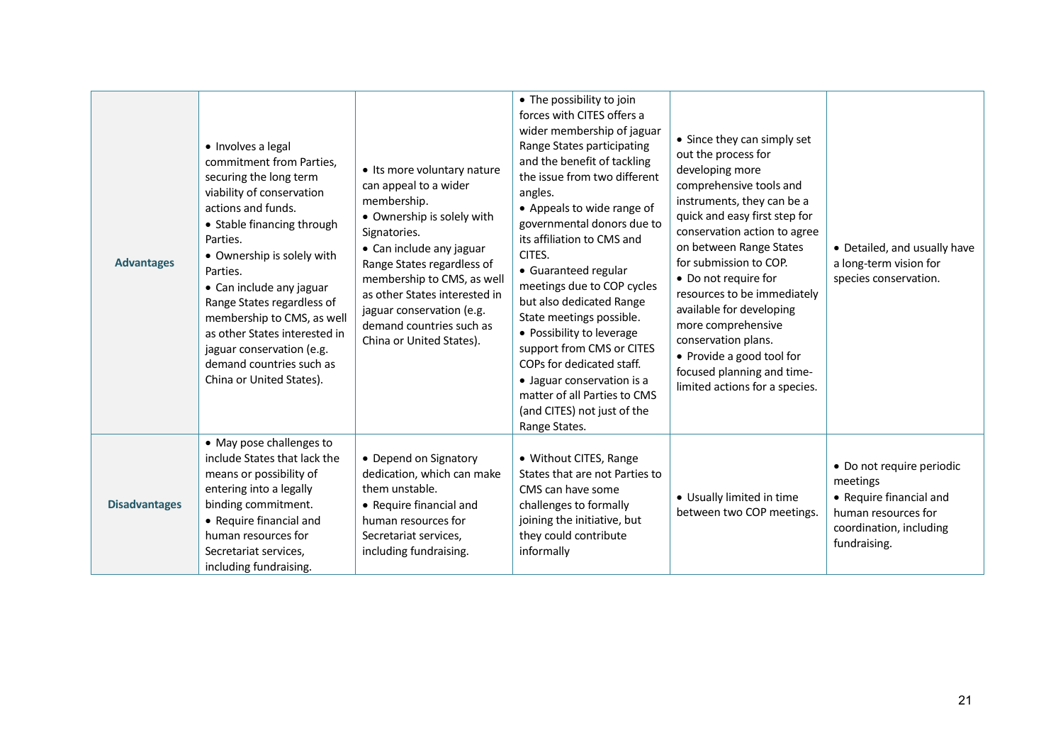| <b>Advantages</b>    | • Involves a legal<br>commitment from Parties,<br>securing the long term<br>viability of conservation<br>actions and funds.<br>• Stable financing through<br>Parties.<br>• Ownership is solely with<br>Parties.<br>• Can include any jaguar<br>Range States regardless of<br>membership to CMS, as well<br>as other States interested in<br>jaguar conservation (e.g.<br>demand countries such as<br>China or United States). | • Its more voluntary nature<br>can appeal to a wider<br>membership.<br>• Ownership is solely with<br>Signatories.<br>• Can include any jaguar<br>Range States regardless of<br>membership to CMS, as well<br>as other States interested in<br>jaguar conservation (e.g.<br>demand countries such as<br>China or United States). | • The possibility to join<br>forces with CITES offers a<br>wider membership of jaguar<br>Range States participating<br>and the benefit of tackling<br>the issue from two different<br>angles.<br>• Appeals to wide range of<br>governmental donors due to<br>its affiliation to CMS and<br>CITES.<br>• Guaranteed regular<br>meetings due to COP cycles<br>but also dedicated Range<br>State meetings possible.<br>• Possibility to leverage<br>support from CMS or CITES<br>COPs for dedicated staff.<br>· Jaguar conservation is a<br>matter of all Parties to CMS<br>(and CITES) not just of the<br>Range States. | • Since they can simply set<br>out the process for<br>developing more<br>comprehensive tools and<br>instruments, they can be a<br>quick and easy first step for<br>conservation action to agree<br>on between Range States<br>for submission to COP.<br>• Do not require for<br>resources to be immediately<br>available for developing<br>more comprehensive<br>conservation plans.<br>• Provide a good tool for<br>focused planning and time-<br>limited actions for a species. | • Detailed, and usually have<br>a long-term vision for<br>species conservation.                                                    |
|----------------------|-------------------------------------------------------------------------------------------------------------------------------------------------------------------------------------------------------------------------------------------------------------------------------------------------------------------------------------------------------------------------------------------------------------------------------|---------------------------------------------------------------------------------------------------------------------------------------------------------------------------------------------------------------------------------------------------------------------------------------------------------------------------------|----------------------------------------------------------------------------------------------------------------------------------------------------------------------------------------------------------------------------------------------------------------------------------------------------------------------------------------------------------------------------------------------------------------------------------------------------------------------------------------------------------------------------------------------------------------------------------------------------------------------|-----------------------------------------------------------------------------------------------------------------------------------------------------------------------------------------------------------------------------------------------------------------------------------------------------------------------------------------------------------------------------------------------------------------------------------------------------------------------------------|------------------------------------------------------------------------------------------------------------------------------------|
| <b>Disadvantages</b> | • May pose challenges to<br>include States that lack the<br>means or possibility of<br>entering into a legally<br>binding commitment.<br>• Require financial and<br>human resources for<br>Secretariat services,<br>including fundraising.                                                                                                                                                                                    | • Depend on Signatory<br>dedication, which can make<br>them unstable.<br>• Require financial and<br>human resources for<br>Secretariat services,<br>including fundraising.                                                                                                                                                      | • Without CITES, Range<br>States that are not Parties to<br>CMS can have some<br>challenges to formally<br>joining the initiative, but<br>they could contribute<br>informally                                                                                                                                                                                                                                                                                                                                                                                                                                        | • Usually limited in time<br>between two COP meetings.                                                                                                                                                                                                                                                                                                                                                                                                                            | · Do not require periodic<br>meetings<br>• Require financial and<br>human resources for<br>coordination, including<br>fundraising. |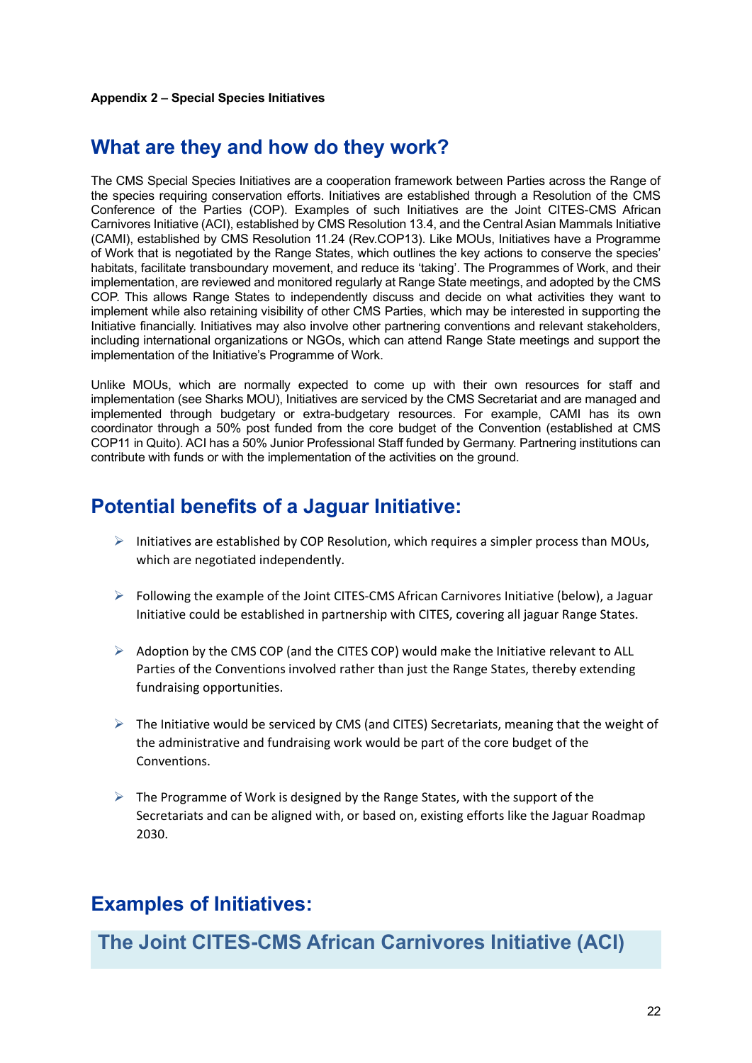# <span id="page-21-0"></span>**What are they and how do they work?**

The CMS Special Species Initiatives are a cooperation framework between Parties across the Range of the species requiring conservation efforts. Initiatives are established through a Resolution of the CMS Conference of the Parties (COP). Examples of such Initiatives are the Joint CITES-CMS African Carnivores Initiative (ACI), established by CMS Resolution 13.4, and the Central Asian Mammals Initiative (CAMI), established by CMS Resolution 11.24 (Rev.COP13). Like MOUs, Initiatives have a Programme of Work that is negotiated by the Range States, which outlines the key actions to conserve the species' habitats, facilitate transboundary movement, and reduce its 'taking'. The Programmes of Work, and their implementation, are reviewed and monitored regularly at Range State meetings, and adopted by the CMS COP. This allows Range States to independently discuss and decide on what activities they want to implement while also retaining visibility of other CMS Parties, which may be interested in supporting the Initiative financially. Initiatives may also involve other partnering conventions and relevant stakeholders, including international organizations or NGOs, which can attend Range State meetings and support the implementation of the Initiative's Programme of Work.

Unlike MOUs, which are normally expected to come up with their own resources for staff and implementation (see Sharks MOU), Initiatives are serviced by the CMS Secretariat and are managed and implemented through budgetary or extra-budgetary resources. For example, CAMI has its own coordinator through a 50% post funded from the core budget of the Convention (established at CMS COP11 in Quito). ACI has a 50% Junior Professional Staff funded by Germany. Partnering institutions can contribute with funds or with the implementation of the activities on the ground.

# **Potential benefits of a Jaguar Initiative:**

- $\triangleright$  Initiatives are established by COP Resolution, which requires a simpler process than MOUs, which are negotiated independently.
- $\triangleright$  Following the example of the Joint CITES-CMS African Carnivores Initiative (below), a Jaguar Initiative could be established in partnership with CITES, covering all jaguar Range States.
- $\triangleright$  Adoption by the CMS COP (and the CITES COP) would make the Initiative relevant to ALL Parties of the Conventions involved rather than just the Range States, thereby extending fundraising opportunities.
- ➢ The Initiative would be serviced by CMS (and CITES) Secretariats, meaning that the weight of the administrative and fundraising work would be part of the core budget of the Conventions.
- $\triangleright$  The Programme of Work is designed by the Range States, with the support of the Secretariats and can be aligned with, or based on, existing efforts like the Jaguar Roadmap 2030.

# **Examples of Initiatives:**

**The Joint CITES-CMS African Carnivores Initiative (ACI)**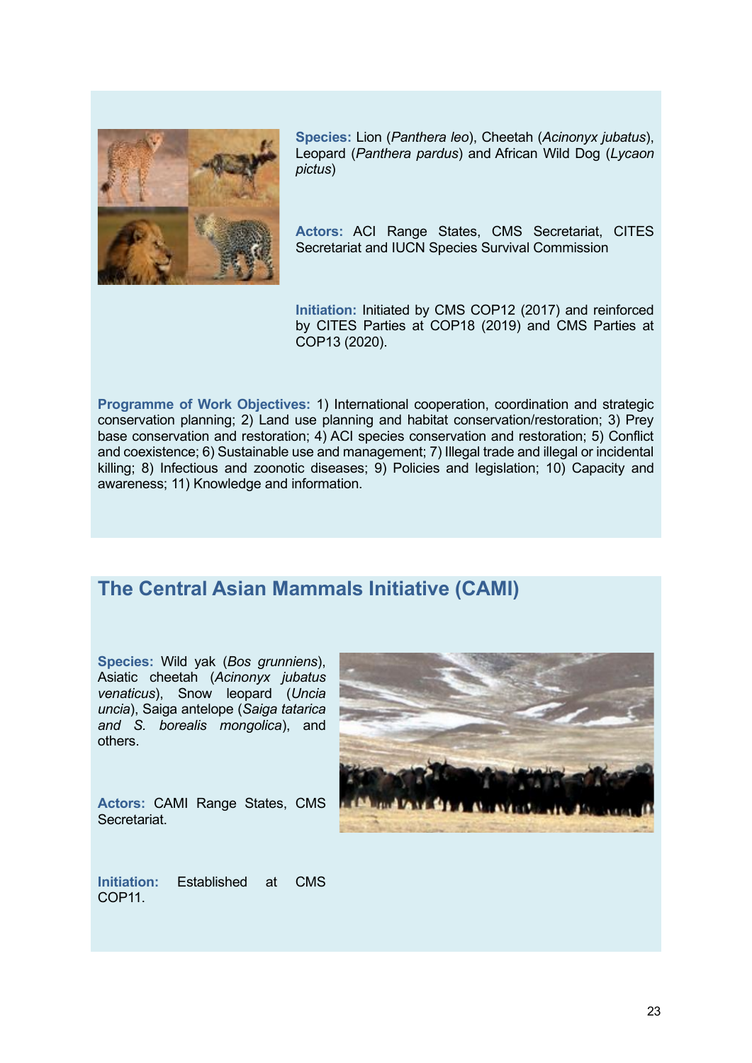

**Species:** Lion (*Panthera leo*), Cheetah (*Acinonyx jubatus*), Leopard (*Panthera pardus*) and African Wild Dog (*Lycaon pictus*)

**Actors:** ACI Range States, CMS Secretariat, CITES Secretariat and IUCN Species Survival Commission

**Initiation:** Initiated by CMS COP12 (2017) and reinforced by CITES Parties at COP18 (2019) and CMS Parties at COP13 (2020).

**Programme of Work Objectives:** 1) International cooperation, coordination and strategic conservation planning; 2) Land use planning and habitat conservation/restoration; 3) Prey base conservation and restoration; 4) ACI species conservation and restoration; 5) Conflict and coexistence; 6) Sustainable use and management; 7) Illegal trade and illegal or incidental killing; 8) Infectious and zoonotic diseases; 9) Policies and legislation; 10) Capacity and awareness; 11) Knowledge and information.

# **The Central Asian Mammals Initiative (CAMI)**

**Species:** Wild yak (*Bos grunniens*), Asiatic cheetah (*Acinonyx jubatus venaticus*), Snow leopard (*Uncia uncia*), Saiga antelope (*Saiga tatarica and S. borealis mongolica*), and others.

**Actors:** CAMI Range States, CMS **Secretariat.** 



**Initiation:** Established at CMS COP<sub>11</sub>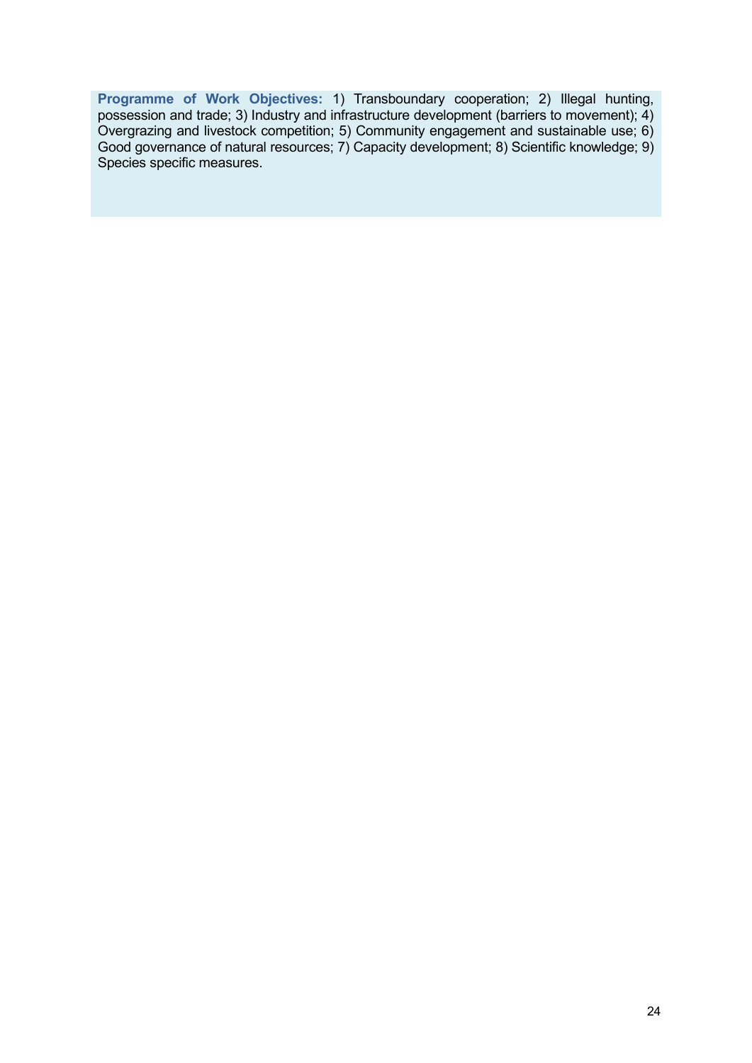**Programme of Work Objectives:** 1) Transboundary cooperation; 2) Illegal hunting, possession and trade; 3) Industry and infrastructure development (barriers to movement); 4) Overgrazing and livestock competition; 5) Community engagement and sustainable use; 6) Good governance of natural resources; 7) Capacity development; 8) Scientific knowledge; 9) Species specific measures.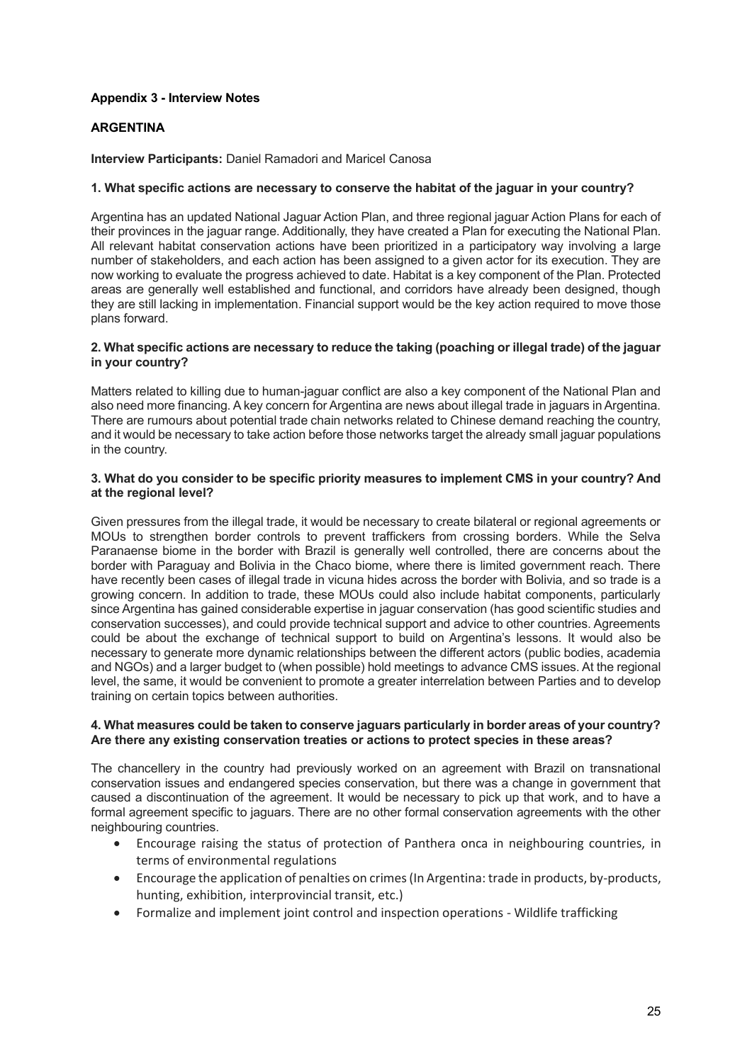# <span id="page-24-0"></span>**Appendix 3 - Interview Notes**

# <span id="page-24-1"></span>**ARGENTINA**

**Interview Participants:** Daniel Ramadori and Maricel Canosa

# **1. What specific actions are necessary to conserve the habitat of the jaguar in your country?**

Argentina has an updated National Jaguar Action Plan, and three regional jaguar Action Plans for each of their provinces in the jaguar range. Additionally, they have created a Plan for executing the National Plan. All relevant habitat conservation actions have been prioritized in a participatory way involving a large number of stakeholders, and each action has been assigned to a given actor for its execution. They are now working to evaluate the progress achieved to date. Habitat is a key component of the Plan. Protected areas are generally well established and functional, and corridors have already been designed, though they are still lacking in implementation. Financial support would be the key action required to move those plans forward.

## **2. What specific actions are necessary to reduce the taking (poaching or illegal trade) of the jaguar in your country?**

Matters related to killing due to human-jaguar conflict are also a key component of the National Plan and also need more financing. A key concern for Argentina are news about illegal trade in jaguars in Argentina. There are rumours about potential trade chain networks related to Chinese demand reaching the country, and it would be necessary to take action before those networks target the already small jaguar populations in the country.

## **3. What do you consider to be specific priority measures to implement CMS in your country? And at the regional level?**

Given pressures from the illegal trade, it would be necessary to create bilateral or regional agreements or MOUs to strengthen border controls to prevent traffickers from crossing borders. While the Selva Paranaense biome in the border with Brazil is generally well controlled, there are concerns about the border with Paraguay and Bolivia in the Chaco biome, where there is limited government reach. There have recently been cases of illegal trade in vicuna hides across the border with Bolivia, and so trade is a growing concern. In addition to trade, these MOUs could also include habitat components, particularly since Argentina has gained considerable expertise in jaguar conservation (has good scientific studies and conservation successes), and could provide technical support and advice to other countries. Agreements could be about the exchange of technical support to build on Argentina's lessons. It would also be necessary to generate more dynamic relationships between the different actors (public bodies, academia and NGOs) and a larger budget to (when possible) hold meetings to advance CMS issues. At the regional level, the same, it would be convenient to promote a greater interrelation between Parties and to develop training on certain topics between authorities.

## **4. What measures could be taken to conserve jaguars particularly in border areas of your country? Are there any existing conservation treaties or actions to protect species in these areas?**

The chancellery in the country had previously worked on an agreement with Brazil on transnational conservation issues and endangered species conservation, but there was a change in government that caused a discontinuation of the agreement. It would be necessary to pick up that work, and to have a formal agreement specific to jaguars. There are no other formal conservation agreements with the other neighbouring countries.

- Encourage raising the status of protection of Panthera onca in neighbouring countries, in terms of environmental regulations
- Encourage the application of penalties on crimes (In Argentina: trade in products, by-products, hunting, exhibition, interprovincial transit, etc.)
- Formalize and implement joint control and inspection operations Wildlife trafficking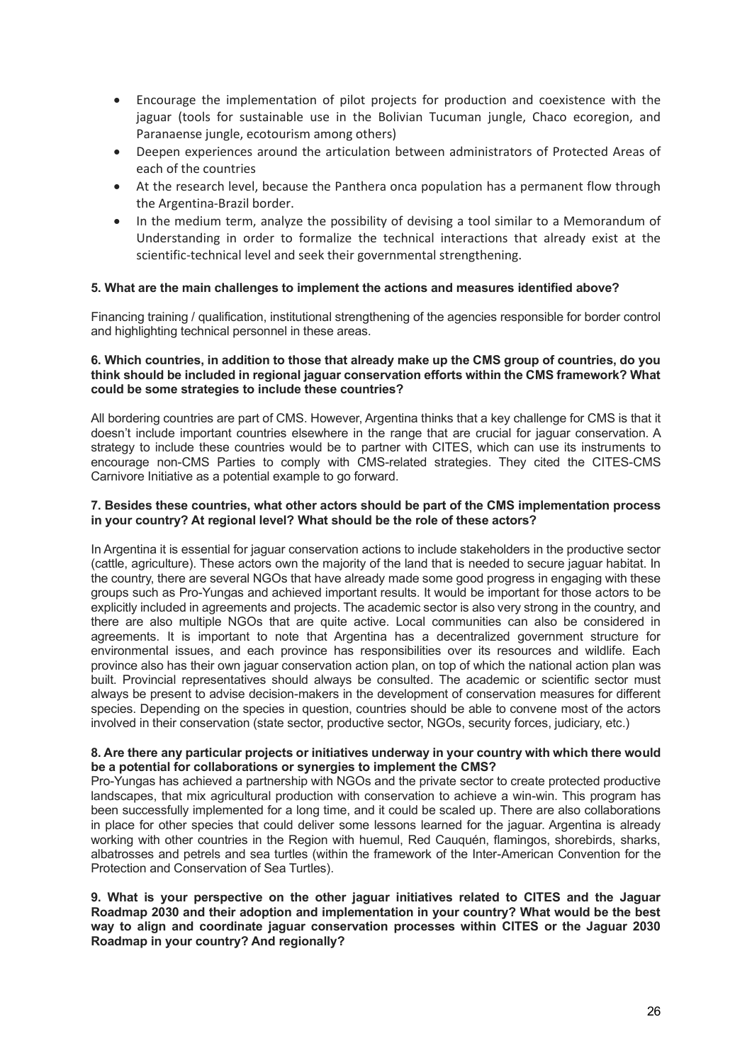- Encourage the implementation of pilot projects for production and coexistence with the jaguar (tools for sustainable use in the Bolivian Tucuman jungle, Chaco ecoregion, and Paranaense jungle, ecotourism among others)
- Deepen experiences around the articulation between administrators of Protected Areas of each of the countries
- At the research level, because the Panthera onca population has a permanent flow through the Argentina-Brazil border.
- In the medium term, analyze the possibility of devising a tool similar to a Memorandum of Understanding in order to formalize the technical interactions that already exist at the scientific-technical level and seek their governmental strengthening.

## **5. What are the main challenges to implement the actions and measures identified above?**

Financing training / qualification, institutional strengthening of the agencies responsible for border control and highlighting technical personnel in these areas.

#### **6. Which countries, in addition to those that already make up the CMS group of countries, do you think should be included in regional jaguar conservation efforts within the CMS framework? What could be some strategies to include these countries?**

All bordering countries are part of CMS. However, Argentina thinks that a key challenge for CMS is that it doesn't include important countries elsewhere in the range that are crucial for jaguar conservation. A strategy to include these countries would be to partner with CITES, which can use its instruments to encourage non-CMS Parties to comply with CMS-related strategies. They cited the CITES-CMS Carnivore Initiative as a potential example to go forward.

#### **7. Besides these countries, what other actors should be part of the CMS implementation process in your country? At regional level? What should be the role of these actors?**

In Argentina it is essential for jaguar conservation actions to include stakeholders in the productive sector (cattle, agriculture). These actors own the majority of the land that is needed to secure jaguar habitat. In the country, there are several NGOs that have already made some good progress in engaging with these groups such as Pro-Yungas and achieved important results. It would be important for those actors to be explicitly included in agreements and projects. The academic sector is also very strong in the country, and there are also multiple NGOs that are quite active. Local communities can also be considered in agreements. It is important to note that Argentina has a decentralized government structure for environmental issues, and each province has responsibilities over its resources and wildlife. Each province also has their own jaguar conservation action plan, on top of which the national action plan was built. Provincial representatives should always be consulted. The academic or scientific sector must always be present to advise decision-makers in the development of conservation measures for different species. Depending on the species in question, countries should be able to convene most of the actors involved in their conservation (state sector, productive sector, NGOs, security forces, judiciary, etc.)

#### **8. Are there any particular projects or initiatives underway in your country with which there would be a potential for collaborations or synergies to implement the CMS?**

Pro-Yungas has achieved a partnership with NGOs and the private sector to create protected productive landscapes, that mix agricultural production with conservation to achieve a win-win. This program has been successfully implemented for a long time, and it could be scaled up. There are also collaborations in place for other species that could deliver some lessons learned for the jaguar. Argentina is already working with other countries in the Region with huemul, Red Cauquén, flamingos, shorebirds, sharks, albatrosses and petrels and sea turtles (within the framework of the Inter-American Convention for the Protection and Conservation of Sea Turtles).

#### **9. What is your perspective on the other jaguar initiatives related to CITES and the Jaguar Roadmap 2030 and their adoption and implementation in your country? What would be the best way to align and coordinate jaguar conservation processes within CITES or the Jaguar 2030 Roadmap in your country? And regionally?**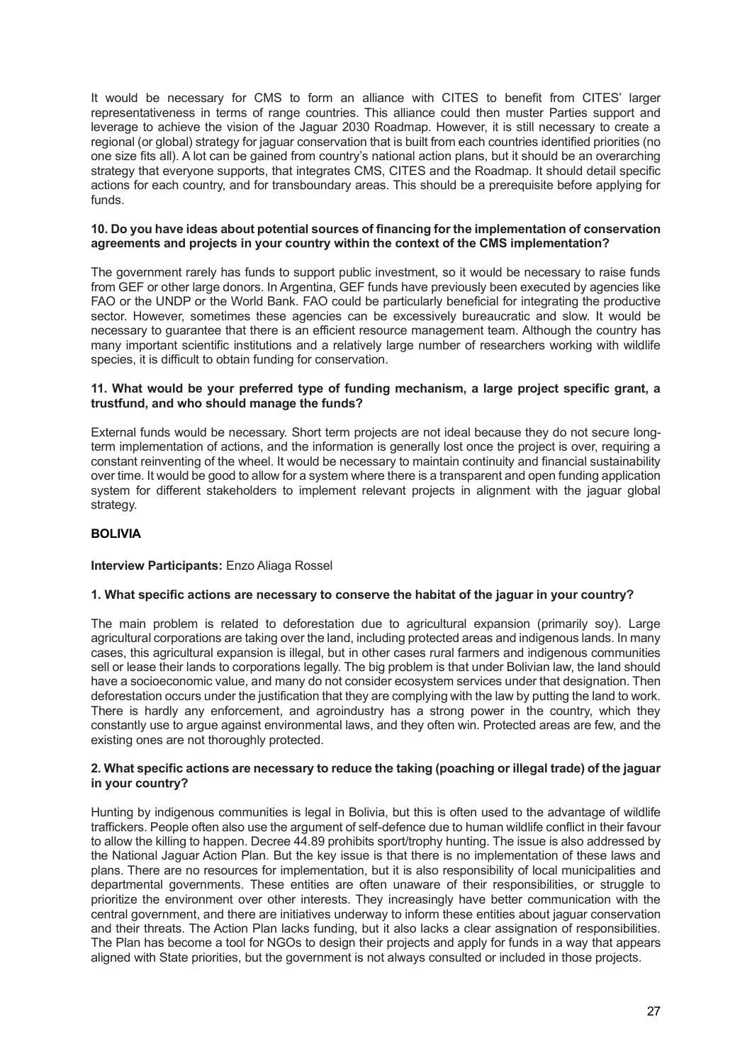It would be necessary for CMS to form an alliance with CITES to benefit from CITES' larger representativeness in terms of range countries. This alliance could then muster Parties support and leverage to achieve the vision of the Jaguar 2030 Roadmap. However, it is still necessary to create a regional (or global) strategy for jaguar conservation that is built from each countries identified priorities (no one size fits all). A lot can be gained from country's national action plans, but it should be an overarching strategy that everyone supports, that integrates CMS, CITES and the Roadmap. It should detail specific actions for each country, and for transboundary areas. This should be a prerequisite before applying for funds.

#### **10. Do you have ideas about potential sources of financing for the implementation of conservation agreements and projects in your country within the context of the CMS implementation?**

The government rarely has funds to support public investment, so it would be necessary to raise funds from GEF or other large donors. In Argentina, GEF funds have previously been executed by agencies like FAO or the UNDP or the World Bank. FAO could be particularly beneficial for integrating the productive sector. However, sometimes these agencies can be excessively bureaucratic and slow. It would be necessary to guarantee that there is an efficient resource management team. Although the country has many important scientific institutions and a relatively large number of researchers working with wildlife species, it is difficult to obtain funding for conservation.

# **11. What would be your preferred type of funding mechanism, a large project specific grant, a trustfund, and who should manage the funds?**

External funds would be necessary. Short term projects are not ideal because they do not secure longterm implementation of actions, and the information is generally lost once the project is over, requiring a constant reinventing of the wheel. It would be necessary to maintain continuity and financial sustainability over time. It would be good to allow for a system where there is a transparent and open funding application system for different stakeholders to implement relevant projects in alignment with the jaguar global strategy.

# <span id="page-26-0"></span>**BOLIVIA**

# **Interview Participants:** Enzo Aliaga Rossel

# **1. What specific actions are necessary to conserve the habitat of the jaguar in your country?**

The main problem is related to deforestation due to agricultural expansion (primarily soy). Large agricultural corporations are taking over the land, including protected areas and indigenous lands. In many cases, this agricultural expansion is illegal, but in other cases rural farmers and indigenous communities sell or lease their lands to corporations legally. The big problem is that under Bolivian law, the land should have a socioeconomic value, and many do not consider ecosystem services under that designation. Then deforestation occurs under the justification that they are complying with the law by putting the land to work. There is hardly any enforcement, and agroindustry has a strong power in the country, which they constantly use to argue against environmental laws, and they often win. Protected areas are few, and the existing ones are not thoroughly protected.

#### **2. What specific actions are necessary to reduce the taking (poaching or illegal trade) of the jaguar in your country?**

Hunting by indigenous communities is legal in Bolivia, but this is often used to the advantage of wildlife traffickers. People often also use the argument of self-defence due to human wildlife conflict in their favour to allow the killing to happen. Decree 44.89 prohibits sport/trophy hunting. The issue is also addressed by the National Jaguar Action Plan. But the key issue is that there is no implementation of these laws and plans. There are no resources for implementation, but it is also responsibility of local municipalities and departmental governments. These entities are often unaware of their responsibilities, or struggle to prioritize the environment over other interests. They increasingly have better communication with the central government, and there are initiatives underway to inform these entities about jaguar conservation and their threats. The Action Plan lacks funding, but it also lacks a clear assignation of responsibilities. The Plan has become a tool for NGOs to design their projects and apply for funds in a way that appears aligned with State priorities, but the government is not always consulted or included in those projects.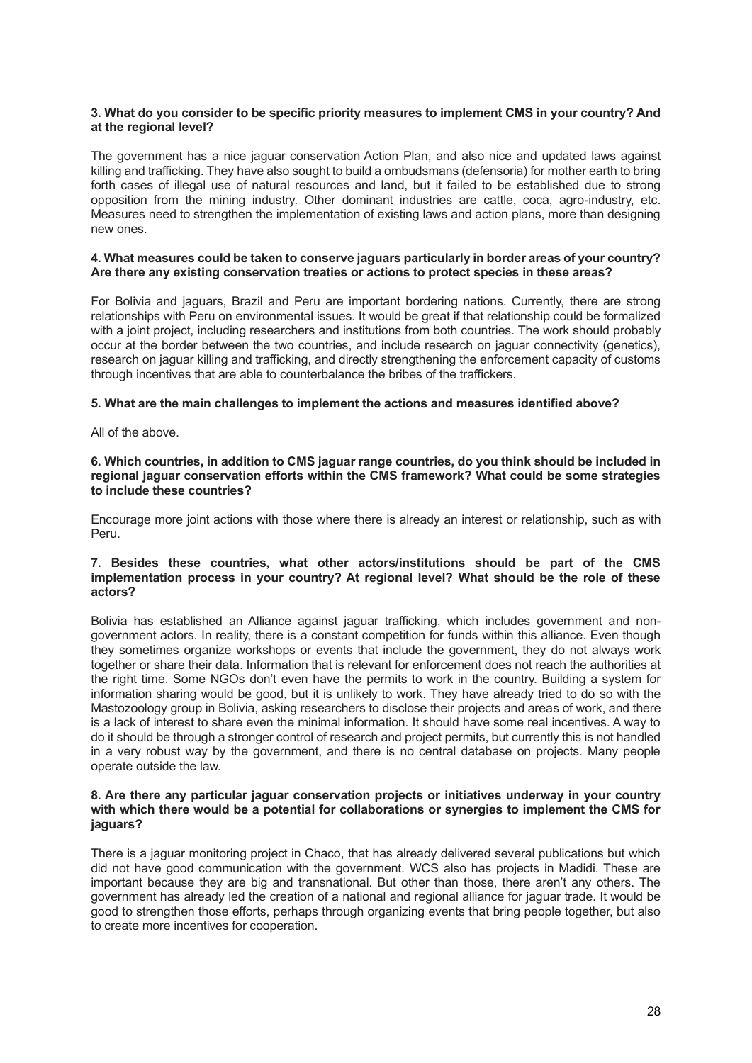#### **3. What do you consider to be specific priority measures to implement CMS in your country? And at the regional level?**

The government has a nice jaguar conservation Action Plan, and also nice and updated laws against killing and trafficking. They have also sought to build a ombudsmans (defensoria) for mother earth to bring forth cases of illegal use of natural resources and land, but it failed to be established due to strong opposition from the mining industry. Other dominant industries are cattle, coca, agro-industry, etc. Measures need to strengthen the implementation of existing laws and action plans, more than designing new ones.

#### **4. What measures could be taken to conserve jaguars particularly in border areas of your country? Are there any existing conservation treaties or actions to protect species in these areas?**

For Bolivia and jaguars, Brazil and Peru are important bordering nations. Currently, there are strong relationships with Peru on environmental issues. It would be great if that relationship could be formalized with a joint project, including researchers and institutions from both countries. The work should probably occur at the border between the two countries, and include research on jaguar connectivity (genetics), research on jaguar killing and trafficking, and directly strengthening the enforcement capacity of customs through incentives that are able to counterbalance the bribes of the traffickers.

## **5. What are the main challenges to implement the actions and measures identified above?**

All of the above.

#### **6. Which countries, in addition to CMS jaguar range countries, do you think should be included in regional jaguar conservation efforts within the CMS framework? What could be some strategies to include these countries?**

Encourage more joint actions with those where there is already an interest or relationship, such as with Peru.

# **7. Besides these countries, what other actors/institutions should be part of the CMS implementation process in your country? At regional level? What should be the role of these actors?**

Bolivia has established an Alliance against jaguar trafficking, which includes government and nongovernment actors. In reality, there is a constant competition for funds within this alliance. Even though they sometimes organize workshops or events that include the government, they do not always work together or share their data. Information that is relevant for enforcement does not reach the authorities at the right time. Some NGOs don't even have the permits to work in the country. Building a system for information sharing would be good, but it is unlikely to work. They have already tried to do so with the Mastozoology group in Bolivia, asking researchers to disclose their projects and areas of work, and there is a lack of interest to share even the minimal information. It should have some real incentives. A way to do it should be through a stronger control of research and project permits, but currently this is not handled in a very robust way by the government, and there is no central database on projects. Many people operate outside the law.

#### **8. Are there any particular jaguar conservation projects or initiatives underway in your country with which there would be a potential for collaborations or synergies to implement the CMS for jaguars?**

There is a jaguar monitoring project in Chaco, that has already delivered several publications but which did not have good communication with the government. WCS also has projects in Madidi. These are important because they are big and transnational. But other than those, there aren't any others. The government has already led the creation of a national and regional alliance for jaguar trade. It would be good to strengthen those efforts, perhaps through organizing events that bring people together, but also to create more incentives for cooperation.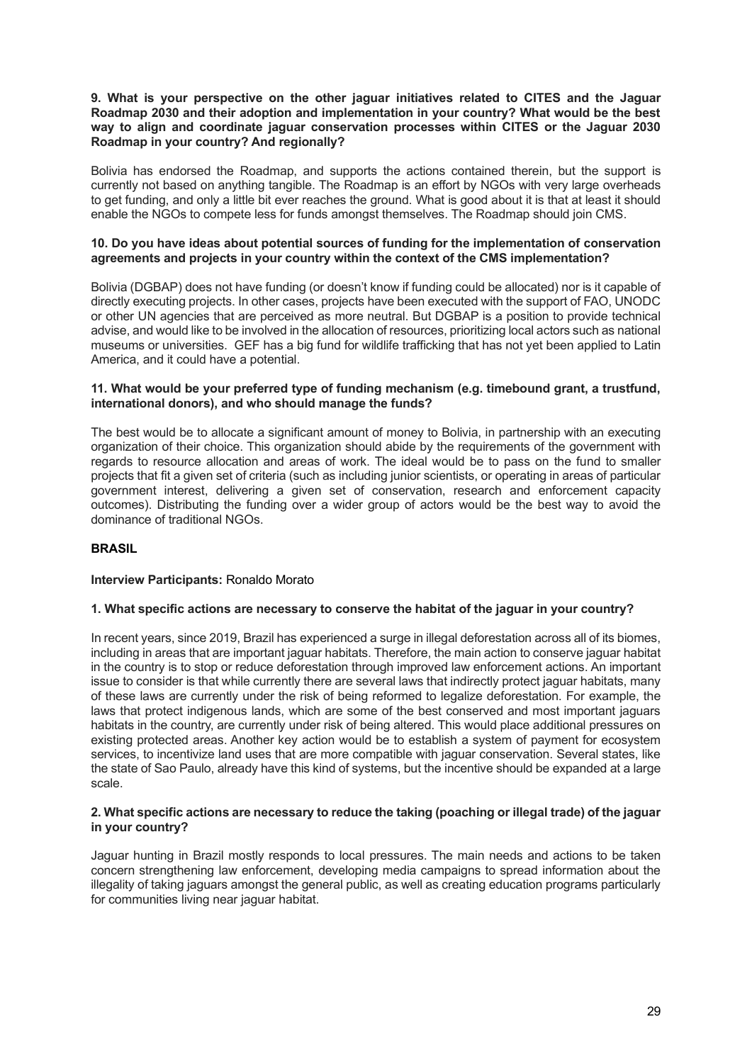#### **9. What is your perspective on the other jaguar initiatives related to CITES and the Jaguar Roadmap 2030 and their adoption and implementation in your country? What would be the best way to align and coordinate jaguar conservation processes within CITES or the Jaguar 2030 Roadmap in your country? And regionally?**

Bolivia has endorsed the Roadmap, and supports the actions contained therein, but the support is currently not based on anything tangible. The Roadmap is an effort by NGOs with very large overheads to get funding, and only a little bit ever reaches the ground. What is good about it is that at least it should enable the NGOs to compete less for funds amongst themselves. The Roadmap should join CMS.

#### **10. Do you have ideas about potential sources of funding for the implementation of conservation agreements and projects in your country within the context of the CMS implementation?**

Bolivia (DGBAP) does not have funding (or doesn't know if funding could be allocated) nor is it capable of directly executing projects. In other cases, projects have been executed with the support of FAO, UNODC or other UN agencies that are perceived as more neutral. But DGBAP is a position to provide technical advise, and would like to be involved in the allocation of resources, prioritizing local actors such as national museums or universities. GEF has a big fund for wildlife trafficking that has not yet been applied to Latin America, and it could have a potential.

# **11. What would be your preferred type of funding mechanism (e.g. timebound grant, a trustfund, international donors), and who should manage the funds?**

The best would be to allocate a significant amount of money to Bolivia, in partnership with an executing organization of their choice. This organization should abide by the requirements of the government with regards to resource allocation and areas of work. The ideal would be to pass on the fund to smaller projects that fit a given set of criteria (such as including junior scientists, or operating in areas of particular government interest, delivering a given set of conservation, research and enforcement capacity outcomes). Distributing the funding over a wider group of actors would be the best way to avoid the dominance of traditional NGOs.

# <span id="page-28-0"></span>**BRASIL**

#### **Interview Participants:** Ronaldo Morato

#### **1. What specific actions are necessary to conserve the habitat of the jaguar in your country?**

In recent years, since 2019, Brazil has experienced a surge in illegal deforestation across all of its biomes, including in areas that are important jaguar habitats. Therefore, the main action to conserve jaguar habitat in the country is to stop or reduce deforestation through improved law enforcement actions. An important issue to consider is that while currently there are several laws that indirectly protect jaguar habitats, many of these laws are currently under the risk of being reformed to legalize deforestation. For example, the laws that protect indigenous lands, which are some of the best conserved and most important jaguars habitats in the country, are currently under risk of being altered. This would place additional pressures on existing protected areas. Another key action would be to establish a system of payment for ecosystem services, to incentivize land uses that are more compatible with jaguar conservation. Several states, like the state of Sao Paulo, already have this kind of systems, but the incentive should be expanded at a large scale.

#### **2. What specific actions are necessary to reduce the taking (poaching or illegal trade) of the jaguar in your country?**

Jaguar hunting in Brazil mostly responds to local pressures. The main needs and actions to be taken concern strengthening law enforcement, developing media campaigns to spread information about the illegality of taking jaguars amongst the general public, as well as creating education programs particularly for communities living near jaguar habitat.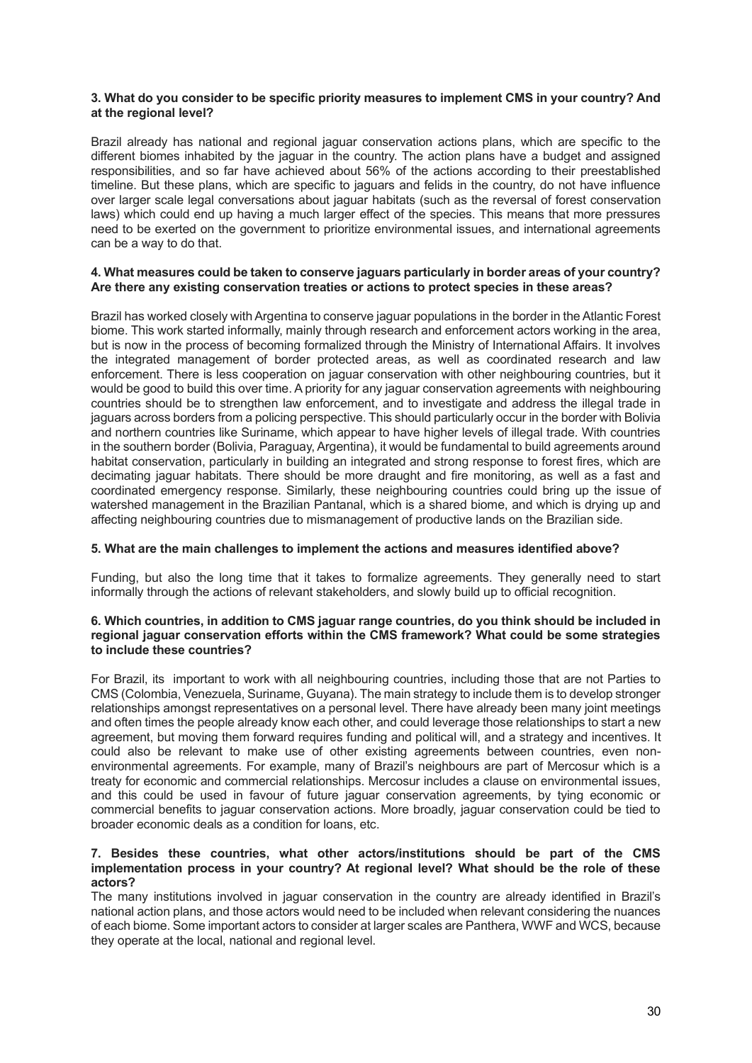#### **3. What do you consider to be specific priority measures to implement CMS in your country? And at the regional level?**

Brazil already has national and regional jaguar conservation actions plans, which are specific to the different biomes inhabited by the jaguar in the country. The action plans have a budget and assigned responsibilities, and so far have achieved about 56% of the actions according to their preestablished timeline. But these plans, which are specific to jaguars and felids in the country, do not have influence over larger scale legal conversations about jaguar habitats (such as the reversal of forest conservation laws) which could end up having a much larger effect of the species. This means that more pressures need to be exerted on the government to prioritize environmental issues, and international agreements can be a way to do that.

#### **4. What measures could be taken to conserve jaguars particularly in border areas of your country? Are there any existing conservation treaties or actions to protect species in these areas?**

Brazil has worked closely with Argentina to conserve jaguar populations in the border in the Atlantic Forest biome. This work started informally, mainly through research and enforcement actors working in the area, but is now in the process of becoming formalized through the Ministry of International Affairs. It involves the integrated management of border protected areas, as well as coordinated research and law enforcement. There is less cooperation on jaguar conservation with other neighbouring countries, but it would be good to build this over time. A priority for any jaguar conservation agreements with neighbouring countries should be to strengthen law enforcement, and to investigate and address the illegal trade in jaguars across borders from a policing perspective. This should particularly occur in the border with Bolivia and northern countries like Suriname, which appear to have higher levels of illegal trade. With countries in the southern border (Bolivia, Paraguay, Argentina), it would be fundamental to build agreements around habitat conservation, particularly in building an integrated and strong response to forest fires, which are decimating jaguar habitats. There should be more draught and fire monitoring, as well as a fast and coordinated emergency response. Similarly, these neighbouring countries could bring up the issue of watershed management in the Brazilian Pantanal, which is a shared biome, and which is drying up and affecting neighbouring countries due to mismanagement of productive lands on the Brazilian side.

#### **5. What are the main challenges to implement the actions and measures identified above?**

Funding, but also the long time that it takes to formalize agreements. They generally need to start informally through the actions of relevant stakeholders, and slowly build up to official recognition.

#### **6. Which countries, in addition to CMS jaguar range countries, do you think should be included in regional jaguar conservation efforts within the CMS framework? What could be some strategies to include these countries?**

For Brazil, its important to work with all neighbouring countries, including those that are not Parties to CMS (Colombia, Venezuela, Suriname, Guyana). The main strategy to include them is to develop stronger relationships amongst representatives on a personal level. There have already been many joint meetings and often times the people already know each other, and could leverage those relationships to start a new agreement, but moving them forward requires funding and political will, and a strategy and incentives. It could also be relevant to make use of other existing agreements between countries, even nonenvironmental agreements. For example, many of Brazil's neighbours are part of Mercosur which is a treaty for economic and commercial relationships. Mercosur includes a clause on environmental issues, and this could be used in favour of future jaguar conservation agreements, by tying economic or commercial benefits to jaguar conservation actions. More broadly, jaguar conservation could be tied to broader economic deals as a condition for loans, etc.

#### **7. Besides these countries, what other actors/institutions should be part of the CMS implementation process in your country? At regional level? What should be the role of these actors?**

The many institutions involved in jaguar conservation in the country are already identified in Brazil's national action plans, and those actors would need to be included when relevant considering the nuances of each biome. Some important actors to consider at larger scales are Panthera, WWF and WCS, because they operate at the local, national and regional level.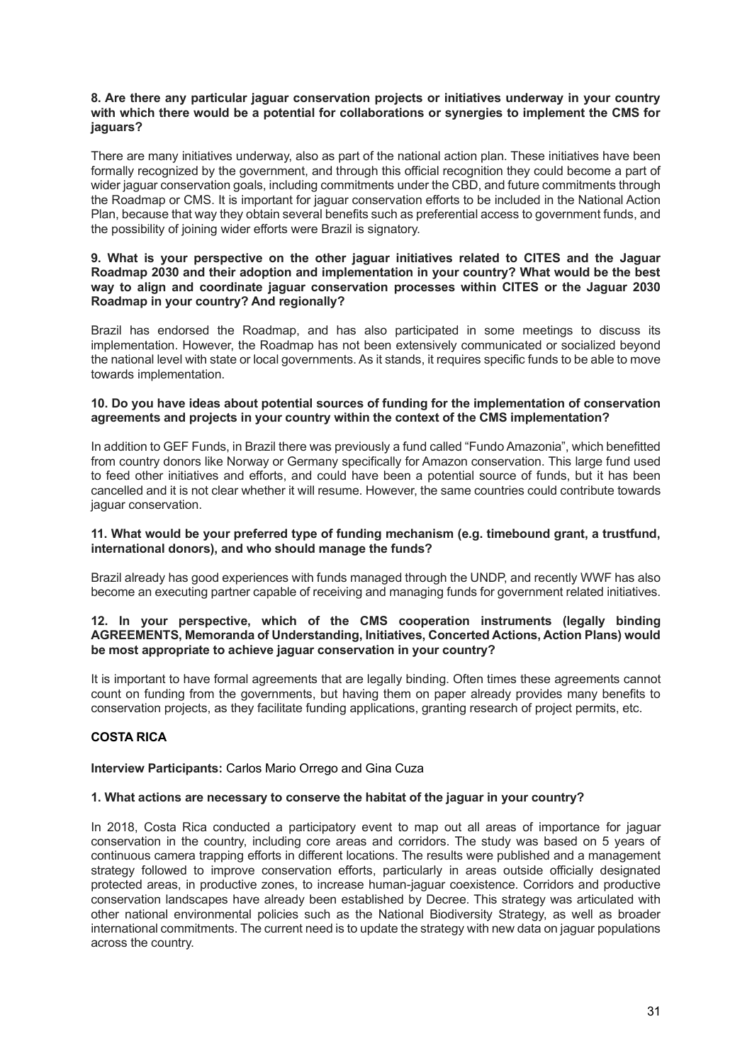#### **8. Are there any particular jaguar conservation projects or initiatives underway in your country with which there would be a potential for collaborations or synergies to implement the CMS for jaguars?**

There are many initiatives underway, also as part of the national action plan. These initiatives have been formally recognized by the government, and through this official recognition they could become a part of wider jaguar conservation goals, including commitments under the CBD, and future commitments through the Roadmap or CMS. It is important for jaguar conservation efforts to be included in the National Action Plan, because that way they obtain several benefits such as preferential access to government funds, and the possibility of joining wider efforts were Brazil is signatory.

#### **9. What is your perspective on the other jaguar initiatives related to CITES and the Jaguar Roadmap 2030 and their adoption and implementation in your country? What would be the best way to align and coordinate jaguar conservation processes within CITES or the Jaguar 2030 Roadmap in your country? And regionally?**

Brazil has endorsed the Roadmap, and has also participated in some meetings to discuss its implementation. However, the Roadmap has not been extensively communicated or socialized beyond the national level with state or local governments. As it stands, it requires specific funds to be able to move towards implementation.

## **10. Do you have ideas about potential sources of funding for the implementation of conservation agreements and projects in your country within the context of the CMS implementation?**

In addition to GEF Funds, in Brazil there was previously a fund called "Fundo Amazonia", which benefitted from country donors like Norway or Germany specifically for Amazon conservation. This large fund used to feed other initiatives and efforts, and could have been a potential source of funds, but it has been cancelled and it is not clear whether it will resume. However, the same countries could contribute towards jaguar conservation.

#### **11. What would be your preferred type of funding mechanism (e.g. timebound grant, a trustfund, international donors), and who should manage the funds?**

Brazil already has good experiences with funds managed through the UNDP, and recently WWF has also become an executing partner capable of receiving and managing funds for government related initiatives.

#### **12. In your perspective, which of the CMS cooperation instruments (legally binding AGREEMENTS, Memoranda of Understanding, Initiatives, Concerted Actions, Action Plans) would be most appropriate to achieve jaguar conservation in your country?**

It is important to have formal agreements that are legally binding. Often times these agreements cannot count on funding from the governments, but having them on paper already provides many benefits to conservation projects, as they facilitate funding applications, granting research of project permits, etc.

# <span id="page-30-0"></span>**COSTA RICA**

#### **Interview Participants:** Carlos Mario Orrego and Gina Cuza

#### **1. What actions are necessary to conserve the habitat of the jaguar in your country?**

In 2018, Costa Rica conducted a participatory event to map out all areas of importance for jaguar conservation in the country, including core areas and corridors. The study was based on 5 years of continuous camera trapping efforts in different locations. The results were published and a management strategy followed to improve conservation efforts, particularly in areas outside officially designated protected areas, in productive zones, to increase human-jaguar coexistence. Corridors and productive conservation landscapes have already been established by Decree. This strategy was articulated with other national environmental policies such as the National Biodiversity Strategy, as well as broader international commitments. The current need is to update the strategy with new data on jaguar populations across the country.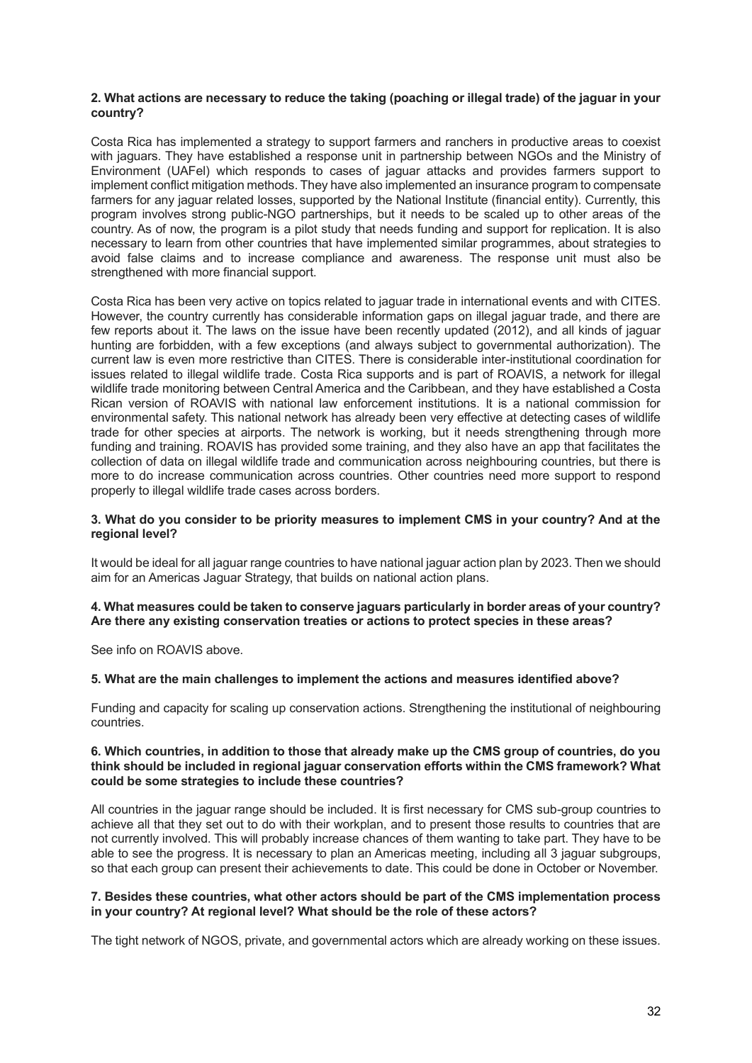#### **2. What actions are necessary to reduce the taking (poaching or illegal trade) of the jaguar in your country?**

Costa Rica has implemented a strategy to support farmers and ranchers in productive areas to coexist with jaguars. They have established a response unit in partnership between NGOs and the Ministry of Environment (UAFel) which responds to cases of jaguar attacks and provides farmers support to implement conflict mitigation methods. They have also implemented an insurance program to compensate farmers for any jaguar related losses, supported by the National Institute (financial entity). Currently, this program involves strong public-NGO partnerships, but it needs to be scaled up to other areas of the country. As of now, the program is a pilot study that needs funding and support for replication. It is also necessary to learn from other countries that have implemented similar programmes, about strategies to avoid false claims and to increase compliance and awareness. The response unit must also be strengthened with more financial support.

Costa Rica has been very active on topics related to jaguar trade in international events and with CITES. However, the country currently has considerable information gaps on illegal jaguar trade, and there are few reports about it. The laws on the issue have been recently updated (2012), and all kinds of jaguar hunting are forbidden, with a few exceptions (and always subject to governmental authorization). The current law is even more restrictive than CITES. There is considerable inter-institutional coordination for issues related to illegal wildlife trade. Costa Rica supports and is part of ROAVIS, a network for illegal wildlife trade monitoring between Central America and the Caribbean, and they have established a Costa Rican version of ROAVIS with national law enforcement institutions. It is a national commission for environmental safety. This national network has already been very effective at detecting cases of wildlife trade for other species at airports. The network is working, but it needs strengthening through more funding and training. ROAVIS has provided some training, and they also have an app that facilitates the collection of data on illegal wildlife trade and communication across neighbouring countries, but there is more to do increase communication across countries. Other countries need more support to respond properly to illegal wildlife trade cases across borders.

#### **3. What do you consider to be priority measures to implement CMS in your country? And at the regional level?**

It would be ideal for all jaguar range countries to have national jaguar action plan by 2023. Then we should aim for an Americas Jaguar Strategy, that builds on national action plans.

#### **4. What measures could be taken to conserve jaguars particularly in border areas of your country? Are there any existing conservation treaties or actions to protect species in these areas?**

See info on ROAVIS above

#### **5. What are the main challenges to implement the actions and measures identified above?**

Funding and capacity for scaling up conservation actions. Strengthening the institutional of neighbouring countries.

#### **6. Which countries, in addition to those that already make up the CMS group of countries, do you think should be included in regional jaguar conservation efforts within the CMS framework? What could be some strategies to include these countries?**

All countries in the jaguar range should be included. It is first necessary for CMS sub-group countries to achieve all that they set out to do with their workplan, and to present those results to countries that are not currently involved. This will probably increase chances of them wanting to take part. They have to be able to see the progress. It is necessary to plan an Americas meeting, including all 3 jaguar subgroups, so that each group can present their achievements to date. This could be done in October or November.

## **7. Besides these countries, what other actors should be part of the CMS implementation process in your country? At regional level? What should be the role of these actors?**

The tight network of NGOS, private, and governmental actors which are already working on these issues.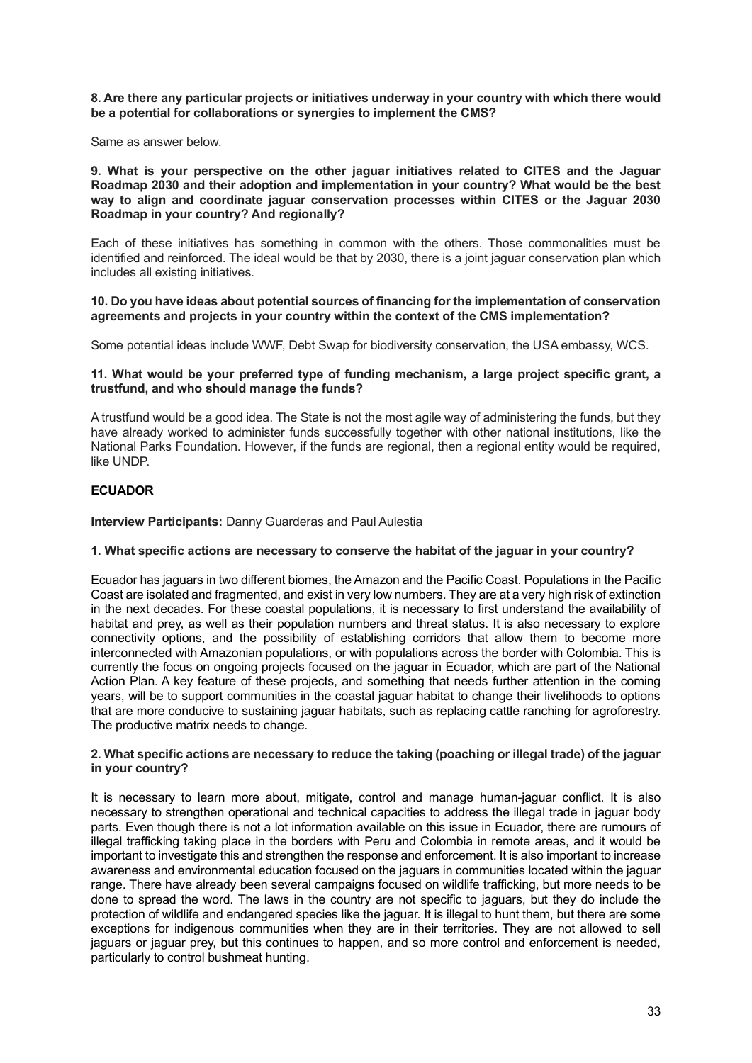#### **8. Are there any particular projects or initiatives underway in your country with which there would be a potential for collaborations or synergies to implement the CMS?**

Same as answer below.

#### **9. What is your perspective on the other jaguar initiatives related to CITES and the Jaguar Roadmap 2030 and their adoption and implementation in your country? What would be the best way to align and coordinate jaguar conservation processes within CITES or the Jaguar 2030 Roadmap in your country? And regionally?**

Each of these initiatives has something in common with the others. Those commonalities must be identified and reinforced. The ideal would be that by 2030, there is a joint jaguar conservation plan which includes all existing initiatives.

#### **10. Do you have ideas about potential sources of financing for the implementation of conservation agreements and projects in your country within the context of the CMS implementation?**

Some potential ideas include WWF, Debt Swap for biodiversity conservation, the USA embassy, WCS.

#### **11. What would be your preferred type of funding mechanism, a large project specific grant, a trustfund, and who should manage the funds?**

A trustfund would be a good idea. The State is not the most agile way of administering the funds, but they have already worked to administer funds successfully together with other national institutions, like the National Parks Foundation. However, if the funds are regional, then a regional entity would be required, like UNDP.

# <span id="page-32-0"></span>**ECUADOR**

**Interview Participants:** Danny Guarderas and Paul Aulestia

#### **1. What specific actions are necessary to conserve the habitat of the jaguar in your country?**

Ecuador has jaguars in two different biomes, the Amazon and the Pacific Coast. Populations in the Pacific Coast are isolated and fragmented, and exist in very low numbers. They are at a very high risk of extinction in the next decades. For these coastal populations, it is necessary to first understand the availability of habitat and prey, as well as their population numbers and threat status. It is also necessary to explore connectivity options, and the possibility of establishing corridors that allow them to become more interconnected with Amazonian populations, or with populations across the border with Colombia. This is currently the focus on ongoing projects focused on the jaguar in Ecuador, which are part of the National Action Plan. A key feature of these projects, and something that needs further attention in the coming years, will be to support communities in the coastal jaguar habitat to change their livelihoods to options that are more conducive to sustaining jaguar habitats, such as replacing cattle ranching for agroforestry. The productive matrix needs to change.

#### **2. What specific actions are necessary to reduce the taking (poaching or illegal trade) of the jaguar in your country?**

It is necessary to learn more about, mitigate, control and manage human-jaguar conflict. It is also necessary to strengthen operational and technical capacities to address the illegal trade in jaguar body parts. Even though there is not a lot information available on this issue in Ecuador, there are rumours of illegal trafficking taking place in the borders with Peru and Colombia in remote areas, and it would be important to investigate this and strengthen the response and enforcement. It is also important to increase awareness and environmental education focused on the jaguars in communities located within the jaguar range. There have already been several campaigns focused on wildlife trafficking, but more needs to be done to spread the word. The laws in the country are not specific to jaguars, but they do include the protection of wildlife and endangered species like the jaguar. It is illegal to hunt them, but there are some exceptions for indigenous communities when they are in their territories. They are not allowed to sell jaguars or jaguar prey, but this continues to happen, and so more control and enforcement is needed, particularly to control bushmeat hunting.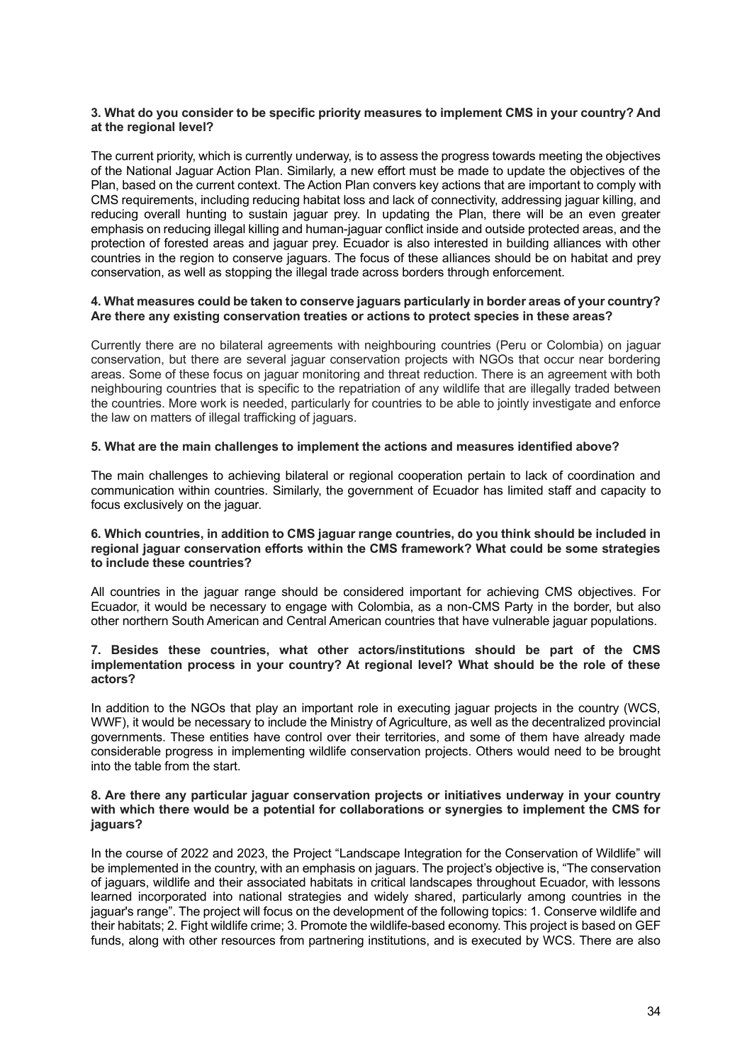#### **3. What do you consider to be specific priority measures to implement CMS in your country? And at the regional level?**

The current priority, which is currently underway, is to assess the progress towards meeting the objectives of the National Jaguar Action Plan. Similarly, a new effort must be made to update the objectives of the Plan, based on the current context. The Action Plan convers key actions that are important to comply with CMS requirements, including reducing habitat loss and lack of connectivity, addressing jaguar killing, and reducing overall hunting to sustain jaguar prey. In updating the Plan, there will be an even greater emphasis on reducing illegal killing and human-jaguar conflict inside and outside protected areas, and the protection of forested areas and jaguar prey. Ecuador is also interested in building alliances with other countries in the region to conserve jaguars. The focus of these alliances should be on habitat and prey conservation, as well as stopping the illegal trade across borders through enforcement.

#### **4. What measures could be taken to conserve jaguars particularly in border areas of your country? Are there any existing conservation treaties or actions to protect species in these areas?**

Currently there are no bilateral agreements with neighbouring countries (Peru or Colombia) on jaguar conservation, but there are several jaguar conservation projects with NGOs that occur near bordering areas. Some of these focus on jaguar monitoring and threat reduction. There is an agreement with both neighbouring countries that is specific to the repatriation of any wildlife that are illegally traded between the countries. More work is needed, particularly for countries to be able to jointly investigate and enforce the law on matters of illegal trafficking of jaguars.

#### **5. What are the main challenges to implement the actions and measures identified above?**

The main challenges to achieving bilateral or regional cooperation pertain to lack of coordination and communication within countries. Similarly, the government of Ecuador has limited staff and capacity to focus exclusively on the jaguar.

#### **6. Which countries, in addition to CMS jaguar range countries, do you think should be included in regional jaguar conservation efforts within the CMS framework? What could be some strategies to include these countries?**

All countries in the jaguar range should be considered important for achieving CMS objectives. For Ecuador, it would be necessary to engage with Colombia, as a non-CMS Party in the border, but also other northern South American and Central American countries that have vulnerable jaguar populations.

#### **7. Besides these countries, what other actors/institutions should be part of the CMS implementation process in your country? At regional level? What should be the role of these actors?**

In addition to the NGOs that play an important role in executing jaguar projects in the country (WCS, WWF), it would be necessary to include the Ministry of Agriculture, as well as the decentralized provincial governments. These entities have control over their territories, and some of them have already made considerable progress in implementing wildlife conservation projects. Others would need to be brought into the table from the start.

#### **8. Are there any particular jaguar conservation projects or initiatives underway in your country with which there would be a potential for collaborations or synergies to implement the CMS for jaguars?**

In the course of 2022 and 2023, the Project "Landscape Integration for the Conservation of Wildlife" will be implemented in the country, with an emphasis on jaguars. The project's objective is, "The conservation of jaguars, wildlife and their associated habitats in critical landscapes throughout Ecuador, with lessons learned incorporated into national strategies and widely shared, particularly among countries in the jaguar's range". The project will focus on the development of the following topics: 1. Conserve wildlife and their habitats; 2. Fight wildlife crime; 3. Promote the wildlife-based economy. This project is based on GEF funds, along with other resources from partnering institutions, and is executed by WCS. There are also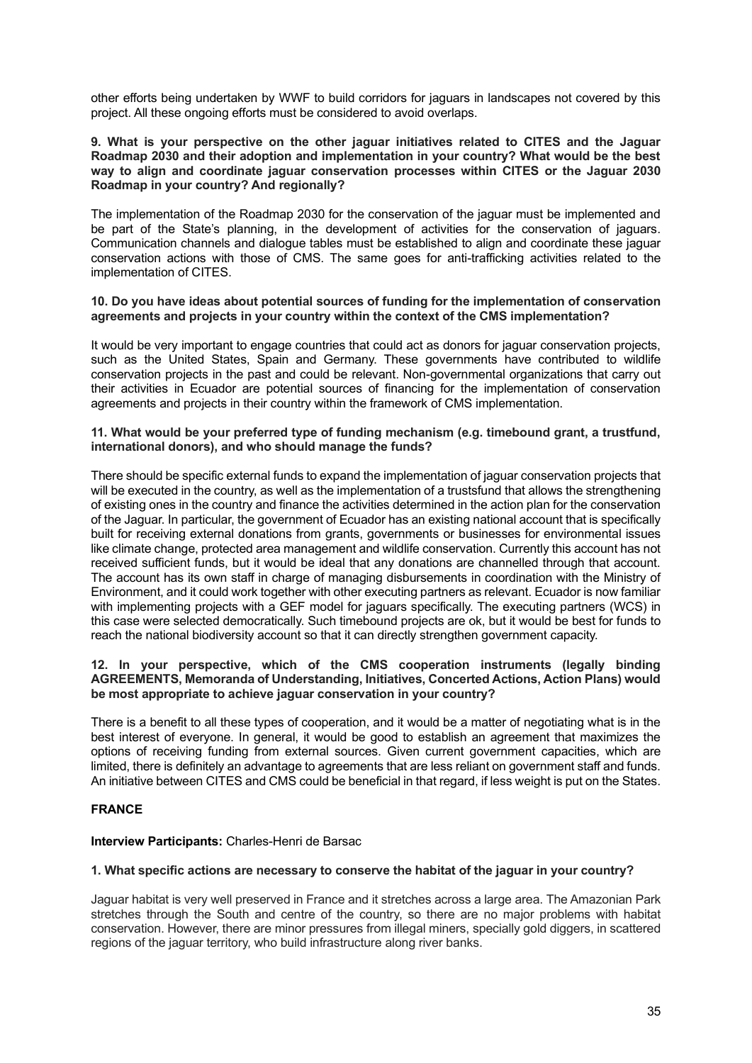other efforts being undertaken by WWF to build corridors for jaguars in landscapes not covered by this project. All these ongoing efforts must be considered to avoid overlaps.

#### **9. What is your perspective on the other jaguar initiatives related to CITES and the Jaguar Roadmap 2030 and their adoption and implementation in your country? What would be the best way to align and coordinate jaguar conservation processes within CITES or the Jaguar 2030 Roadmap in your country? And regionally?**

The implementation of the Roadmap 2030 for the conservation of the jaguar must be implemented and be part of the State's planning, in the development of activities for the conservation of jaguars. Communication channels and dialogue tables must be established to align and coordinate these jaguar conservation actions with those of CMS. The same goes for anti-trafficking activities related to the implementation of CITES.

#### **10. Do you have ideas about potential sources of funding for the implementation of conservation agreements and projects in your country within the context of the CMS implementation?**

It would be very important to engage countries that could act as donors for jaguar conservation projects, such as the United States, Spain and Germany. These governments have contributed to wildlife conservation projects in the past and could be relevant. Non-governmental organizations that carry out their activities in Ecuador are potential sources of financing for the implementation of conservation agreements and projects in their country within the framework of CMS implementation.

## **11. What would be your preferred type of funding mechanism (e.g. timebound grant, a trustfund, international donors), and who should manage the funds?**

There should be specific external funds to expand the implementation of jaguar conservation projects that will be executed in the country, as well as the implementation of a trustsfund that allows the strengthening of existing ones in the country and finance the activities determined in the action plan for the conservation of the Jaguar. In particular, the government of Ecuador has an existing national account that is specifically built for receiving external donations from grants, governments or businesses for environmental issues like climate change, protected area management and wildlife conservation. Currently this account has not received sufficient funds, but it would be ideal that any donations are channelled through that account. The account has its own staff in charge of managing disbursements in coordination with the Ministry of Environment, and it could work together with other executing partners as relevant. Ecuador is now familiar with implementing projects with a GEF model for jaguars specifically. The executing partners (WCS) in this case were selected democratically. Such timebound projects are ok, but it would be best for funds to reach the national biodiversity account so that it can directly strengthen government capacity.

# **12. In your perspective, which of the CMS cooperation instruments (legally binding AGREEMENTS, Memoranda of Understanding, Initiatives, Concerted Actions, Action Plans) would be most appropriate to achieve jaguar conservation in your country?**

There is a benefit to all these types of cooperation, and it would be a matter of negotiating what is in the best interest of everyone. In general, it would be good to establish an agreement that maximizes the options of receiving funding from external sources. Given current government capacities, which are limited, there is definitely an advantage to agreements that are less reliant on government staff and funds. An initiative between CITES and CMS could be beneficial in that regard, if less weight is put on the States.

# <span id="page-34-0"></span>**FRANCE**

# **Interview Participants:** Charles-Henri de Barsac

#### **1. What specific actions are necessary to conserve the habitat of the jaguar in your country?**

Jaguar habitat is very well preserved in France and it stretches across a large area. The Amazonian Park stretches through the South and centre of the country, so there are no major problems with habitat conservation. However, there are minor pressures from illegal miners, specially gold diggers, in scattered regions of the jaguar territory, who build infrastructure along river banks.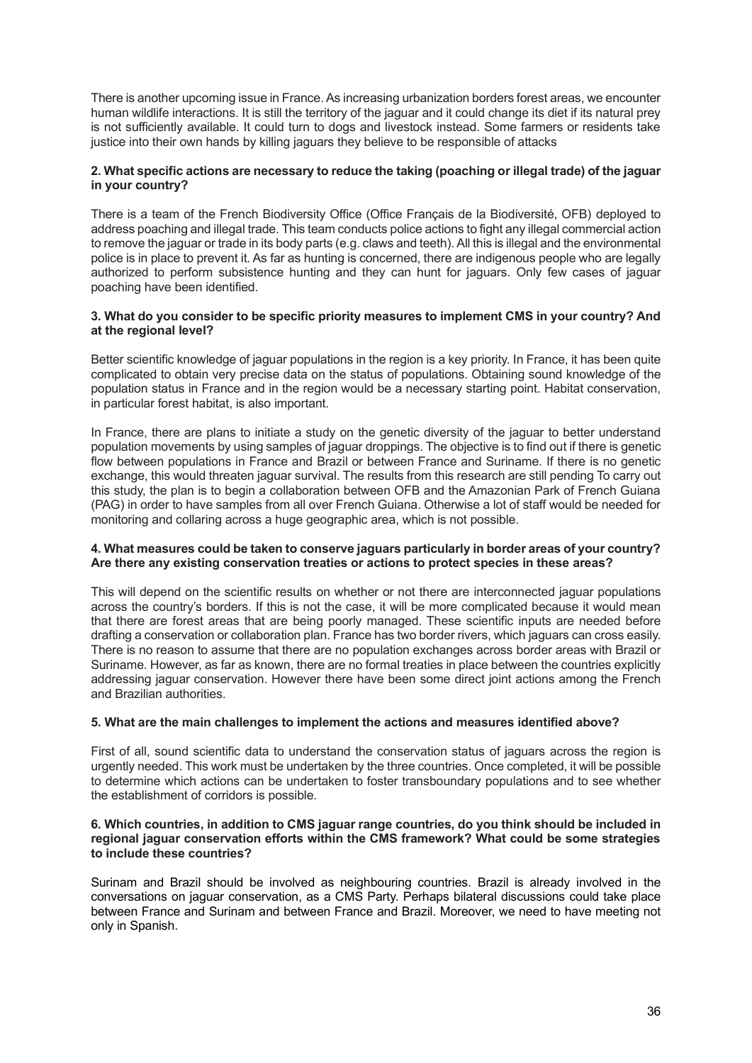There is another upcoming issue in France. As increasing urbanization borders forest areas, we encounter human wildlife interactions. It is still the territory of the jaguar and it could change its diet if its natural prey is not sufficiently available. It could turn to dogs and livestock instead. Some farmers or residents take justice into their own hands by killing jaguars they believe to be responsible of attacks

# **2. What specific actions are necessary to reduce the taking (poaching or illegal trade) of the jaguar in your country?**

There is a team of the French Biodiversity Office (Office Français de la Biodiversité, OFB) deployed to address poaching and illegal trade. This team conducts police actions to fight any illegal commercial action to remove the jaguar or trade in its body parts (e.g. claws and teeth). All this is illegal and the environmental police is in place to prevent it. As far as hunting is concerned, there are indigenous people who are legally authorized to perform subsistence hunting and they can hunt for jaguars. Only few cases of jaguar poaching have been identified.

#### **3. What do you consider to be specific priority measures to implement CMS in your country? And at the regional level?**

Better scientific knowledge of jaguar populations in the region is a key priority. In France, it has been quite complicated to obtain very precise data on the status of populations. Obtaining sound knowledge of the population status in France and in the region would be a necessary starting point. Habitat conservation, in particular forest habitat, is also important.

In France, there are plans to initiate a study on the genetic diversity of the jaguar to better understand population movements by using samples of jaguar droppings. The objective is to find out if there is genetic flow between populations in France and Brazil or between France and Suriname. If there is no genetic exchange, this would threaten jaguar survival. The results from this research are still pending To carry out this study, the plan is to begin a collaboration between OFB and the Amazonian Park of French Guiana (PAG) in order to have samples from all over French Guiana. Otherwise a lot of staff would be needed for monitoring and collaring across a huge geographic area, which is not possible.

#### **4. What measures could be taken to conserve jaguars particularly in border areas of your country? Are there any existing conservation treaties or actions to protect species in these areas?**

This will depend on the scientific results on whether or not there are interconnected jaguar populations across the country's borders. If this is not the case, it will be more complicated because it would mean that there are forest areas that are being poorly managed. These scientific inputs are needed before drafting a conservation or collaboration plan. France has two border rivers, which jaguars can cross easily. There is no reason to assume that there are no population exchanges across border areas with Brazil or Suriname. However, as far as known, there are no formal treaties in place between the countries explicitly addressing jaguar conservation. However there have been some direct joint actions among the French and Brazilian authorities.

# **5. What are the main challenges to implement the actions and measures identified above?**

First of all, sound scientific data to understand the conservation status of jaguars across the region is urgently needed. This work must be undertaken by the three countries. Once completed, it will be possible to determine which actions can be undertaken to foster transboundary populations and to see whether the establishment of corridors is possible.

#### **6. Which countries, in addition to CMS jaguar range countries, do you think should be included in regional jaguar conservation efforts within the CMS framework? What could be some strategies to include these countries?**

Surinam and Brazil should be involved as neighbouring countries. Brazil is already involved in the conversations on jaguar conservation, as a CMS Party. Perhaps bilateral discussions could take place between France and Surinam and between France and Brazil. Moreover, we need to have meeting not only in Spanish.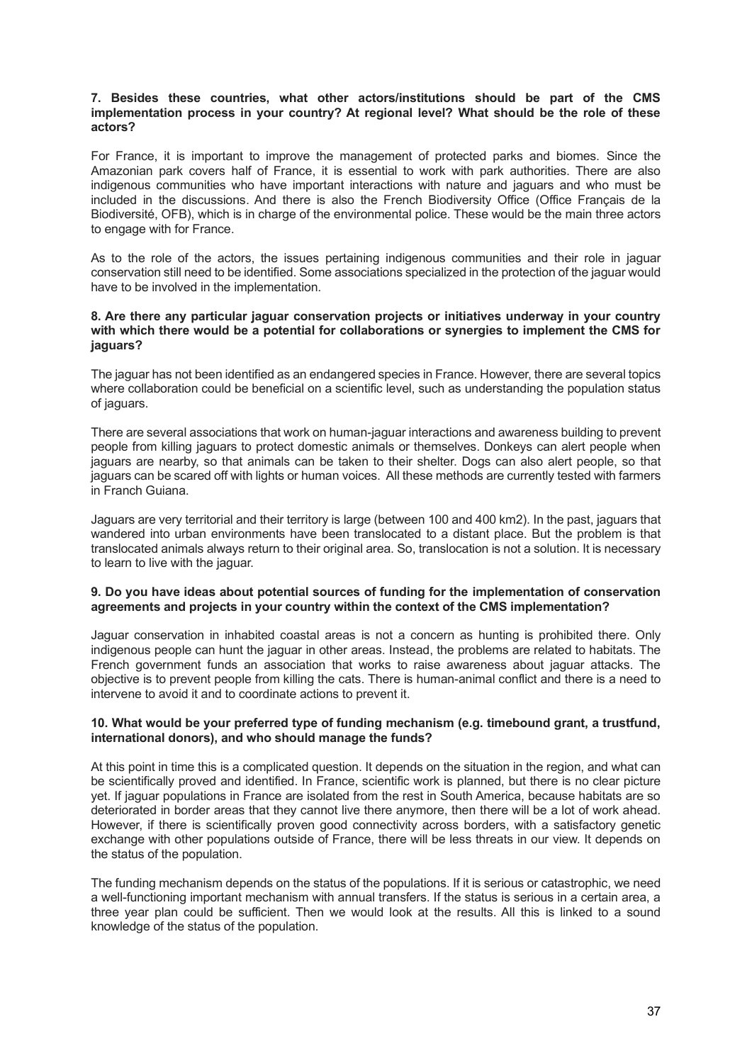#### **7. Besides these countries, what other actors/institutions should be part of the CMS implementation process in your country? At regional level? What should be the role of these actors?**

For France, it is important to improve the management of protected parks and biomes. Since the Amazonian park covers half of France, it is essential to work with park authorities. There are also indigenous communities who have important interactions with nature and jaguars and who must be included in the discussions. And there is also the French Biodiversity Office (Office Français de la Biodiversité, OFB), which is in charge of the environmental police. These would be the main three actors to engage with for France.

As to the role of the actors, the issues pertaining indigenous communities and their role in jaguar conservation still need to be identified. Some associations specialized in the protection of the jaguar would have to be involved in the implementation.

#### **8. Are there any particular jaguar conservation projects or initiatives underway in your country with which there would be a potential for collaborations or synergies to implement the CMS for jaguars?**

The jaguar has not been identified as an endangered species in France. However, there are several topics where collaboration could be beneficial on a scientific level, such as understanding the population status of jaguars.

There are several associations that work on human-jaguar interactions and awareness building to prevent people from killing jaguars to protect domestic animals or themselves. Donkeys can alert people when jaguars are nearby, so that animals can be taken to their shelter. Dogs can also alert people, so that jaguars can be scared off with lights or human voices. All these methods are currently tested with farmers in Franch Guiana.

Jaguars are very territorial and their territory is large (between 100 and 400 km2). In the past, jaguars that wandered into urban environments have been translocated to a distant place. But the problem is that translocated animals always return to their original area. So, translocation is not a solution. It is necessary to learn to live with the jaguar.

#### **9. Do you have ideas about potential sources of funding for the implementation of conservation agreements and projects in your country within the context of the CMS implementation?**

Jaguar conservation in inhabited coastal areas is not a concern as hunting is prohibited there. Only indigenous people can hunt the jaguar in other areas. Instead, the problems are related to habitats. The French government funds an association that works to raise awareness about jaguar attacks. The objective is to prevent people from killing the cats. There is human-animal conflict and there is a need to intervene to avoid it and to coordinate actions to prevent it.

#### **10. What would be your preferred type of funding mechanism (e.g. timebound grant, a trustfund, international donors), and who should manage the funds?**

At this point in time this is a complicated question. It depends on the situation in the region, and what can be scientifically proved and identified. In France, scientific work is planned, but there is no clear picture yet. If jaguar populations in France are isolated from the rest in South America, because habitats are so deteriorated in border areas that they cannot live there anymore, then there will be a lot of work ahead. However, if there is scientifically proven good connectivity across borders, with a satisfactory genetic exchange with other populations outside of France, there will be less threats in our view. It depends on the status of the population.

The funding mechanism depends on the status of the populations. If it is serious or catastrophic, we need a well-functioning important mechanism with annual transfers. If the status is serious in a certain area, a three year plan could be sufficient. Then we would look at the results. All this is linked to a sound knowledge of the status of the population.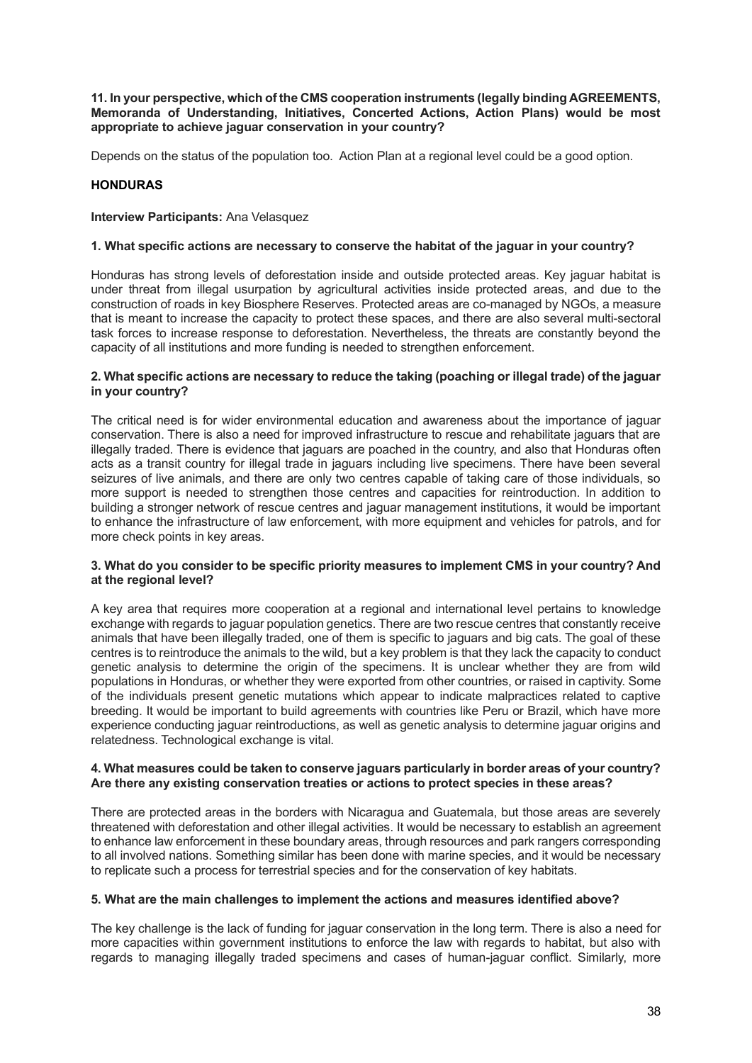**11. In your perspective, which of the CMS cooperation instruments (legally binding AGREEMENTS, Memoranda of Understanding, Initiatives, Concerted Actions, Action Plans) would be most appropriate to achieve jaguar conservation in your country?** 

Depends on the status of the population too. Action Plan at a regional level could be a good option.

# <span id="page-37-0"></span>**HONDURAS**

## **Interview Participants: Ana Velasquez**

## **1. What specific actions are necessary to conserve the habitat of the jaguar in your country?**

Honduras has strong levels of deforestation inside and outside protected areas. Key jaguar habitat is under threat from illegal usurpation by agricultural activities inside protected areas, and due to the construction of roads in key Biosphere Reserves. Protected areas are co-managed by NGOs, a measure that is meant to increase the capacity to protect these spaces, and there are also several multi-sectoral task forces to increase response to deforestation. Nevertheless, the threats are constantly beyond the capacity of all institutions and more funding is needed to strengthen enforcement.

#### **2. What specific actions are necessary to reduce the taking (poaching or illegal trade) of the jaguar in your country?**

The critical need is for wider environmental education and awareness about the importance of jaguar conservation. There is also a need for improved infrastructure to rescue and rehabilitate jaguars that are illegally traded. There is evidence that jaguars are poached in the country, and also that Honduras often acts as a transit country for illegal trade in jaguars including live specimens. There have been several seizures of live animals, and there are only two centres capable of taking care of those individuals, so more support is needed to strengthen those centres and capacities for reintroduction. In addition to building a stronger network of rescue centres and jaguar management institutions, it would be important to enhance the infrastructure of law enforcement, with more equipment and vehicles for patrols, and for more check points in key areas.

## **3. What do you consider to be specific priority measures to implement CMS in your country? And at the regional level?**

A key area that requires more cooperation at a regional and international level pertains to knowledge exchange with regards to jaguar population genetics. There are two rescue centres that constantly receive animals that have been illegally traded, one of them is specific to jaguars and big cats. The goal of these centres is to reintroduce the animals to the wild, but a key problem is that they lack the capacity to conduct genetic analysis to determine the origin of the specimens. It is unclear whether they are from wild populations in Honduras, or whether they were exported from other countries, or raised in captivity. Some of the individuals present genetic mutations which appear to indicate malpractices related to captive breeding. It would be important to build agreements with countries like Peru or Brazil, which have more experience conducting jaguar reintroductions, as well as genetic analysis to determine jaguar origins and relatedness. Technological exchange is vital.

#### **4. What measures could be taken to conserve jaguars particularly in border areas of your country? Are there any existing conservation treaties or actions to protect species in these areas?**

There are protected areas in the borders with Nicaragua and Guatemala, but those areas are severely threatened with deforestation and other illegal activities. It would be necessary to establish an agreement to enhance law enforcement in these boundary areas, through resources and park rangers corresponding to all involved nations. Something similar has been done with marine species, and it would be necessary to replicate such a process for terrestrial species and for the conservation of key habitats.

# **5. What are the main challenges to implement the actions and measures identified above?**

The key challenge is the lack of funding for jaguar conservation in the long term. There is also a need for more capacities within government institutions to enforce the law with regards to habitat, but also with regards to managing illegally traded specimens and cases of human-jaguar conflict. Similarly, more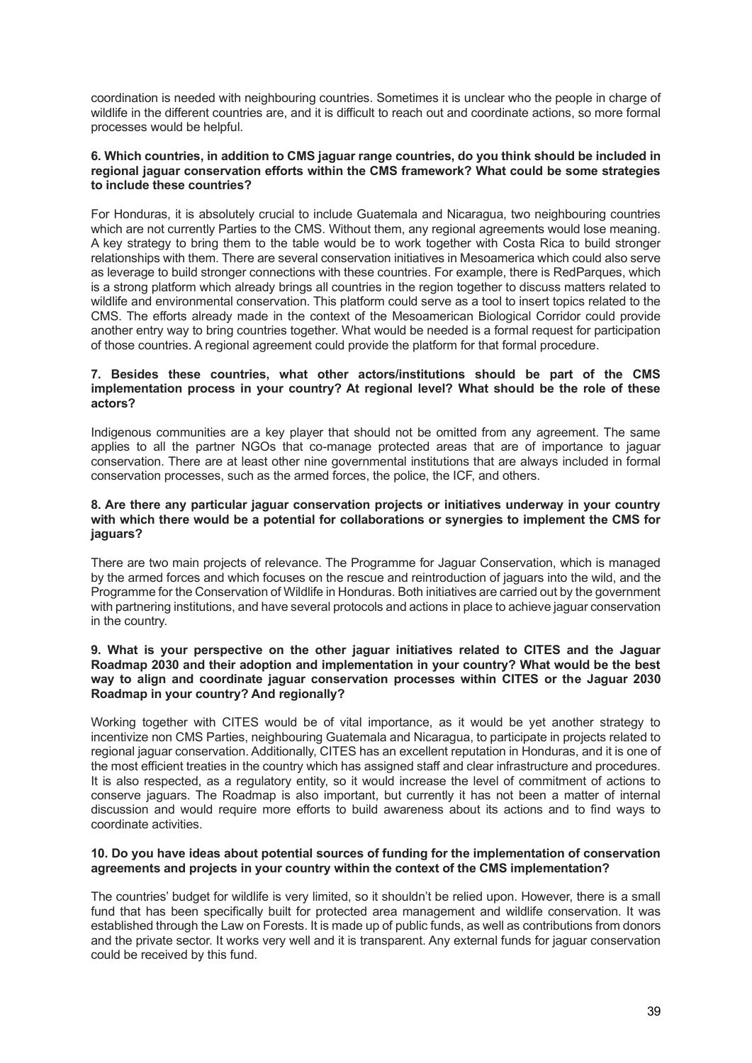coordination is needed with neighbouring countries. Sometimes it is unclear who the people in charge of wildlife in the different countries are, and it is difficult to reach out and coordinate actions, so more formal processes would be helpful.

#### **6. Which countries, in addition to CMS jaguar range countries, do you think should be included in regional jaguar conservation efforts within the CMS framework? What could be some strategies to include these countries?**

For Honduras, it is absolutely crucial to include Guatemala and Nicaragua, two neighbouring countries which are not currently Parties to the CMS. Without them, any regional agreements would lose meaning. A key strategy to bring them to the table would be to work together with Costa Rica to build stronger relationships with them. There are several conservation initiatives in Mesoamerica which could also serve as leverage to build stronger connections with these countries. For example, there is RedParques, which is a strong platform which already brings all countries in the region together to discuss matters related to wildlife and environmental conservation. This platform could serve as a tool to insert topics related to the CMS. The efforts already made in the context of the Mesoamerican Biological Corridor could provide another entry way to bring countries together. What would be needed is a formal request for participation of those countries. A regional agreement could provide the platform for that formal procedure.

## **7. Besides these countries, what other actors/institutions should be part of the CMS implementation process in your country? At regional level? What should be the role of these actors?**

Indigenous communities are a key player that should not be omitted from any agreement. The same applies to all the partner NGOs that co-manage protected areas that are of importance to jaguar conservation. There are at least other nine governmental institutions that are always included in formal conservation processes, such as the armed forces, the police, the ICF, and others.

#### **8. Are there any particular jaguar conservation projects or initiatives underway in your country with which there would be a potential for collaborations or synergies to implement the CMS for jaguars?**

There are two main projects of relevance. The Programme for Jaguar Conservation, which is managed by the armed forces and which focuses on the rescue and reintroduction of jaguars into the wild, and the Programme for the Conservation of Wildlife in Honduras. Both initiatives are carried out by the government with partnering institutions, and have several protocols and actions in place to achieve jaguar conservation in the country.

#### **9. What is your perspective on the other jaguar initiatives related to CITES and the Jaguar Roadmap 2030 and their adoption and implementation in your country? What would be the best way to align and coordinate jaguar conservation processes within CITES or the Jaguar 2030 Roadmap in your country? And regionally?**

Working together with CITES would be of vital importance, as it would be yet another strategy to incentivize non CMS Parties, neighbouring Guatemala and Nicaragua, to participate in projects related to regional jaguar conservation. Additionally, CITES has an excellent reputation in Honduras, and it is one of the most efficient treaties in the country which has assigned staff and clear infrastructure and procedures. It is also respected, as a regulatory entity, so it would increase the level of commitment of actions to conserve jaguars. The Roadmap is also important, but currently it has not been a matter of internal discussion and would require more efforts to build awareness about its actions and to find ways to coordinate activities.

## **10. Do you have ideas about potential sources of funding for the implementation of conservation agreements and projects in your country within the context of the CMS implementation?**

The countries' budget for wildlife is very limited, so it shouldn't be relied upon. However, there is a small fund that has been specifically built for protected area management and wildlife conservation. It was established through the Law on Forests. It is made up of public funds, as well as contributions from donors and the private sector. It works very well and it is transparent. Any external funds for jaguar conservation could be received by this fund.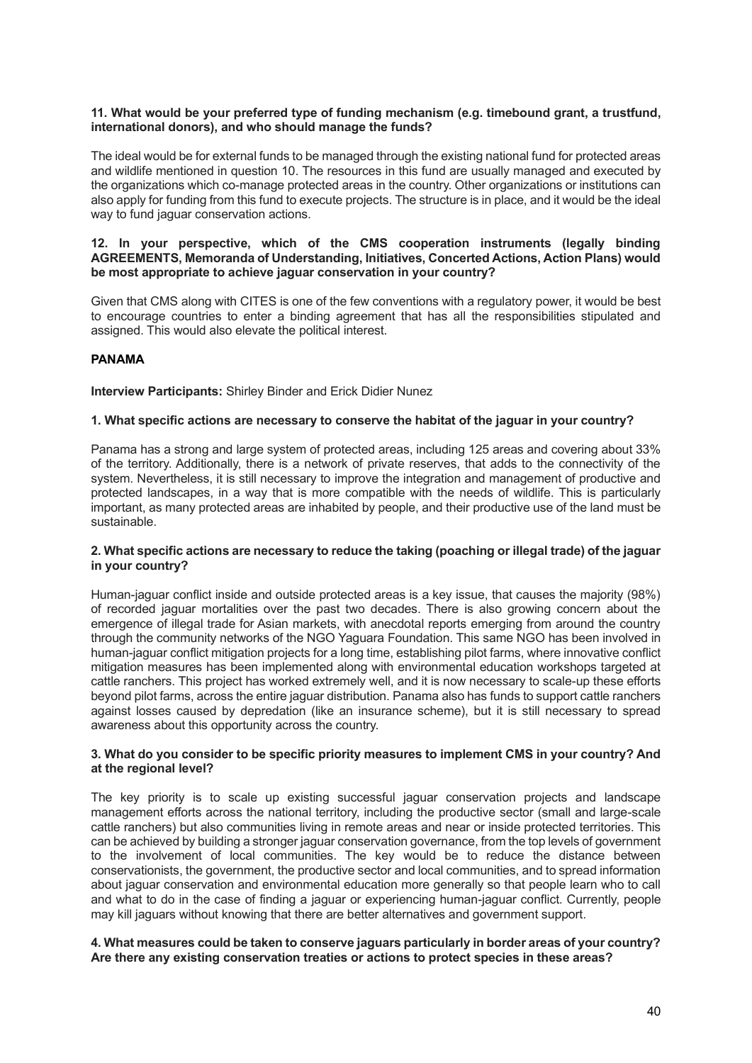#### **11. What would be your preferred type of funding mechanism (e.g. timebound grant, a trustfund, international donors), and who should manage the funds?**

The ideal would be for external funds to be managed through the existing national fund for protected areas and wildlife mentioned in question 10. The resources in this fund are usually managed and executed by the organizations which co-manage protected areas in the country. Other organizations or institutions can also apply for funding from this fund to execute projects. The structure is in place, and it would be the ideal way to fund jaguar conservation actions.

#### **12. In your perspective, which of the CMS cooperation instruments (legally binding AGREEMENTS, Memoranda of Understanding, Initiatives, Concerted Actions, Action Plans) would be most appropriate to achieve jaguar conservation in your country?**

Given that CMS along with CITES is one of the few conventions with a regulatory power, it would be best to encourage countries to enter a binding agreement that has all the responsibilities stipulated and assigned. This would also elevate the political interest.

## <span id="page-39-0"></span>**PANAMA**

**Interview Participants:** Shirley Binder and Erick Didier Nunez

#### **1. What specific actions are necessary to conserve the habitat of the jaguar in your country?**

Panama has a strong and large system of protected areas, including 125 areas and covering about 33% of the territory. Additionally, there is a network of private reserves, that adds to the connectivity of the system. Nevertheless, it is still necessary to improve the integration and management of productive and protected landscapes, in a way that is more compatible with the needs of wildlife. This is particularly important, as many protected areas are inhabited by people, and their productive use of the land must be sustainable.

#### **2. What specific actions are necessary to reduce the taking (poaching or illegal trade) of the jaguar in your country?**

Human-jaguar conflict inside and outside protected areas is a key issue, that causes the majority (98%) of recorded jaguar mortalities over the past two decades. There is also growing concern about the emergence of illegal trade for Asian markets, with anecdotal reports emerging from around the country through the community networks of the NGO Yaguara Foundation. This same NGO has been involved in human-jaguar conflict mitigation projects for a long time, establishing pilot farms, where innovative conflict mitigation measures has been implemented along with environmental education workshops targeted at cattle ranchers. This project has worked extremely well, and it is now necessary to scale-up these efforts beyond pilot farms, across the entire jaguar distribution. Panama also has funds to support cattle ranchers against losses caused by depredation (like an insurance scheme), but it is still necessary to spread awareness about this opportunity across the country.

#### **3. What do you consider to be specific priority measures to implement CMS in your country? And at the regional level?**

The key priority is to scale up existing successful jaguar conservation projects and landscape management efforts across the national territory, including the productive sector (small and large-scale cattle ranchers) but also communities living in remote areas and near or inside protected territories. This can be achieved by building a stronger jaguar conservation governance, from the top levels of government to the involvement of local communities. The key would be to reduce the distance between conservationists, the government, the productive sector and local communities, and to spread information about jaguar conservation and environmental education more generally so that people learn who to call and what to do in the case of finding a jaguar or experiencing human-jaguar conflict. Currently, people may kill jaguars without knowing that there are better alternatives and government support.

## **4. What measures could be taken to conserve jaguars particularly in border areas of your country? Are there any existing conservation treaties or actions to protect species in these areas?**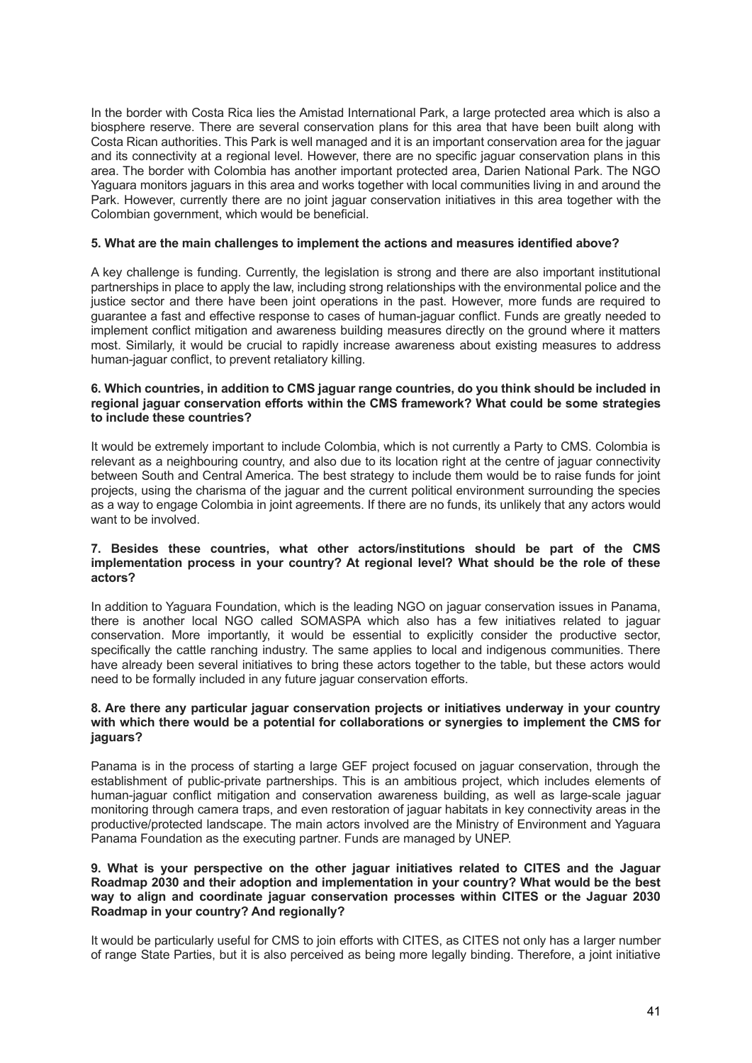In the border with Costa Rica lies the Amistad International Park, a large protected area which is also a biosphere reserve. There are several conservation plans for this area that have been built along with Costa Rican authorities. This Park is well managed and it is an important conservation area for the jaguar and its connectivity at a regional level. However, there are no specific jaguar conservation plans in this area. The border with Colombia has another important protected area, Darien National Park. The NGO Yaguara monitors jaguars in this area and works together with local communities living in and around the Park. However, currently there are no joint jaguar conservation initiatives in this area together with the Colombian government, which would be beneficial.

#### **5. What are the main challenges to implement the actions and measures identified above?**

A key challenge is funding. Currently, the legislation is strong and there are also important institutional partnerships in place to apply the law, including strong relationships with the environmental police and the justice sector and there have been joint operations in the past. However, more funds are required to guarantee a fast and effective response to cases of human-jaguar conflict. Funds are greatly needed to implement conflict mitigation and awareness building measures directly on the ground where it matters most. Similarly, it would be crucial to rapidly increase awareness about existing measures to address human-jaguar conflict, to prevent retaliatory killing.

#### **6. Which countries, in addition to CMS jaguar range countries, do you think should be included in regional jaguar conservation efforts within the CMS framework? What could be some strategies to include these countries?**

It would be extremely important to include Colombia, which is not currently a Party to CMS. Colombia is relevant as a neighbouring country, and also due to its location right at the centre of jaguar connectivity between South and Central America. The best strategy to include them would be to raise funds for joint projects, using the charisma of the jaguar and the current political environment surrounding the species as a way to engage Colombia in joint agreements. If there are no funds, its unlikely that any actors would want to be involved.

#### **7. Besides these countries, what other actors/institutions should be part of the CMS implementation process in your country? At regional level? What should be the role of these actors?**

In addition to Yaguara Foundation, which is the leading NGO on jaguar conservation issues in Panama, there is another local NGO called SOMASPA which also has a few initiatives related to jaguar conservation. More importantly, it would be essential to explicitly consider the productive sector, specifically the cattle ranching industry. The same applies to local and indigenous communities. There have already been several initiatives to bring these actors together to the table, but these actors would need to be formally included in any future jaguar conservation efforts.

#### **8. Are there any particular jaguar conservation projects or initiatives underway in your country with which there would be a potential for collaborations or synergies to implement the CMS for jaguars?**

Panama is in the process of starting a large GEF project focused on jaguar conservation, through the establishment of public-private partnerships. This is an ambitious project, which includes elements of human-jaguar conflict mitigation and conservation awareness building, as well as large-scale jaguar monitoring through camera traps, and even restoration of jaguar habitats in key connectivity areas in the productive/protected landscape. The main actors involved are the Ministry of Environment and Yaguara Panama Foundation as the executing partner. Funds are managed by UNEP.

#### **9. What is your perspective on the other jaguar initiatives related to CITES and the Jaguar Roadmap 2030 and their adoption and implementation in your country? What would be the best way to align and coordinate jaguar conservation processes within CITES or the Jaguar 2030 Roadmap in your country? And regionally?**

It would be particularly useful for CMS to join efforts with CITES, as CITES not only has a larger number of range State Parties, but it is also perceived as being more legally binding. Therefore, a joint initiative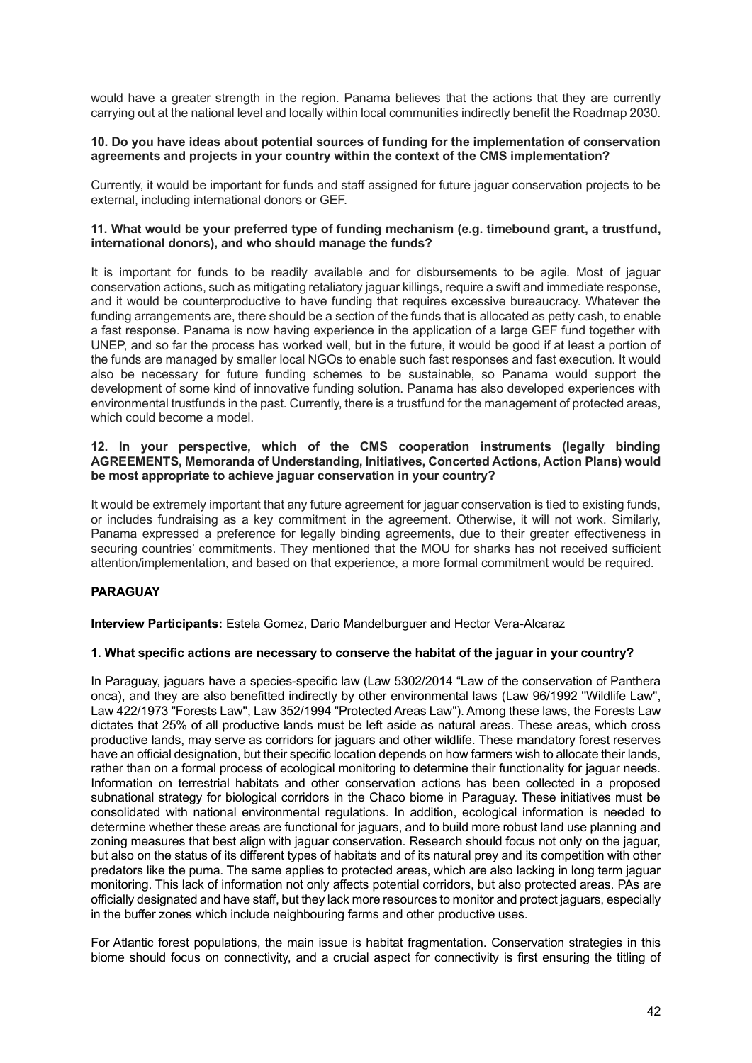would have a greater strength in the region. Panama believes that the actions that they are currently carrying out at the national level and locally within local communities indirectly benefit the Roadmap 2030.

#### **10. Do you have ideas about potential sources of funding for the implementation of conservation agreements and projects in your country within the context of the CMS implementation?**

Currently, it would be important for funds and staff assigned for future jaguar conservation projects to be external, including international donors or GEF.

## **11. What would be your preferred type of funding mechanism (e.g. timebound grant, a trustfund, international donors), and who should manage the funds?**

It is important for funds to be readily available and for disbursements to be agile. Most of jaguar conservation actions, such as mitigating retaliatory jaguar killings, require a swift and immediate response, and it would be counterproductive to have funding that requires excessive bureaucracy. Whatever the funding arrangements are, there should be a section of the funds that is allocated as petty cash, to enable a fast response. Panama is now having experience in the application of a large GEF fund together with UNEP, and so far the process has worked well, but in the future, it would be good if at least a portion of the funds are managed by smaller local NGOs to enable such fast responses and fast execution. It would also be necessary for future funding schemes to be sustainable, so Panama would support the development of some kind of innovative funding solution. Panama has also developed experiences with environmental trustfunds in the past. Currently, there is a trustfund for the management of protected areas, which could become a model.

#### **12. In your perspective, which of the CMS cooperation instruments (legally binding AGREEMENTS, Memoranda of Understanding, Initiatives, Concerted Actions, Action Plans) would be most appropriate to achieve jaguar conservation in your country?**

It would be extremely important that any future agreement for jaguar conservation is tied to existing funds, or includes fundraising as a key commitment in the agreement. Otherwise, it will not work. Similarly, Panama expressed a preference for legally binding agreements, due to their greater effectiveness in securing countries' commitments. They mentioned that the MOU for sharks has not received sufficient attention/implementation, and based on that experience, a more formal commitment would be required.

# <span id="page-41-0"></span>**PARAGUAY**

**Interview Participants:** Estela Gomez, Dario Mandelburguer and Hector Vera-Alcaraz

#### **1. What specific actions are necessary to conserve the habitat of the jaguar in your country?**

In Paraguay, jaguars have a species-specific law (Law 5302/2014 "Law of the conservation of Panthera onca), and they are also benefitted indirectly by other environmental laws (Law 96/1992 ''Wildlife Law'', Law 422/1973 "Forests Law'', Law 352/1994 "Protected Areas Law"). Among these laws, the Forests Law dictates that 25% of all productive lands must be left aside as natural areas. These areas, which cross productive lands, may serve as corridors for jaguars and other wildlife. These mandatory forest reserves have an official designation, but their specific location depends on how farmers wish to allocate their lands, rather than on a formal process of ecological monitoring to determine their functionality for jaguar needs. Information on terrestrial habitats and other conservation actions has been collected in a proposed subnational strategy for biological corridors in the Chaco biome in Paraguay. These initiatives must be consolidated with national environmental regulations. In addition, ecological information is needed to determine whether these areas are functional for jaguars, and to build more robust land use planning and zoning measures that best align with jaguar conservation. Research should focus not only on the jaguar, but also on the status of its different types of habitats and of its natural prey and its competition with other predators like the puma. The same applies to protected areas, which are also lacking in long term jaguar monitoring. This lack of information not only affects potential corridors, but also protected areas. PAs are officially designated and have staff, but they lack more resources to monitor and protect jaguars, especially in the buffer zones which include neighbouring farms and other productive uses.

For Atlantic forest populations, the main issue is habitat fragmentation. Conservation strategies in this biome should focus on connectivity, and a crucial aspect for connectivity is first ensuring the titling of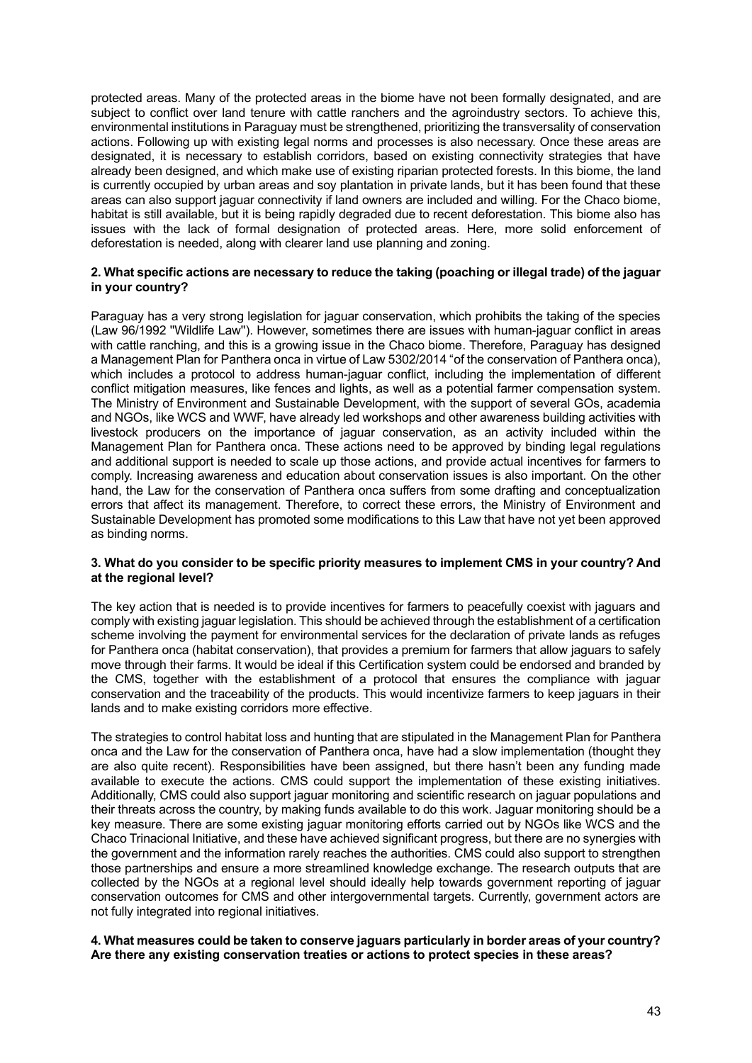protected areas. Many of the protected areas in the biome have not been formally designated, and are subject to conflict over land tenure with cattle ranchers and the agroindustry sectors. To achieve this, environmental institutions in Paraguay must be strengthened, prioritizing the transversality of conservation actions. Following up with existing legal norms and processes is also necessary. Once these areas are designated, it is necessary to establish corridors, based on existing connectivity strategies that have already been designed, and which make use of existing riparian protected forests. In this biome, the land is currently occupied by urban areas and soy plantation in private lands, but it has been found that these areas can also support jaguar connectivity if land owners are included and willing. For the Chaco biome, habitat is still available, but it is being rapidly degraded due to recent deforestation. This biome also has issues with the lack of formal designation of protected areas. Here, more solid enforcement of deforestation is needed, along with clearer land use planning and zoning.

#### **2. What specific actions are necessary to reduce the taking (poaching or illegal trade) of the jaguar in your country?**

Paraguay has a very strong legislation for jaguar conservation, which prohibits the taking of the species (Law 96/1992 ''Wildlife Law''). However, sometimes there are issues with human-jaguar conflict in areas with cattle ranching, and this is a growing issue in the Chaco biome. Therefore, Paraguay has designed a Management Plan for Panthera onca in virtue of Law 5302/2014 "of the conservation of Panthera onca), which includes a protocol to address human-jaguar conflict, including the implementation of different conflict mitigation measures, like fences and lights, as well as a potential farmer compensation system. The Ministry of Environment and Sustainable Development, with the support of several GOs, academia and NGOs, like WCS and WWF, have already led workshops and other awareness building activities with livestock producers on the importance of jaguar conservation, as an activity included within the Management Plan for Panthera onca. These actions need to be approved by binding legal regulations and additional support is needed to scale up those actions, and provide actual incentives for farmers to comply. Increasing awareness and education about conservation issues is also important. On the other hand, the Law for the conservation of Panthera onca suffers from some drafting and conceptualization errors that affect its management. Therefore, to correct these errors, the Ministry of Environment and Sustainable Development has promoted some modifications to this Law that have not yet been approved as binding norms.

#### **3. What do you consider to be specific priority measures to implement CMS in your country? And at the regional level?**

The key action that is needed is to provide incentives for farmers to peacefully coexist with jaguars and comply with existing jaguar legislation. This should be achieved through the establishment of a certification scheme involving the payment for environmental services for the declaration of private lands as refuges for Panthera onca (habitat conservation), that provides a premium for farmers that allow jaguars to safely move through their farms. It would be ideal if this Certification system could be endorsed and branded by the CMS, together with the establishment of a protocol that ensures the compliance with jaguar conservation and the traceability of the products. This would incentivize farmers to keep jaguars in their lands and to make existing corridors more effective.

The strategies to control habitat loss and hunting that are stipulated in the Management Plan for Panthera onca and the Law for the conservation of Panthera onca, have had a slow implementation (thought they are also quite recent). Responsibilities have been assigned, but there hasn't been any funding made available to execute the actions. CMS could support the implementation of these existing initiatives. Additionally, CMS could also support jaguar monitoring and scientific research on jaguar populations and their threats across the country, by making funds available to do this work. Jaguar monitoring should be a key measure. There are some existing jaguar monitoring efforts carried out by NGOs like WCS and the Chaco Trinacional Initiative, and these have achieved significant progress, but there are no synergies with the government and the information rarely reaches the authorities. CMS could also support to strengthen those partnerships and ensure a more streamlined knowledge exchange. The research outputs that are collected by the NGOs at a regional level should ideally help towards government reporting of jaguar conservation outcomes for CMS and other intergovernmental targets. Currently, government actors are not fully integrated into regional initiatives.

## **4. What measures could be taken to conserve jaguars particularly in border areas of your country? Are there any existing conservation treaties or actions to protect species in these areas?**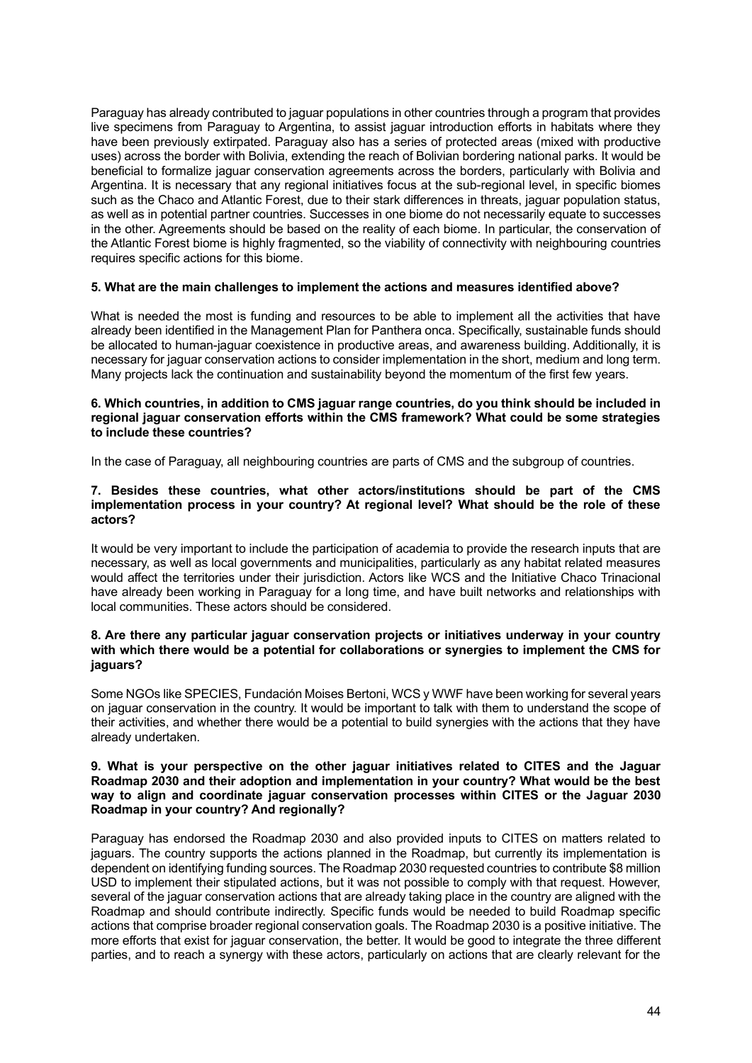Paraguay has already contributed to jaguar populations in other countries through a program that provides live specimens from Paraguay to Argentina, to assist jaguar introduction efforts in habitats where they have been previously extirpated. Paraguay also has a series of protected areas (mixed with productive uses) across the border with Bolivia, extending the reach of Bolivian bordering national parks. It would be beneficial to formalize jaguar conservation agreements across the borders, particularly with Bolivia and Argentina. It is necessary that any regional initiatives focus at the sub-regional level, in specific biomes such as the Chaco and Atlantic Forest, due to their stark differences in threats, jaguar population status, as well as in potential partner countries. Successes in one biome do not necessarily equate to successes in the other. Agreements should be based on the reality of each biome. In particular, the conservation of the Atlantic Forest biome is highly fragmented, so the viability of connectivity with neighbouring countries requires specific actions for this biome.

#### **5. What are the main challenges to implement the actions and measures identified above?**

What is needed the most is funding and resources to be able to implement all the activities that have already been identified in the Management Plan for Panthera onca. Specifically, sustainable funds should be allocated to human-jaguar coexistence in productive areas, and awareness building. Additionally, it is necessary for jaguar conservation actions to consider implementation in the short, medium and long term. Many projects lack the continuation and sustainability beyond the momentum of the first few years.

#### **6. Which countries, in addition to CMS jaguar range countries, do you think should be included in regional jaguar conservation efforts within the CMS framework? What could be some strategies to include these countries?**

In the case of Paraguay, all neighbouring countries are parts of CMS and the subgroup of countries.

#### **7. Besides these countries, what other actors/institutions should be part of the CMS implementation process in your country? At regional level? What should be the role of these actors?**

It would be very important to include the participation of academia to provide the research inputs that are necessary, as well as local governments and municipalities, particularly as any habitat related measures would affect the territories under their jurisdiction. Actors like WCS and the Initiative Chaco Trinacional have already been working in Paraguay for a long time, and have built networks and relationships with local communities. These actors should be considered.

#### **8. Are there any particular jaguar conservation projects or initiatives underway in your country with which there would be a potential for collaborations or synergies to implement the CMS for jaguars?**

Some NGOs like SPECIES, Fundación Moises Bertoni, WCS y WWF have been working for several years on jaguar conservation in the country. It would be important to talk with them to understand the scope of their activities, and whether there would be a potential to build synergies with the actions that they have already undertaken.

#### **9. What is your perspective on the other jaguar initiatives related to CITES and the Jaguar Roadmap 2030 and their adoption and implementation in your country? What would be the best way to align and coordinate jaguar conservation processes within CITES or the Jaguar 2030 Roadmap in your country? And regionally?**

Paraguay has endorsed the Roadmap 2030 and also provided inputs to CITES on matters related to jaguars. The country supports the actions planned in the Roadmap, but currently its implementation is dependent on identifying funding sources. The Roadmap 2030 requested countries to contribute \$8 million USD to implement their stipulated actions, but it was not possible to comply with that request. However, several of the jaguar conservation actions that are already taking place in the country are aligned with the Roadmap and should contribute indirectly. Specific funds would be needed to build Roadmap specific actions that comprise broader regional conservation goals. The Roadmap 2030 is a positive initiative. The more efforts that exist for jaguar conservation, the better. It would be good to integrate the three different parties, and to reach a synergy with these actors, particularly on actions that are clearly relevant for the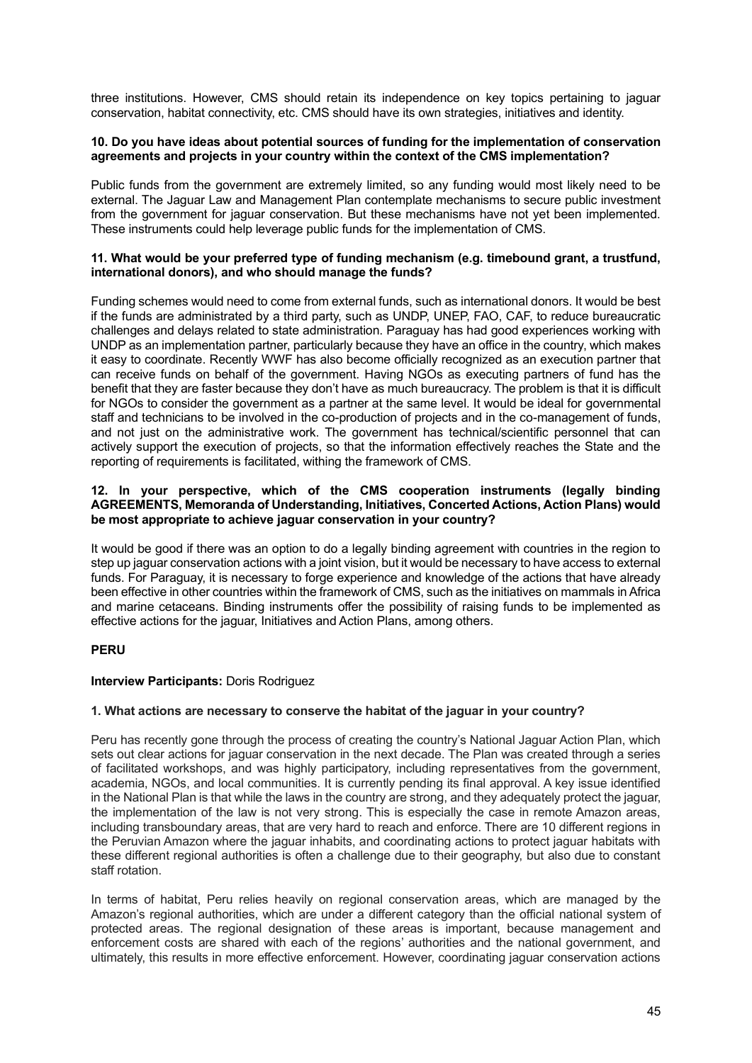three institutions. However, CMS should retain its independence on key topics pertaining to jaguar conservation, habitat connectivity, etc. CMS should have its own strategies, initiatives and identity.

#### **10. Do you have ideas about potential sources of funding for the implementation of conservation agreements and projects in your country within the context of the CMS implementation?**

Public funds from the government are extremely limited, so any funding would most likely need to be external. The Jaguar Law and Management Plan contemplate mechanisms to secure public investment from the government for jaguar conservation. But these mechanisms have not yet been implemented. These instruments could help leverage public funds for the implementation of CMS.

#### **11. What would be your preferred type of funding mechanism (e.g. timebound grant, a trustfund, international donors), and who should manage the funds?**

Funding schemes would need to come from external funds, such as international donors. It would be best if the funds are administrated by a third party, such as UNDP, UNEP, FAO, CAF, to reduce bureaucratic challenges and delays related to state administration. Paraguay has had good experiences working with UNDP as an implementation partner, particularly because they have an office in the country, which makes it easy to coordinate. Recently WWF has also become officially recognized as an execution partner that can receive funds on behalf of the government. Having NGOs as executing partners of fund has the benefit that they are faster because they don't have as much bureaucracy. The problem is that it is difficult for NGOs to consider the government as a partner at the same level. It would be ideal for governmental staff and technicians to be involved in the co-production of projects and in the co-management of funds, and not just on the administrative work. The government has technical/scientific personnel that can actively support the execution of projects, so that the information effectively reaches the State and the reporting of requirements is facilitated, withing the framework of CMS.

#### **12. In your perspective, which of the CMS cooperation instruments (legally binding AGREEMENTS, Memoranda of Understanding, Initiatives, Concerted Actions, Action Plans) would be most appropriate to achieve jaguar conservation in your country?**

It would be good if there was an option to do a legally binding agreement with countries in the region to step up jaguar conservation actions with a joint vision, but it would be necessary to have access to external funds. For Paraguay, it is necessary to forge experience and knowledge of the actions that have already been effective in other countries within the framework of CMS, such as the initiatives on mammals in Africa and marine cetaceans. Binding instruments offer the possibility of raising funds to be implemented as effective actions for the jaguar, Initiatives and Action Plans, among others.

# <span id="page-44-0"></span>**PERU**

# **Interview Participants:** Doris Rodriguez

#### **1. What actions are necessary to conserve the habitat of the jaguar in your country?**

Peru has recently gone through the process of creating the country's National Jaguar Action Plan, which sets out clear actions for jaguar conservation in the next decade. The Plan was created through a series of facilitated workshops, and was highly participatory, including representatives from the government, academia, NGOs, and local communities. It is currently pending its final approval. A key issue identified in the National Plan is that while the laws in the country are strong, and they adequately protect the jaguar, the implementation of the law is not very strong. This is especially the case in remote Amazon areas, including transboundary areas, that are very hard to reach and enforce. There are 10 different regions in the Peruvian Amazon where the jaguar inhabits, and coordinating actions to protect jaguar habitats with these different regional authorities is often a challenge due to their geography, but also due to constant staff rotation.

In terms of habitat, Peru relies heavily on regional conservation areas, which are managed by the Amazon's regional authorities, which are under a different category than the official national system of protected areas. The regional designation of these areas is important, because management and enforcement costs are shared with each of the regions' authorities and the national government, and ultimately, this results in more effective enforcement. However, coordinating jaguar conservation actions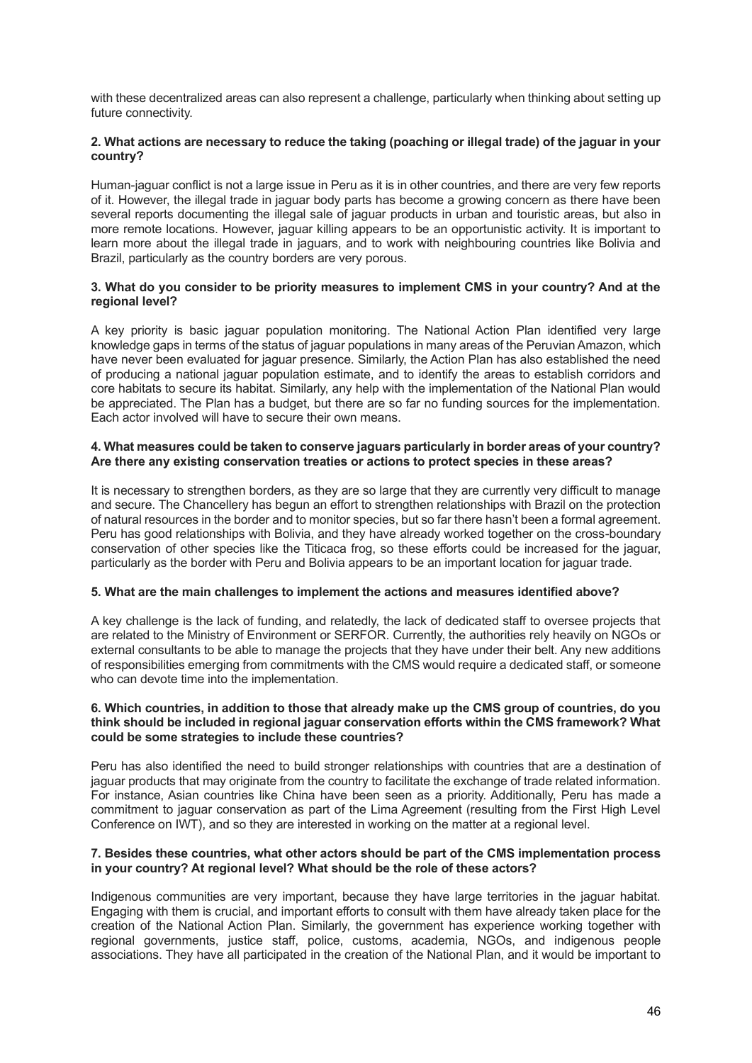with these decentralized areas can also represent a challenge, particularly when thinking about setting up future connectivity.

## **2. What actions are necessary to reduce the taking (poaching or illegal trade) of the jaguar in your country?**

Human-jaguar conflict is not a large issue in Peru as it is in other countries, and there are very few reports of it. However, the illegal trade in jaguar body parts has become a growing concern as there have been several reports documenting the illegal sale of jaguar products in urban and touristic areas, but also in more remote locations. However, jaguar killing appears to be an opportunistic activity. It is important to learn more about the illegal trade in jaguars, and to work with neighbouring countries like Bolivia and Brazil, particularly as the country borders are very porous.

#### **3. What do you consider to be priority measures to implement CMS in your country? And at the regional level?**

A key priority is basic jaguar population monitoring. The National Action Plan identified very large knowledge gaps in terms of the status of jaguar populations in many areas of the Peruvian Amazon, which have never been evaluated for jaguar presence. Similarly, the Action Plan has also established the need of producing a national jaguar population estimate, and to identify the areas to establish corridors and core habitats to secure its habitat. Similarly, any help with the implementation of the National Plan would be appreciated. The Plan has a budget, but there are so far no funding sources for the implementation. Each actor involved will have to secure their own means.

#### **4. What measures could be taken to conserve jaguars particularly in border areas of your country? Are there any existing conservation treaties or actions to protect species in these areas?**

It is necessary to strengthen borders, as they are so large that they are currently very difficult to manage and secure. The Chancellery has begun an effort to strengthen relationships with Brazil on the protection of natural resources in the border and to monitor species, but so far there hasn't been a formal agreement. Peru has good relationships with Bolivia, and they have already worked together on the cross-boundary conservation of other species like the Titicaca frog, so these efforts could be increased for the jaguar, particularly as the border with Peru and Bolivia appears to be an important location for jaguar trade.

#### **5. What are the main challenges to implement the actions and measures identified above?**

A key challenge is the lack of funding, and relatedly, the lack of dedicated staff to oversee projects that are related to the Ministry of Environment or SERFOR. Currently, the authorities rely heavily on NGOs or external consultants to be able to manage the projects that they have under their belt. Any new additions of responsibilities emerging from commitments with the CMS would require a dedicated staff, or someone who can devote time into the implementation.

#### **6. Which countries, in addition to those that already make up the CMS group of countries, do you think should be included in regional jaguar conservation efforts within the CMS framework? What could be some strategies to include these countries?**

Peru has also identified the need to build stronger relationships with countries that are a destination of jaguar products that may originate from the country to facilitate the exchange of trade related information. For instance, Asian countries like China have been seen as a priority. Additionally, Peru has made a commitment to jaguar conservation as part of the Lima Agreement (resulting from the First High Level Conference on IWT), and so they are interested in working on the matter at a regional level.

#### **7. Besides these countries, what other actors should be part of the CMS implementation process in your country? At regional level? What should be the role of these actors?**

Indigenous communities are very important, because they have large territories in the jaguar habitat. Engaging with them is crucial, and important efforts to consult with them have already taken place for the creation of the National Action Plan. Similarly, the government has experience working together with regional governments, justice staff, police, customs, academia, NGOs, and indigenous people associations. They have all participated in the creation of the National Plan, and it would be important to